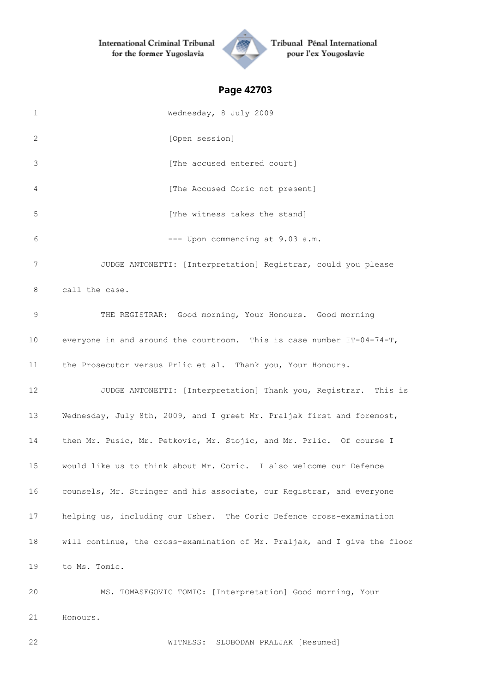**International Criminal Tribunal** for the former Yugoslavia



Tribunal Pénal International pour l'ex Yougoslavie

# **Page 42703**

| 1  | Wednesday, 8 July 2009                                                    |
|----|---------------------------------------------------------------------------|
| 2  | [Open session]                                                            |
| 3  | [The accused entered court]                                               |
| 4  | [The Accused Coric not present]                                           |
| 5  | [The witness takes the stand]                                             |
| 6  | --- Upon commencing at 9.03 a.m.                                          |
| 7  | JUDGE ANTONETTI: [Interpretation] Registrar, could you please             |
| 8  | call the case.                                                            |
| 9  | THE REGISTRAR: Good morning, Your Honours. Good morning                   |
| 10 | everyone in and around the courtroom. This is case number IT-04-74-T,     |
| 11 | the Prosecutor versus Prlic et al. Thank you, Your Honours.               |
| 12 | JUDGE ANTONETTI: [Interpretation] Thank you, Registrar. This is           |
| 13 | Wednesday, July 8th, 2009, and I greet Mr. Praljak first and foremost,    |
| 14 | then Mr. Pusic, Mr. Petkovic, Mr. Stojic, and Mr. Prlic. Of course I      |
| 15 | would like us to think about Mr. Coric. I also welcome our Defence        |
| 16 | counsels, Mr. Stringer and his associate, our Registrar, and everyone     |
| 17 | helping us, including our Usher. The Coric Defence cross-examination      |
| 18 | will continue, the cross-examination of Mr. Praljak, and I give the floor |
| 19 | to Ms. Tomic.                                                             |
| 20 | MS. TOMASEGOVIC TOMIC: [Interpretation] Good morning, Your                |

Honours.

WITNESS: SLOBODAN PRALJAK [Resumed]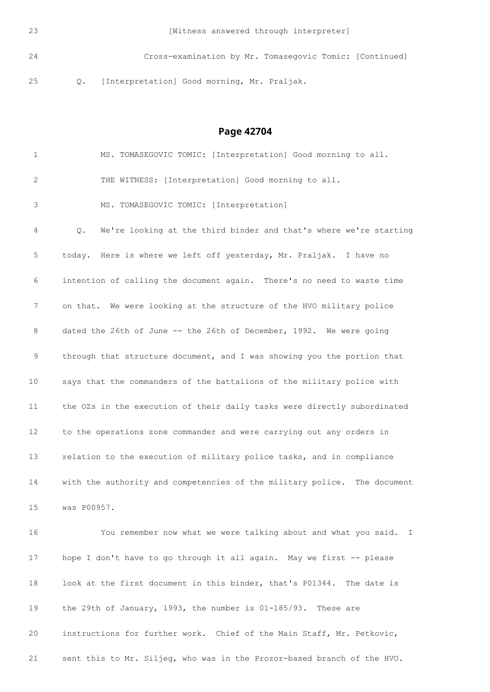[Witness answered through interpreter]

 Cross-examination by Mr. Tomasegovic Tomic: [Continued] Q. [Interpretation] Good morning, Mr. Praljak.

**Page 42704**

 MS. TOMASEGOVIC TOMIC: [Interpretation] Good morning to all. THE WITNESS: [Interpretation] Good morning to all. MS. TOMASEGOVIC TOMIC: [Interpretation] Q. We're looking at the third binder and that's where we're starting today. Here is where we left off yesterday, Mr. Praljak. I have no intention of calling the document again. There's no need to waste time on that. We were looking at the structure of the HVO military police 8 dated the 26th of June -- the 26th of December, 1992. We were going through that structure document, and I was showing you the portion that says that the commanders of the battalions of the military police with the OZs in the execution of their daily tasks were directly subordinated to the operations zone commander and were carrying out any orders in relation to the execution of military police tasks, and in compliance with the authority and competencies of the military police. The document was P00957. You remember now what we were talking about and what you said. I 17 hope I don't have to go through it all again. May we first -- please look at the first document in this binder, that's P01344. The date is the 29th of January, 1993, the number is 01-185/93. These are instructions for further work. Chief of the Main Staff, Mr. Petkovic,

sent this to Mr. Siljeg, who was in the Prozor-based branch of the HVO.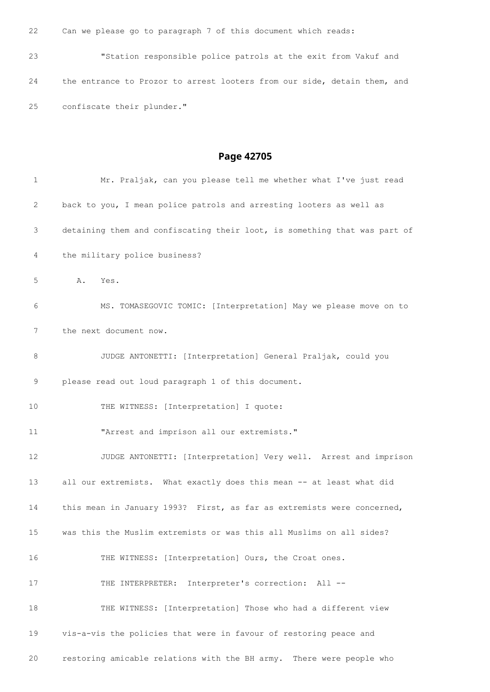Can we please go to paragraph 7 of this document which reads:

 "Station responsible police patrols at the exit from Vakuf and the entrance to Prozor to arrest looters from our side, detain them, and confiscate their plunder."

| 1  | Mr. Praljak, can you please tell me whether what I've just read           |
|----|---------------------------------------------------------------------------|
| 2  | back to you, I mean police patrols and arresting looters as well as       |
| 3  | detaining them and confiscating their loot, is something that was part of |
| 4  | the military police business?                                             |
| 5  | Α.<br>Yes.                                                                |
| 6  | MS. TOMASEGOVIC TOMIC: [Interpretation] May we please move on to          |
| 7  | the next document now.                                                    |
| 8  | JUDGE ANTONETTI: [Interpretation] General Praljak, could you              |
| 9  | please read out loud paragraph 1 of this document.                        |
| 10 | THE WITNESS: [Interpretation] I quote:                                    |
| 11 | "Arrest and imprison all our extremists."                                 |
| 12 | JUDGE ANTONETTI: [Interpretation] Very well. Arrest and imprison          |
| 13 | all our extremists. What exactly does this mean -- at least what did      |
| 14 | this mean in January 1993? First, as far as extremists were concerned,    |
| 15 | was this the Muslim extremists or was this all Muslims on all sides?      |
| 16 | THE WITNESS: [Interpretation] Ours, the Croat ones.                       |
| 17 | THE INTERPRETER: Interpreter's correction: All --                         |
| 18 | THE WITNESS: [Interpretation] Those who had a different view              |
| 19 | vis-a-vis the policies that were in favour of restoring peace and         |
| 20 | restoring amicable relations with the BH army. There were people who      |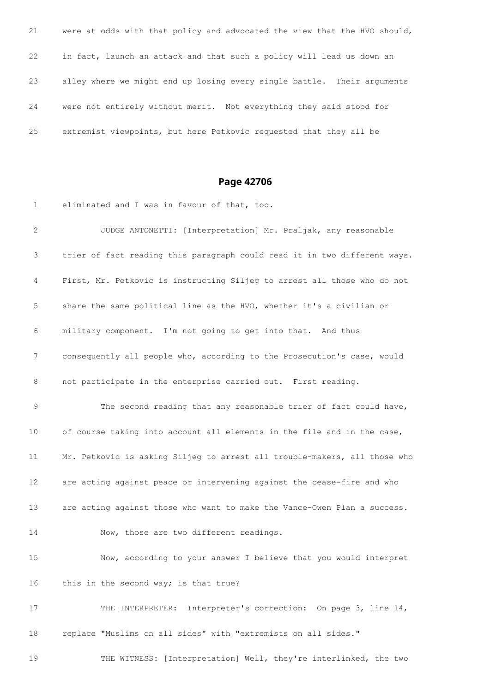were at odds with that policy and advocated the view that the HVO should, in fact, launch an attack and that such a policy will lead us down an alley where we might end up losing every single battle. Their arguments were not entirely without merit. Not everything they said stood for extremist viewpoints, but here Petkovic requested that they all be

### **Page 42706**

 eliminated and I was in favour of that, too. JUDGE ANTONETTI: [Interpretation] Mr. Praljak, any reasonable trier of fact reading this paragraph could read it in two different ways. First, Mr. Petkovic is instructing Siljeg to arrest all those who do not share the same political line as the HVO, whether it's a civilian or military component. I'm not going to get into that. And thus consequently all people who, according to the Prosecution's case, would not participate in the enterprise carried out. First reading. The second reading that any reasonable trier of fact could have, of course taking into account all elements in the file and in the case, Mr. Petkovic is asking Siljeg to arrest all trouble-makers, all those who are acting against peace or intervening against the cease-fire and who are acting against those who want to make the Vance-Owen Plan a success. 14 Now, those are two different readings. Now, according to your answer I believe that you would interpret 16 this in the second way; is that true? 17 THE INTERPRETER: Interpreter's correction: On page 3, line 14, replace "Muslims on all sides" with "extremists on all sides."

THE WITNESS: [Interpretation] Well, they're interlinked, the two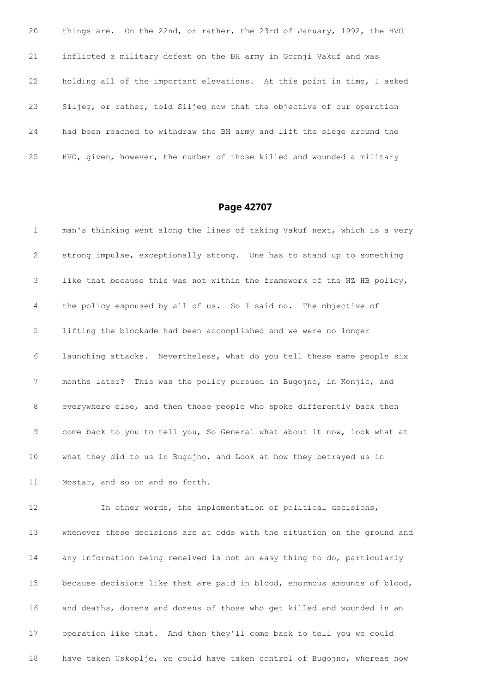things are. On the 22nd, or rather, the 23rd of January, 1992, the HVO inflicted a military defeat on the BH army in Gornji Vakuf and was holding all of the important elevations. At this point in time, I asked Siljeg, or rather, told Siljeg now that the objective of our operation had been reached to withdraw the BH army and lift the siege around the HVO, given, however, the number of those killed and wounded a military

## **Page 42707**

 man's thinking went along the lines of taking Vakuf next, which is a very strong impulse, exceptionally strong. One has to stand up to something like that because this was not within the framework of the HZ HB policy, the policy espoused by all of us. So I said no. The objective of lifting the blockade had been accomplished and we were no longer launching attacks. Nevertheless, what do you tell these same people six months later? This was the policy pursued in Bugojno, in Konjic, and everywhere else, and then those people who spoke differently back then come back to you to tell you, So General what about it now, look what at what they did to us in Bugojno, and Look at how they betrayed us in Mostar, and so on and so forth. In other words, the implementation of political decisions, whenever these decisions are at odds with the situation on the ground and any information being received is not an easy thing to do, particularly because decisions like that are paid in blood, enormous amounts of blood, and deaths, dozens and dozens of those who get killed and wounded in an operation like that. And then they'll come back to tell you we could have taken Uskoplje, we could have taken control of Bugojno, whereas now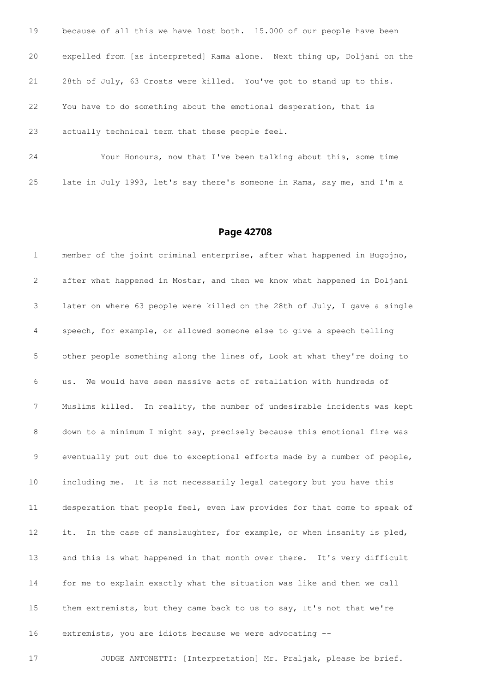| 19 | because of all this we have lost both. 15.000 of our people have been    |
|----|--------------------------------------------------------------------------|
| 20 | expelled from [as interpreted] Rama alone. Next thing up, Doljani on the |
| 21 | 28th of July, 63 Croats were killed. You've got to stand up to this.     |
| 22 | You have to do something about the emotional desperation, that is        |
| 23 | actually technical term that these people feel.                          |
| 24 | Your Honours, now that I've been talking about this, some time           |

late in July 1993, let's say there's someone in Rama, say me, and I'm a

### **Page 42708**

 member of the joint criminal enterprise, after what happened in Bugojno, after what happened in Mostar, and then we know what happened in Doljani later on where 63 people were killed on the 28th of July, I gave a single speech, for example, or allowed someone else to give a speech telling other people something along the lines of, Look at what they're doing to us. We would have seen massive acts of retaliation with hundreds of Muslims killed. In reality, the number of undesirable incidents was kept down to a minimum I might say, precisely because this emotional fire was eventually put out due to exceptional efforts made by a number of people, including me. It is not necessarily legal category but you have this desperation that people feel, even law provides for that come to speak of 12 it. In the case of manslaughter, for example, or when insanity is pled, 13 and this is what happened in that month over there. It's very difficult for me to explain exactly what the situation was like and then we call them extremists, but they came back to us to say, It's not that we're extremists, you are idiots because we were advocating --

JUDGE ANTONETTI: [Interpretation] Mr. Praljak, please be brief.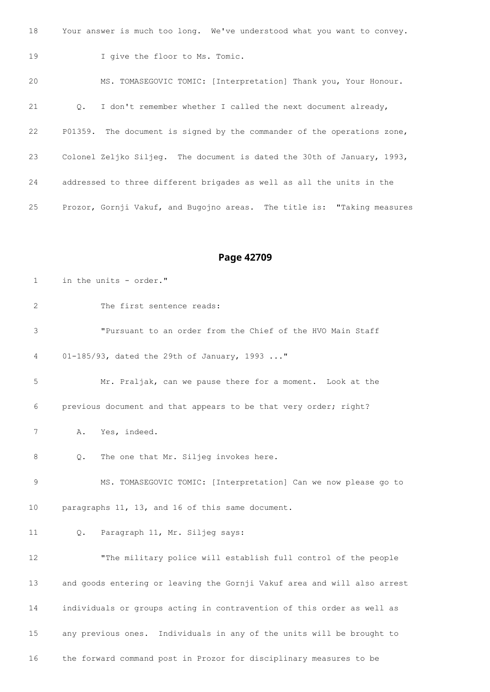| 18 | Your answer is much too long. We've understood what you want to convey.   |
|----|---------------------------------------------------------------------------|
| 19 | I give the floor to Ms. Tomic.                                            |
| 20 | MS. TOMASEGOVIC TOMIC: [Interpretation] Thank you, Your Honour.           |
| 21 | I don't remember whether I called the next document already,<br>$\circ$ . |
| 22 | P01359. The document is signed by the commander of the operations zone,   |
| 23 | Colonel Zeljko Siljeg. The document is dated the 30th of January, 1993,   |
| 24 | addressed to three different brigades as well as all the units in the     |
| 25 | Prozor, Gornji Vakuf, and Bugojno areas. The title is: "Taking measures   |

| 1  | in the units - order."                                                   |  |
|----|--------------------------------------------------------------------------|--|
| 2  | The first sentence reads:                                                |  |
| 3  | "Pursuant to an order from the Chief of the HVO Main Staff               |  |
| 4  | 01-185/93, dated the 29th of January, 1993 "                             |  |
| 5  | Mr. Praljak, can we pause there for a moment. Look at the                |  |
| 6  | previous document and that appears to be that very order; right?         |  |
| 7  | Yes, indeed.<br>Α.                                                       |  |
| 8  | The one that Mr. Siljeg invokes here.<br>Q.                              |  |
| 9  | MS. TOMASEGOVIC TOMIC: [Interpretation] Can we now please go to          |  |
| 10 | paragraphs 11, 13, and 16 of this same document.                         |  |
| 11 | Paragraph 11, Mr. Siljeg says:<br>Q.                                     |  |
| 12 | "The military police will establish full control of the people           |  |
| 13 | and goods entering or leaving the Gornji Vakuf area and will also arrest |  |
| 14 | individuals or groups acting in contravention of this order as well as   |  |
| 15 | any previous ones. Individuals in any of the units will be brought to    |  |
| 16 | the forward command post in Prozor for disciplinary measures to be       |  |
|    |                                                                          |  |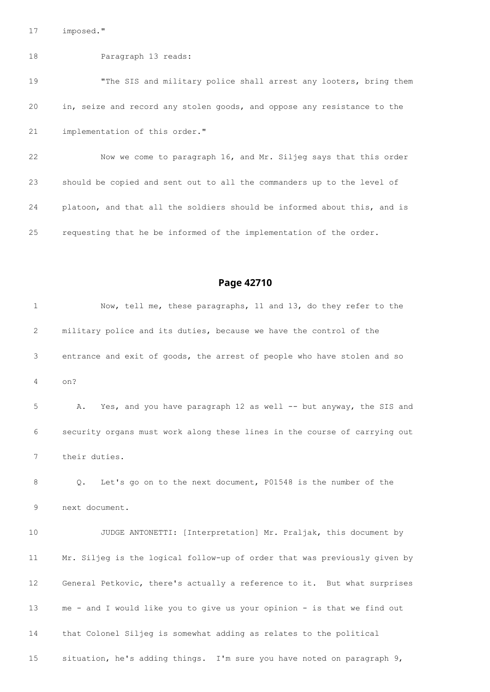imposed."

#### Paragraph 13 reads:

19 The SIS and military police shall arrest any looters, bring them in, seize and record any stolen goods, and oppose any resistance to the implementation of this order."

 Now we come to paragraph 16, and Mr. Siljeg says that this order should be copied and sent out to all the commanders up to the level of platoon, and that all the soldiers should be informed about this, and is requesting that he be informed of the implementation of the order.

## **Page 42710**

 Now, tell me, these paragraphs, 11 and 13, do they refer to the military police and its duties, because we have the control of the entrance and exit of goods, the arrest of people who have stolen and so on? A. Yes, and you have paragraph 12 as well -- but anyway, the SIS and security organs must work along these lines in the course of carrying out their duties. Q. Let's go on to the next document, P01548 is the number of the next document. JUDGE ANTONETTI: [Interpretation] Mr. Praljak, this document by Mr. Siljeg is the logical follow-up of order that was previously given by General Petkovic, there's actually a reference to it. But what surprises me - and I would like you to give us your opinion - is that we find out that Colonel Siljeg is somewhat adding as relates to the political situation, he's adding things. I'm sure you have noted on paragraph 9,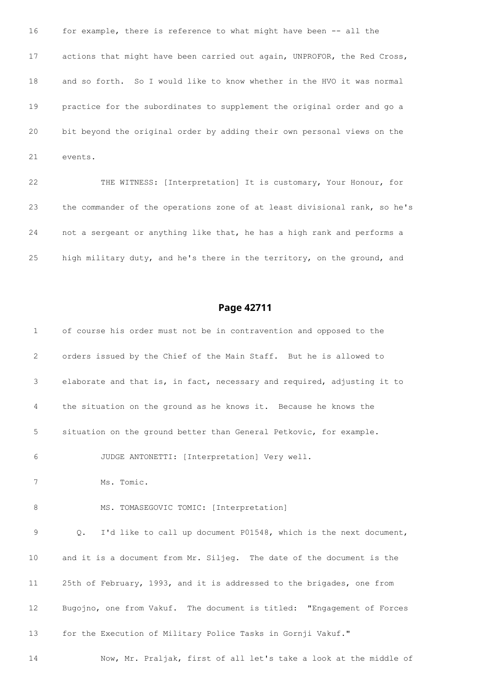16 for example, there is reference to what might have been -- all the actions that might have been carried out again, UNPROFOR, the Red Cross, and so forth. So I would like to know whether in the HVO it was normal practice for the subordinates to supplement the original order and go a bit beyond the original order by adding their own personal views on the events.

 THE WITNESS: [Interpretation] It is customary, Your Honour, for the commander of the operations zone of at least divisional rank, so he's not a sergeant or anything like that, he has a high rank and performs a high military duty, and he's there in the territory, on the ground, and

### **Page 42711**

 of course his order must not be in contravention and opposed to the orders issued by the Chief of the Main Staff. But he is allowed to elaborate and that is, in fact, necessary and required, adjusting it to the situation on the ground as he knows it. Because he knows the situation on the ground better than General Petkovic, for example. JUDGE ANTONETTI: [Interpretation] Very well. Ms. Tomic. 8 MS. TOMASEGOVIC TOMIC: [Interpretation] Q. I'd like to call up document P01548, which is the next document, and it is a document from Mr. Siljeg. The date of the document is the 25th of February, 1993, and it is addressed to the brigades, one from Bugojno, one from Vakuf. The document is titled: "Engagement of Forces for the Execution of Military Police Tasks in Gornji Vakuf." Now, Mr. Praljak, first of all let's take a look at the middle of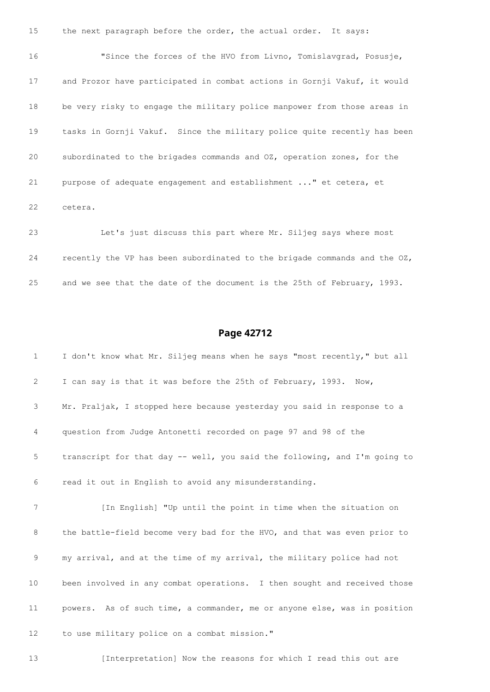15 the next paragraph before the order, the actual order. It says: "Since the forces of the HVO from Livno, Tomislavgrad, Posusje, and Prozor have participated in combat actions in Gornji Vakuf, it would be very risky to engage the military police manpower from those areas in tasks in Gornji Vakuf. Since the military police quite recently has been subordinated to the brigades commands and OZ, operation zones, for the purpose of adequate engagement and establishment ..." et cetera, et cetera.

 Let's just discuss this part where Mr. Siljeg says where most recently the VP has been subordinated to the brigade commands and the OZ, and we see that the date of the document is the 25th of February, 1993.

## **Page 42712**

| $\mathbf 1$ | I don't know what Mr. Siljeq means when he says "most recently," but all  |
|-------------|---------------------------------------------------------------------------|
| 2           | I can say is that it was before the 25th of February, 1993. Now,          |
| 3           | Mr. Praljak, I stopped here because yesterday you said in response to a   |
| 4           | question from Judge Antonetti recorded on page 97 and 98 of the           |
| 5           | transcript for that day -- well, you said the following, and I'm going to |
| 6           | read it out in English to avoid any misunderstanding.                     |
| 7           | [In English] "Up until the point in time when the situation on            |
| 8           | the battle-field become very bad for the HVO, and that was even prior to  |
| 9           | my arrival, and at the time of my arrival, the military police had not    |
| 10          | been involved in any combat operations. I then sought and received those  |
| 11          | powers. As of such time, a commander, me or anyone else, was in position  |
| 12          | to use military police on a combat mission."                              |

13 [Interpretation] Now the reasons for which I read this out are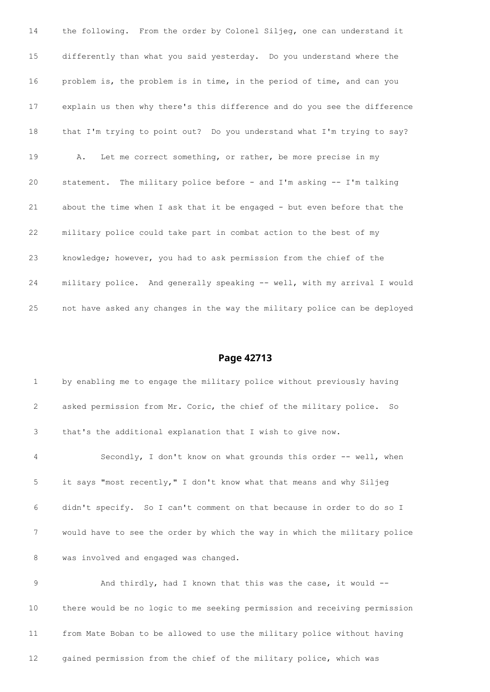the following. From the order by Colonel Siljeg, one can understand it differently than what you said yesterday. Do you understand where the problem is, the problem is in time, in the period of time, and can you explain us then why there's this difference and do you see the difference 18 that I'm trying to point out? Do you understand what I'm trying to say? A. Let me correct something, or rather, be more precise in my statement. The military police before - and I'm asking -- I'm talking about the time when I ask that it be engaged - but even before that the military police could take part in combat action to the best of my knowledge; however, you had to ask permission from the chief of the military police. And generally speaking -- well, with my arrival I would not have asked any changes in the way the military police can be deployed

### **Page 42713**

 by enabling me to engage the military police without previously having asked permission from Mr. Coric, the chief of the military police. So that's the additional explanation that I wish to give now. Secondly, I don't know on what grounds this order -- well, when it says "most recently," I don't know what that means and why Siljeg didn't specify. So I can't comment on that because in order to do so I would have to see the order by which the way in which the military police was involved and engaged was changed.

9 And thirdly, had I known that this was the case, it would -- there would be no logic to me seeking permission and receiving permission from Mate Boban to be allowed to use the military police without having gained permission from the chief of the military police, which was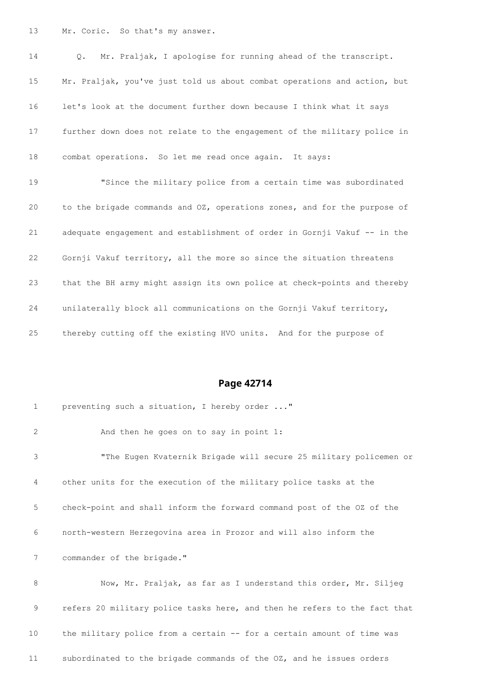Mr. Coric. So that's my answer.

 Q. Mr. Praljak, I apologise for running ahead of the transcript. Mr. Praljak, you've just told us about combat operations and action, but let's look at the document further down because I think what it says further down does not relate to the engagement of the military police in combat operations. So let me read once again. It says:

 "Since the military police from a certain time was subordinated to the brigade commands and OZ, operations zones, and for the purpose of adequate engagement and establishment of order in Gornji Vakuf -- in the Gornji Vakuf territory, all the more so since the situation threatens that the BH army might assign its own police at check-points and thereby unilaterally block all communications on the Gornji Vakuf territory, thereby cutting off the existing HVO units. And for the purpose of

## **Page 42714**

| $\mathbf{1}$ | preventing such a situation, I hereby order "                             |
|--------------|---------------------------------------------------------------------------|
| 2            | And then he goes on to say in point 1:                                    |
| 3            | "The Eugen Kvaternik Brigade will secure 25 military policemen or         |
| 4            | other units for the execution of the military police tasks at the         |
| 5            | check-point and shall inform the forward command post of the OZ of the    |
| 6            | north-western Herzegovina area in Prozor and will also inform the         |
| 7            | commander of the brigade."                                                |
| 8            | Now, Mr. Praljak, as far as I understand this order, Mr. Siljeg           |
| 9            | refers 20 military police tasks here, and then he refers to the fact that |
| 10           | the military police from a certain -- for a certain amount of time was    |
|              |                                                                           |

subordinated to the brigade commands of the OZ, and he issues orders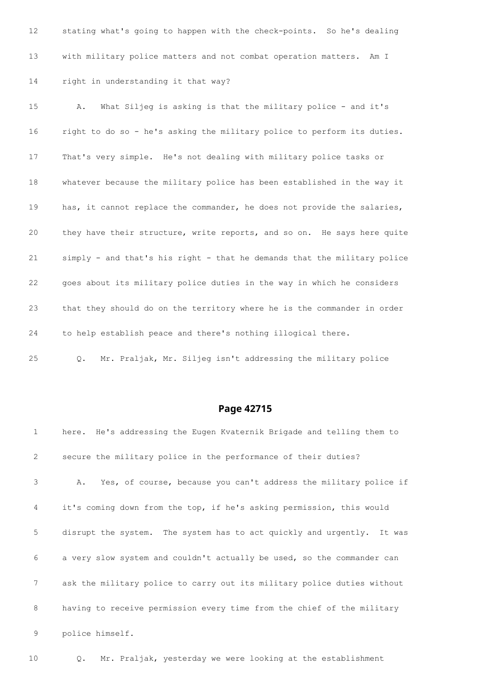stating what's going to happen with the check-points. So he's dealing with military police matters and not combat operation matters. Am I right in understanding it that way? A. What Siljeg is asking is that the military police - and it's right to do so - he's asking the military police to perform its duties.

That's very simple. He's not dealing with military police tasks or

 whatever because the military police has been established in the way it 19 has, it cannot replace the commander, he does not provide the salaries, they have their structure, write reports, and so on. He says here quite simply - and that's his right - that he demands that the military police goes about its military police duties in the way in which he considers that they should do on the territory where he is the commander in order to help establish peace and there's nothing illogical there.

Q. Mr. Praljak, Mr. Siljeg isn't addressing the military police

## **Page 42715**

| $\mathbf{1}$   | here. He's addressing the Eugen Kvaternik Brigade and telling them to   |
|----------------|-------------------------------------------------------------------------|
| 2              | secure the military police in the performance of their duties?          |
| 3              | Yes, of course, because you can't address the military police if<br>Α.  |
| $\overline{4}$ | it's coming down from the top, if he's asking permission, this would    |
| 5              | disrupt the system. The system has to act quickly and urgently. It was  |
| 6              | a very slow system and couldn't actually be used, so the commander can  |
| 7              | ask the military police to carry out its military police duties without |
| 8              | having to receive permission every time from the chief of the military  |
| 9              | police himself.                                                         |

Q. Mr. Praljak, yesterday we were looking at the establishment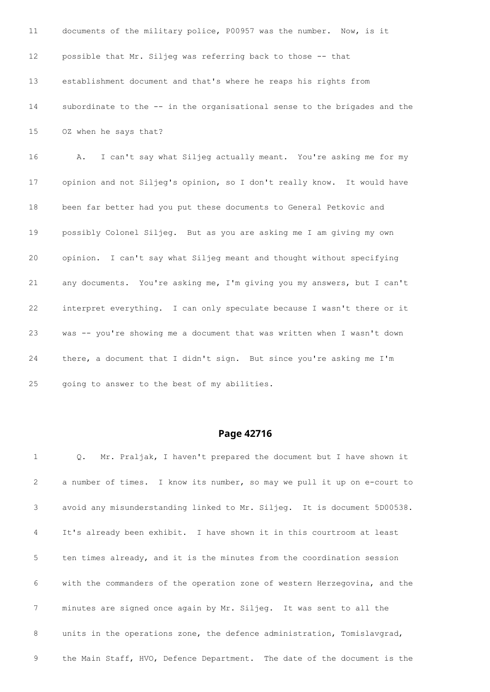| 11              | documents of the military police, P00957 was the number. Now, is it       |
|-----------------|---------------------------------------------------------------------------|
| 12 <sup>°</sup> | possible that Mr. Siljeg was referring back to those -- that              |
| 13              | establishment document and that's where he reaps his rights from          |
| 14              | subordinate to the -- in the organisational sense to the brigades and the |
| 15              | OZ when he says that?                                                     |
| 16              | I can't say what Siljeg actually meant. You're asking me for my<br>Α.     |
| 17              | opinion and not Siljeg's opinion, so I don't really know. It would have   |
| 18              | been far better had you put these documents to General Petkovic and       |
| 19              | possibly Colonel Siljeg. But as you are asking me I am giving my own      |
| 20              | opinion. I can't say what Siljeg meant and thought without specifying     |
| 21              | any documents. You're asking me, I'm giving you my answers, but I can't   |
| 22              | interpret everything. I can only speculate because I wasn't there or it   |
| 23              | was -- you're showing me a document that was written when I wasn't down   |
| 24              | there, a document that I didn't sign. But since you're asking me I'm      |
| 25              | going to answer to the best of my abilities.                              |

| $\mathbf{1}$   | Q. Mr. Praljak, I haven't prepared the document but I have shown it       |
|----------------|---------------------------------------------------------------------------|
| 2              | a number of times. I know its number, so may we pull it up on e-court to  |
| 3              | avoid any misunderstanding linked to Mr. Siljeg. It is document 5D00538.  |
| 4              | It's already been exhibit. I have shown it in this courtroom at least     |
| 5 <sub>5</sub> | ten times already, and it is the minutes from the coordination session    |
| 6              | with the commanders of the operation zone of western Herzegovina, and the |
| 7 <sup>7</sup> | minutes are signed once again by Mr. Siljeg. It was sent to all the       |
| 8              | units in the operations zone, the defence administration, Tomislavgrad,   |
| 9              | the Main Staff, HVO, Defence Department. The date of the document is the  |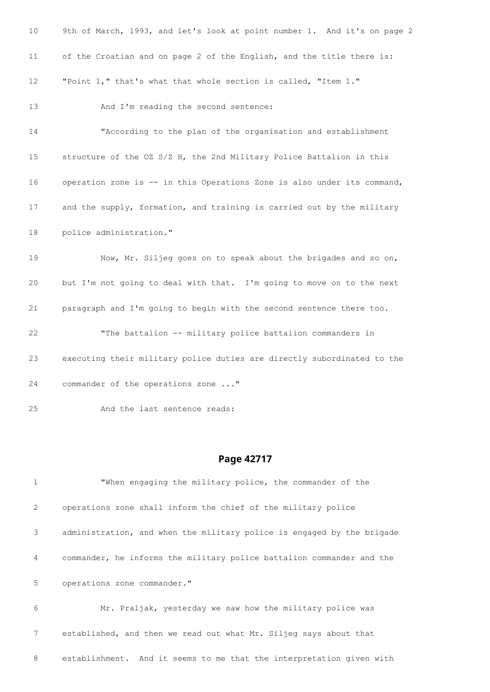| 10              | 9th of March, 1993, and let's look at point number 1. And it's on page 2 |
|-----------------|--------------------------------------------------------------------------|
| 11              | of the Croatian and on page 2 of the English, and the title there is:    |
| 12              | "Point 1," that's what that whole section is called, "Item 1."           |
| 13              | And I'm reading the second sentence:                                     |
| 14              | "According to the plan of the organisation and establishment             |
| 15 <sub>2</sub> | structure of the OZ S/Z H, the 2nd Military Police Battalion in this     |
| 16              | operation zone is -- in this Operations Zone is also under its command,  |
| 17              | and the supply, formation, and training is carried out by the military   |
| 18              | police administration."                                                  |
| 19              | Now, Mr. Siljeg goes on to speak about the brigades and so on,           |
| 20              | but I'm not going to deal with that. I'm going to move on to the next    |
| 21              | paragraph and I'm going to begin with the second sentence there too.     |
| 22              | "The battalion -- military police battalion commanders in                |
| 23              | executing their military police duties are directly subordinated to the  |
| 24              | commander of the operations zone "                                       |
| 25              | And the last sentence reads:                                             |

# **Page 42717**

| $\mathbf{1}$ | "When engaging the military police, the commander of the               |
|--------------|------------------------------------------------------------------------|
| 2            | operations zone shall inform the chief of the military police          |
| 3            | administration, and when the military police is engaged by the brigade |
| 4            | commander, he informs the military police battalion commander and the  |
| 5            | operations zone commander."                                            |
| 6            | Mr. Praljak, yesterday we saw how the military police was              |
|              | established, and then we read out what Mr. Siljeg says about that      |

establishment. And it seems to me that the interpretation given with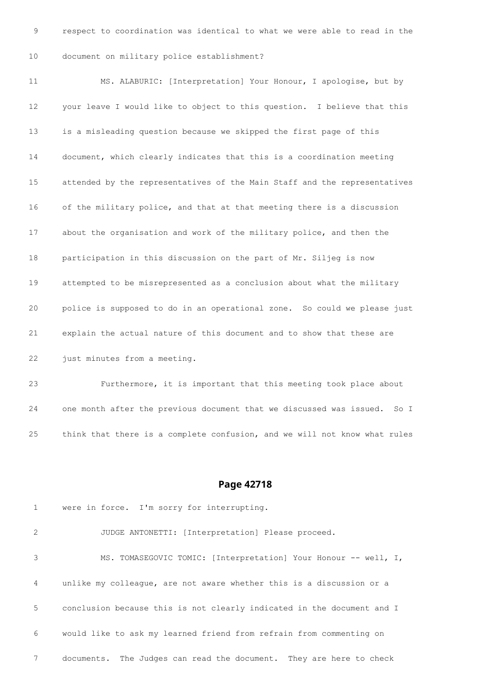respect to coordination was identical to what we were able to read in the document on military police establishment?

 MS. ALABURIC: [Interpretation] Your Honour, I apologise, but by your leave I would like to object to this question. I believe that this is a misleading question because we skipped the first page of this document, which clearly indicates that this is a coordination meeting attended by the representatives of the Main Staff and the representatives of the military police, and that at that meeting there is a discussion about the organisation and work of the military police, and then the participation in this discussion on the part of Mr. Siljeg is now attempted to be misrepresented as a conclusion about what the military police is supposed to do in an operational zone. So could we please just explain the actual nature of this document and to show that these are 22 just minutes from a meeting.

 Furthermore, it is important that this meeting took place about one month after the previous document that we discussed was issued. So I think that there is a complete confusion, and we will not know what rules

### **Page 42718**

 were in force. I'm sorry for interrupting. JUDGE ANTONETTI: [Interpretation] Please proceed. MS. TOMASEGOVIC TOMIC: [Interpretation] Your Honour -- well, I, unlike my colleague, are not aware whether this is a discussion or a conclusion because this is not clearly indicated in the document and I would like to ask my learned friend from refrain from commenting on documents. The Judges can read the document. They are here to check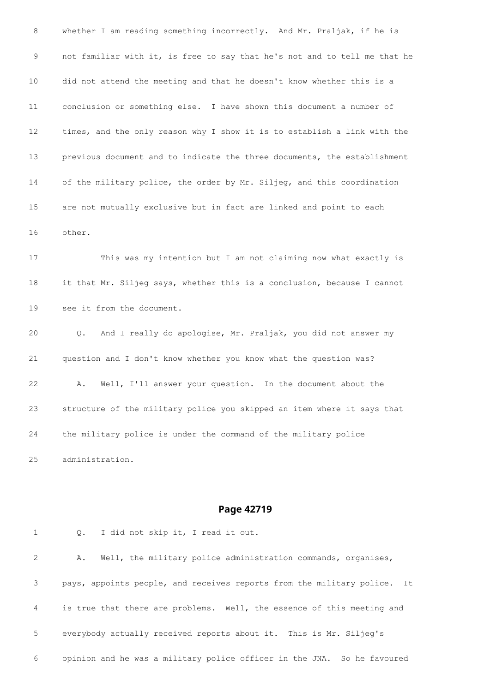whether I am reading something incorrectly. And Mr. Praljak, if he is not familiar with it, is free to say that he's not and to tell me that he did not attend the meeting and that he doesn't know whether this is a conclusion or something else. I have shown this document a number of times, and the only reason why I show it is to establish a link with the previous document and to indicate the three documents, the establishment of the military police, the order by Mr. Siljeg, and this coordination are not mutually exclusive but in fact are linked and point to each other. This was my intention but I am not claiming now what exactly is it that Mr. Siljeg says, whether this is a conclusion, because I cannot see it from the document. Q. And I really do apologise, Mr. Praljak, you did not answer my question and I don't know whether you know what the question was?

 A. Well, I'll answer your question. In the document about the structure of the military police you skipped an item where it says that the military police is under the command of the military police administration.

#### **Page 42719**

 A. Well, the military police administration commands, organises, pays, appoints people, and receives reports from the military police. It is true that there are problems. Well, the essence of this meeting and everybody actually received reports about it. This is Mr. Siljeg's opinion and he was a military police officer in the JNA. So he favoured

Q. I did not skip it, I read it out.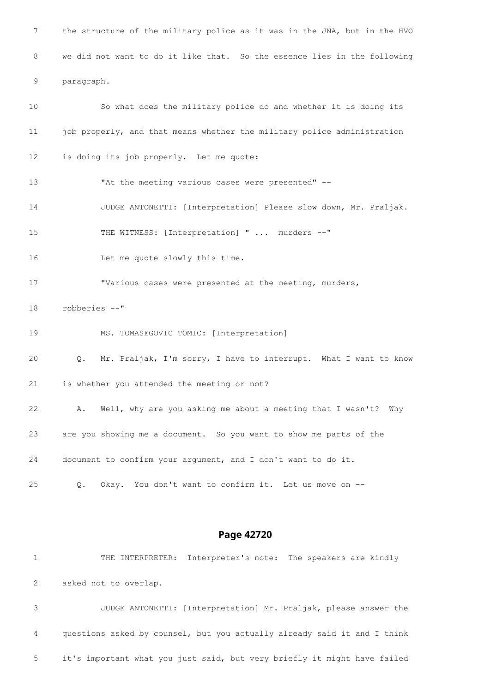the structure of the military police as it was in the JNA, but in the HVO we did not want to do it like that. So the essence lies in the following paragraph. So what does the military police do and whether it is doing its 11 job properly, and that means whether the military police administration is doing its job properly. Let me quote: "At the meeting various cases were presented" -- JUDGE ANTONETTI: [Interpretation] Please slow down, Mr. Praljak. THE WITNESS: [Interpretation] " ... murders --" Let me quote slowly this time. 17 "Various cases were presented at the meeting, murders, robberies --" MS. TOMASEGOVIC TOMIC: [Interpretation] Q. Mr. Praljak, I'm sorry, I have to interrupt. What I want to know is whether you attended the meeting or not? A. Well, why are you asking me about a meeting that I wasn't? Why are you showing me a document. So you want to show me parts of the document to confirm your argument, and I don't want to do it. Q. Okay. You don't want to confirm it. Let us move on --

## **Page 42720**

 THE INTERPRETER: Interpreter's note: The speakers are kindly asked not to overlap.

 JUDGE ANTONETTI: [Interpretation] Mr. Praljak, please answer the questions asked by counsel, but you actually already said it and I think it's important what you just said, but very briefly it might have failed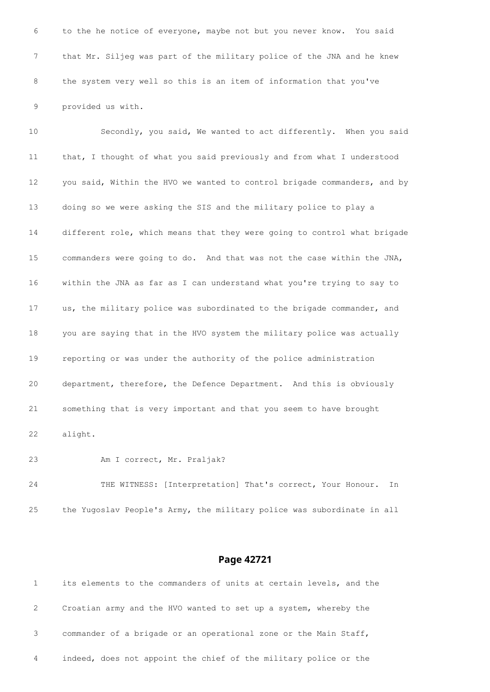to the he notice of everyone, maybe not but you never know. You said that Mr. Siljeg was part of the military police of the JNA and he knew the system very well so this is an item of information that you've provided us with.

 Secondly, you said, We wanted to act differently. When you said that, I thought of what you said previously and from what I understood 12 you said, Within the HVO we wanted to control brigade commanders, and by doing so we were asking the SIS and the military police to play a different role, which means that they were going to control what brigade commanders were going to do. And that was not the case within the JNA, within the JNA as far as I can understand what you're trying to say to us, the military police was subordinated to the brigade commander, and you are saying that in the HVO system the military police was actually reporting or was under the authority of the police administration department, therefore, the Defence Department. And this is obviously something that is very important and that you seem to have brought alight.

Am I correct, Mr. Praljak?

 THE WITNESS: [Interpretation] That's correct, Your Honour. In the Yugoslav People's Army, the military police was subordinate in all

|              | its elements to the commanders of units at certain levels, and the |
|--------------|--------------------------------------------------------------------|
| $\mathbf{2}$ | Croatian army and the HVO wanted to set up a system, whereby the   |
|              | commander of a brigade or an operational zone or the Main Staff,   |
| 4            | indeed, does not appoint the chief of the military police or the   |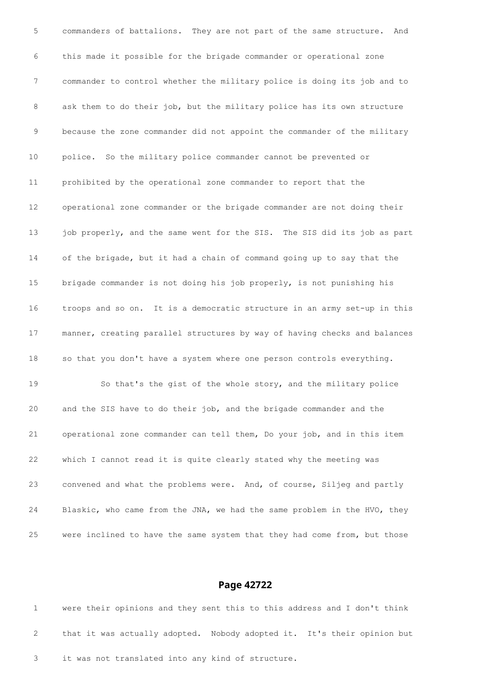commanders of battalions. They are not part of the same structure. And this made it possible for the brigade commander or operational zone commander to control whether the military police is doing its job and to ask them to do their job, but the military police has its own structure because the zone commander did not appoint the commander of the military police. So the military police commander cannot be prevented or prohibited by the operational zone commander to report that the operational zone commander or the brigade commander are not doing their 13 job properly, and the same went for the SIS. The SIS did its job as part of the brigade, but it had a chain of command going up to say that the brigade commander is not doing his job properly, is not punishing his troops and so on. It is a democratic structure in an army set-up in this manner, creating parallel structures by way of having checks and balances so that you don't have a system where one person controls everything. So that's the gist of the whole story, and the military police and the SIS have to do their job, and the brigade commander and the operational zone commander can tell them, Do your job, and in this item which I cannot read it is quite clearly stated why the meeting was convened and what the problems were. And, of course, Siljeg and partly Blaskic, who came from the JNA, we had the same problem in the HVO, they were inclined to have the same system that they had come from, but those

#### **Page 42722**

 were their opinions and they sent this to this address and I don't think that it was actually adopted. Nobody adopted it. It's their opinion but it was not translated into any kind of structure.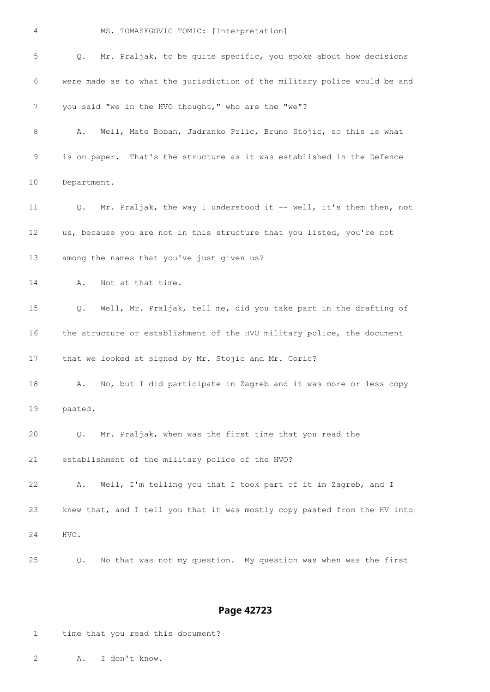| 4  | MS. TOMASEGOVIC TOMIC: [Interpretation]                                   |
|----|---------------------------------------------------------------------------|
| 5  | Mr. Praljak, to be quite specific, you spoke about how decisions<br>Q.    |
| 6  | were made as to what the jurisdiction of the military police would be and |
| 7  | you said "we in the HVO thought," who are the "we"?                       |
| 8  | Well, Mate Boban, Jadranko Prlic, Bruno Stojic, so this is what<br>Α.     |
| 9  | is on paper. That's the structure as it was established in the Defence    |
| 10 | Department.                                                               |
| 11 | Mr. Praljak, the way I understood it -- well, it's them then, not<br>Q.   |
| 12 | us, because you are not in this structure that you listed, you're not     |
| 13 | among the names that you've just given us?                                |
| 14 | Not at that time.<br>Α.                                                   |
| 15 | Well, Mr. Praljak, tell me, did you take part in the drafting of<br>Q.    |
| 16 | the structure or establishment of the HVO military police, the document   |
| 17 | that we looked at signed by Mr. Stojic and Mr. Coric?                     |
| 18 | No, but I did participate in Zagreb and it was more or less copy<br>Α.    |
| 19 | pasted.                                                                   |
| 20 | Mr. Praljak, when was the first time that you read the<br>Q.              |
| 21 | establishment of the military police of the HVO?                          |
| 22 | Well, I'm telling you that I took part of it in Zagreb, and I<br>Α.       |
| 23 | knew that, and I tell you that it was mostly copy pasted from the HV into |
| 24 | HVO.                                                                      |
| 25 | No that was not my question. My question was when was the first<br>Q.     |

# **Page 42723**

time that you read this document?

A. I don't know.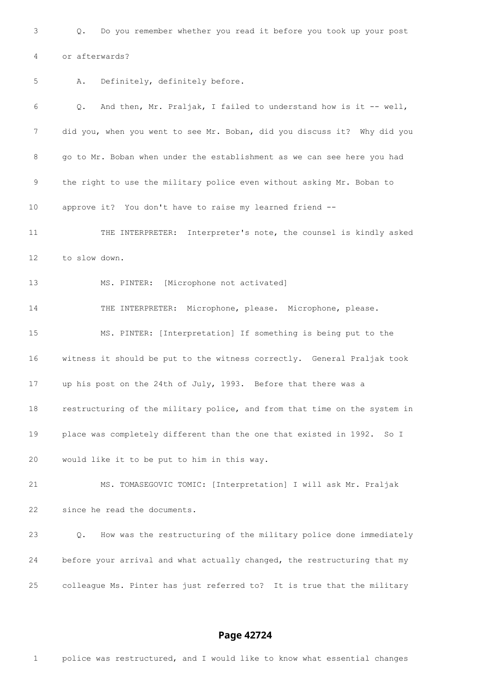Q. Do you remember whether you read it before you took up your post or afterwards? A. Definitely, definitely before. Q. And then, Mr. Praljak, I failed to understand how is it -- well, did you, when you went to see Mr. Boban, did you discuss it? Why did you go to Mr. Boban when under the establishment as we can see here you had the right to use the military police even without asking Mr. Boban to approve it? You don't have to raise my learned friend -- THE INTERPRETER: Interpreter's note, the counsel is kindly asked to slow down. MS. PINTER: [Microphone not activated] THE INTERPRETER: Microphone, please. Microphone, please. MS. PINTER: [Interpretation] If something is being put to the witness it should be put to the witness correctly. General Praljak took up his post on the 24th of July, 1993. Before that there was a restructuring of the military police, and from that time on the system in place was completely different than the one that existed in 1992. So I would like it to be put to him in this way. MS. TOMASEGOVIC TOMIC: [Interpretation] I will ask Mr. Praljak since he read the documents. Q. How was the restructuring of the military police done immediately before your arrival and what actually changed, the restructuring that my colleague Ms. Pinter has just referred to? It is true that the military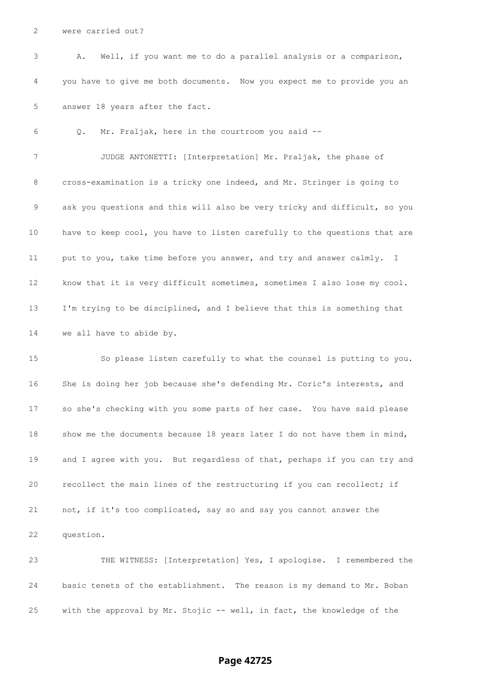were carried out?

 A. Well, if you want me to do a parallel analysis or a comparison, you have to give me both documents. Now you expect me to provide you an answer 18 years after the fact.

Q. Mr. Praljak, here in the courtroom you said --

 JUDGE ANTONETTI: [Interpretation] Mr. Praljak, the phase of cross-examination is a tricky one indeed, and Mr. Stringer is going to ask you questions and this will also be very tricky and difficult, so you have to keep cool, you have to listen carefully to the questions that are put to you, take time before you answer, and try and answer calmly. I know that it is very difficult sometimes, sometimes I also lose my cool. I'm trying to be disciplined, and I believe that this is something that we all have to abide by.

 So please listen carefully to what the counsel is putting to you. She is doing her job because she's defending Mr. Coric's interests, and so she's checking with you some parts of her case. You have said please show me the documents because 18 years later I do not have them in mind, 19 and I agree with you. But regardless of that, perhaps if you can try and recollect the main lines of the restructuring if you can recollect; if not, if it's too complicated, say so and say you cannot answer the question.

 THE WITNESS: [Interpretation] Yes, I apologise. I remembered the basic tenets of the establishment. The reason is my demand to Mr. Boban with the approval by Mr. Stojic -- well, in fact, the knowledge of the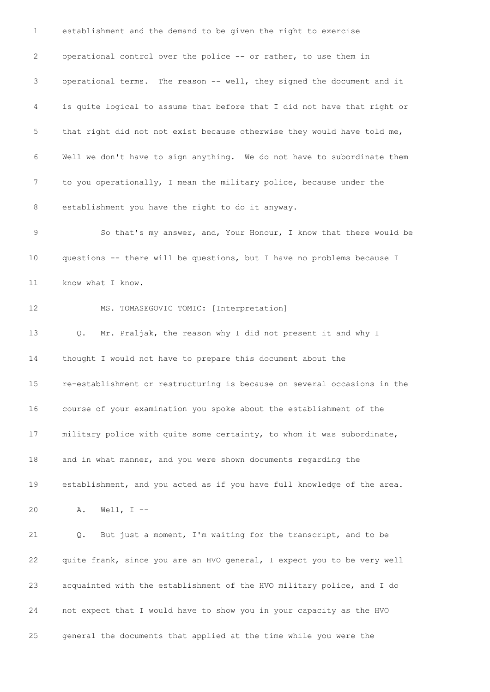establishment and the demand to be given the right to exercise operational control over the police -- or rather, to use them in operational terms. The reason -- well, they signed the document and it is quite logical to assume that before that I did not have that right or that right did not not exist because otherwise they would have told me, Well we don't have to sign anything. We do not have to subordinate them to you operationally, I mean the military police, because under the establishment you have the right to do it anyway. So that's my answer, and, Your Honour, I know that there would be questions -- there will be questions, but I have no problems because I know what I know. MS. TOMASEGOVIC TOMIC: [Interpretation] Q. Mr. Praljak, the reason why I did not present it and why I thought I would not have to prepare this document about the re-establishment or restructuring is because on several occasions in the course of your examination you spoke about the establishment of the military police with quite some certainty, to whom it was subordinate, and in what manner, and you were shown documents regarding the establishment, and you acted as if you have full knowledge of the area. A. Well, I -- Q. But just a moment, I'm waiting for the transcript, and to be quite frank, since you are an HVO general, I expect you to be very well acquainted with the establishment of the HVO military police, and I do not expect that I would have to show you in your capacity as the HVO general the documents that applied at the time while you were the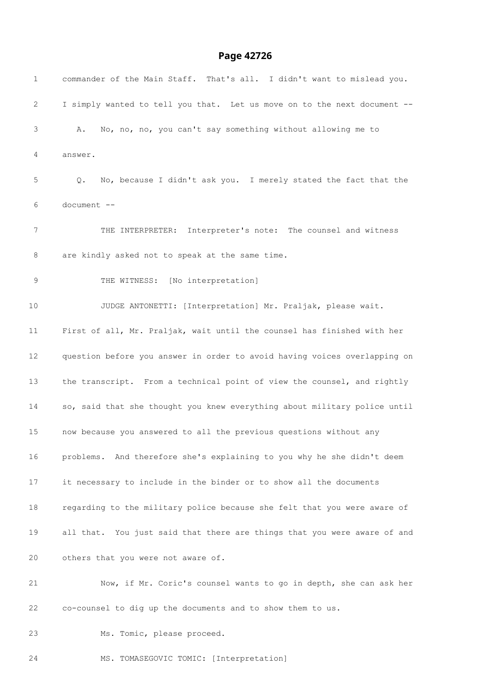# **Page 42726**

| $\mathbf{1}$ | commander of the Main Staff. That's all. I didn't want to mislead you.    |
|--------------|---------------------------------------------------------------------------|
| 2            | I simply wanted to tell you that. Let us move on to the next document --  |
| 3            | No, no, no, you can't say something without allowing me to<br>Α.          |
| 4            | answer.                                                                   |
| 5            | No, because I didn't ask you. I merely stated the fact that the<br>Q.     |
| 6            | document --                                                               |
| 7            | THE INTERPRETER: Interpreter's note: The counsel and witness              |
| 8            | are kindly asked not to speak at the same time.                           |
| 9            | THE WITNESS: [No interpretation]                                          |
| 10           | JUDGE ANTONETTI: [Interpretation] Mr. Praljak, please wait.               |
| 11           | First of all, Mr. Praljak, wait until the counsel has finished with her   |
| 12           | question before you answer in order to avoid having voices overlapping on |
| 13           | the transcript. From a technical point of view the counsel, and rightly   |
| 14           | so, said that she thought you knew everything about military police until |
| 15           | now because you answered to all the previous questions without any        |
| 16           | problems. And therefore she's explaining to you why he she didn't deem    |
| 17           | it necessary to include in the binder or to show all the documents        |
| 18           | regarding to the military police because she felt that you were aware of  |
| 19           | all that. You just said that there are things that you were aware of and  |
| 20           | others that you were not aware of.                                        |
| 21           | Now, if Mr. Coric's counsel wants to go in depth, she can ask her         |
| 22           | co-counsel to dig up the documents and to show them to us.                |
| 23           | Ms. Tomic, please proceed.                                                |

MS. TOMASEGOVIC TOMIC: [Interpretation]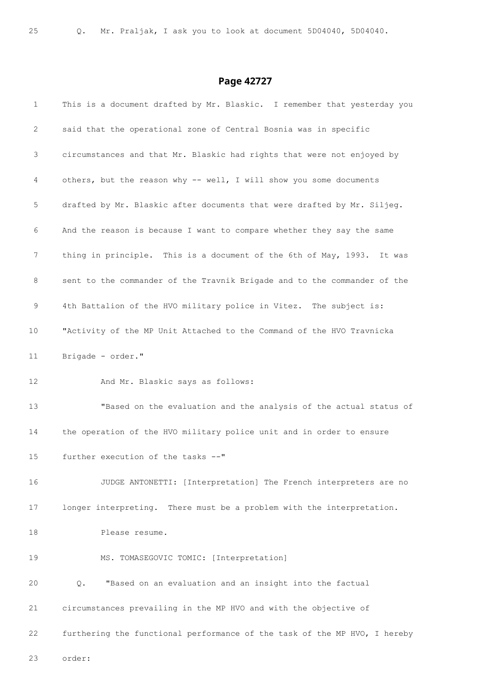| $\mathbf{1}$          | This is a document drafted by Mr. Blaskic. I remember that yesterday you  |
|-----------------------|---------------------------------------------------------------------------|
| $\mathbf{2}^{\prime}$ | said that the operational zone of Central Bosnia was in specific          |
| 3                     | circumstances and that Mr. Blaskic had rights that were not enjoyed by    |
| 4                     | others, but the reason why -- well, I will show you some documents        |
| 5                     | drafted by Mr. Blaskic after documents that were drafted by Mr. Siljeg.   |
| 6                     | And the reason is because I want to compare whether they say the same     |
| 7                     | thing in principle. This is a document of the 6th of May, 1993. It was    |
| 8                     | sent to the commander of the Travnik Brigade and to the commander of the  |
| 9                     | 4th Battalion of the HVO military police in Vitez. The subject is:        |
| 10                    | "Activity of the MP Unit Attached to the Command of the HVO Travnicka     |
| 11                    | Brigade - order."                                                         |
| 12                    | And Mr. Blaskic says as follows:                                          |
| 13                    | "Based on the evaluation and the analysis of the actual status of         |
| 14                    | the operation of the HVO military police unit and in order to ensure      |
| 15                    | further execution of the tasks --"                                        |
| 16                    | JUDGE ANTONETTI: [Interpretation] The French interpreters are no          |
| 17                    | longer interpreting. There must be a problem with the interpretation.     |
| 18                    | Please resume.                                                            |
| 19                    | MS. TOMASEGOVIC TOMIC: [Interpretation]                                   |
| 20                    | "Based on an evaluation and an insight into the factual<br>Q.             |
| 21                    | circumstances prevailing in the MP HVO and with the objective of          |
| 22                    | furthering the functional performance of the task of the MP HVO, I hereby |
| 23                    | order:                                                                    |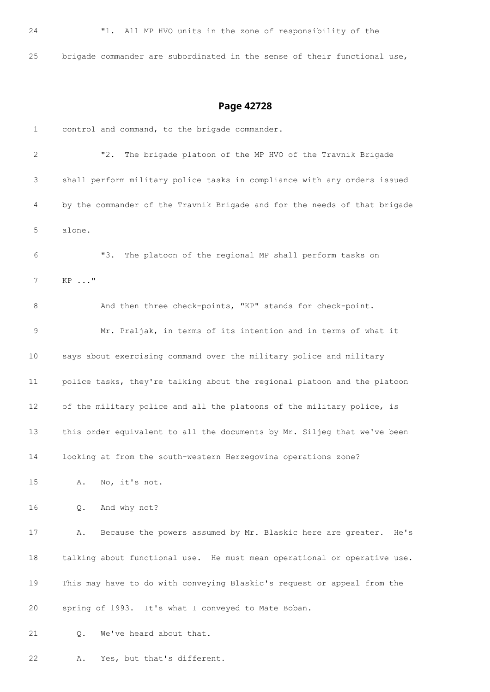brigade commander are subordinated in the sense of their functional use,

# **Page 42728**

 control and command, to the brigade commander. "2. The brigade platoon of the MP HVO of the Travnik Brigade shall perform military police tasks in compliance with any orders issued by the commander of the Travnik Brigade and for the needs of that brigade alone. "3. The platoon of the regional MP shall perform tasks on KP ..." 8 And then three check-points, "KP" stands for check-point. Mr. Praljak, in terms of its intention and in terms of what it says about exercising command over the military police and military police tasks, they're talking about the regional platoon and the platoon of the military police and all the platoons of the military police, is this order equivalent to all the documents by Mr. Siljeg that we've been looking at from the south-western Herzegovina operations zone? A. No, it's not. Q. And why not? A. Because the powers assumed by Mr. Blaskic here are greater. He's talking about functional use. He must mean operational or operative use. This may have to do with conveying Blaskic's request or appeal from the spring of 1993. It's what I conveyed to Mate Boban. Q. We've heard about that.

A. Yes, but that's different.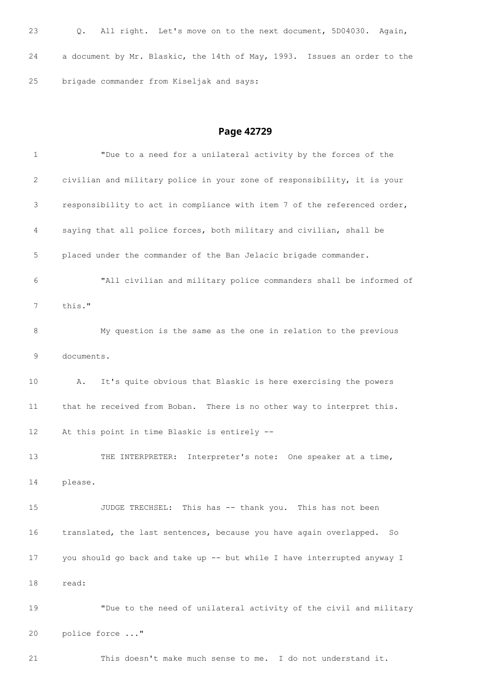```
23 Q. All right. Let's move on to the next document, 5D04030. Again,
24 a document by Mr. Blaskic, the 14th of May, 1993. Issues an order to the
25 brigade commander from Kiseljak and says:
```
# **Page 42729**

| 1               | "Due to a need for a unilateral activity by the forces of the            |
|-----------------|--------------------------------------------------------------------------|
| 2               | civilian and military police in your zone of responsibility, it is your  |
| 3               | responsibility to act in compliance with item 7 of the referenced order, |
| 4               | saying that all police forces, both military and civilian, shall be      |
| 5               | placed under the commander of the Ban Jelacic brigade commander.         |
| 6               | "All civilian and military police commanders shall be informed of        |
| 7               | this."                                                                   |
| 8               | My question is the same as the one in relation to the previous           |
| 9               | documents.                                                               |
| 10              | It's quite obvious that Blaskic is here exercising the powers<br>Α.      |
| 11              | that he received from Boban. There is no other way to interpret this.    |
| 12 <sup>2</sup> | At this point in time Blaskic is entirely --                             |
| 13              | THE INTERPRETER: Interpreter's note: One speaker at a time,              |
| 14              | please.                                                                  |
| 15              | JUDGE TRECHSEL: This has -- thank you. This has not been                 |
| 16              | translated, the last sentences, because you have again overlapped.<br>So |
| 17              | you should go back and take up -- but while I have interrupted anyway I  |
| 18              | read:                                                                    |
| 19              | "Due to the need of unilateral activity of the civil and military        |
| 20              | police force "                                                           |

This doesn't make much sense to me. I do not understand it.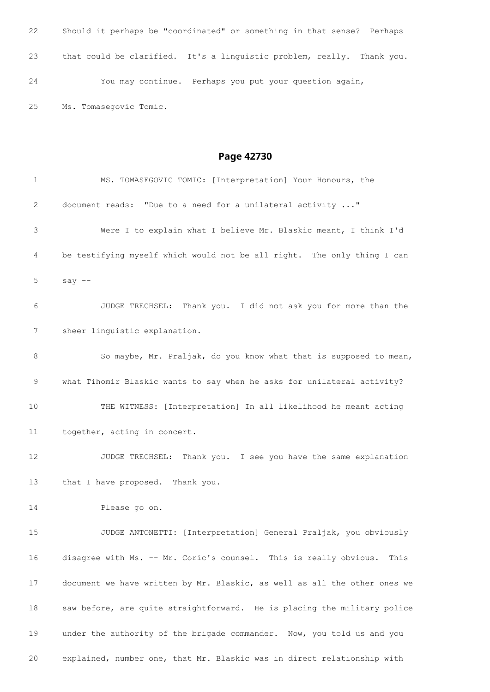Should it perhaps be "coordinated" or something in that sense? Perhaps that could be clarified. It's a linguistic problem, really. Thank you. You may continue. Perhaps you put your question again, Ms. Tomasegovic Tomic.

| 1  | MS. TOMASEGOVIC TOMIC: [Interpretation] Your Honours, the                 |
|----|---------------------------------------------------------------------------|
| 2  | document reads: "Due to a need for a unilateral activity "                |
| 3  | Were I to explain what I believe Mr. Blaskic meant, I think I'd           |
| 4  | be testifying myself which would not be all right. The only thing I can   |
| 5  | say $--$                                                                  |
| 6  | JUDGE TRECHSEL: Thank you. I did not ask you for more than the            |
| 7  | sheer linguistic explanation.                                             |
| 8  | So maybe, Mr. Praljak, do you know what that is supposed to mean,         |
| 9  | what Tihomir Blaskic wants to say when he asks for unilateral activity?   |
| 10 | THE WITNESS: [Interpretation] In all likelihood he meant acting           |
| 11 | together, acting in concert.                                              |
| 12 | JUDGE TRECHSEL: Thank you. I see you have the same explanation            |
| 13 | that I have proposed. Thank you.                                          |
| 14 | Please go on.                                                             |
| 15 | JUDGE ANTONETTI: [Interpretation] General Praljak, you obviously          |
| 16 | disagree with Ms. -- Mr. Coric's counsel. This is really obvious.<br>This |
| 17 | document we have written by Mr. Blaskic, as well as all the other ones we |
| 18 | saw before, are quite straightforward. He is placing the military police  |
| 19 | under the authority of the brigade commander. Now, you told us and you    |
| 20 | explained, number one, that Mr. Blaskic was in direct relationship with   |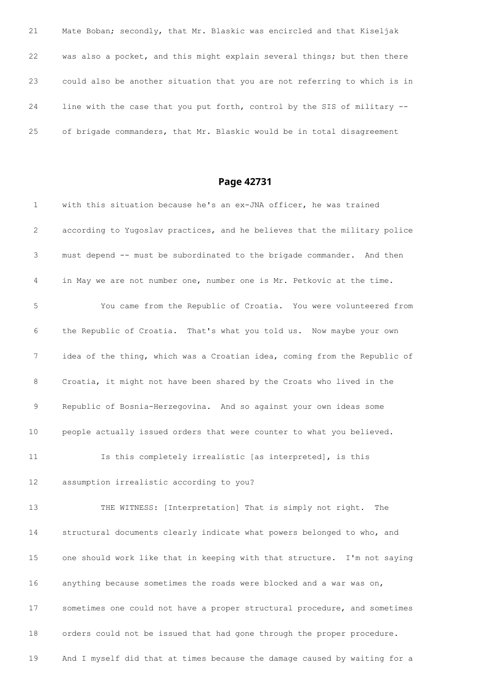Mate Boban; secondly, that Mr. Blaskic was encircled and that Kiseljak was also a pocket, and this might explain several things; but then there could also be another situation that you are not referring to which is in line with the case that you put forth, control by the SIS of military -- of brigade commanders, that Mr. Blaskic would be in total disagreement

| $\mathbf{1}$ | with this situation because he's an ex-JNA officer, he was trained        |
|--------------|---------------------------------------------------------------------------|
| 2            | according to Yugoslav practices, and he believes that the military police |
| 3            | must depend -- must be subordinated to the brigade commander. And then    |
| 4            | in May we are not number one, number one is Mr. Petkovic at the time.     |
| 5            | You came from the Republic of Croatia. You were volunteered from          |
| 6            | the Republic of Croatia. That's what you told us. Now maybe your own      |
| 7            | idea of the thing, which was a Croatian idea, coming from the Republic of |
| 8            | Croatia, it might not have been shared by the Croats who lived in the     |
| 9            | Republic of Bosnia-Herzegovina. And so against your own ideas some        |
| 10           | people actually issued orders that were counter to what you believed.     |
| 11           | Is this completely irrealistic [as interpreted], is this                  |
| 12           | assumption irrealistic according to you?                                  |
| 13           | THE WITNESS: [Interpretation] That is simply not right. The               |
| 14           | structural documents clearly indicate what powers belonged to who, and    |
| 15           | one should work like that in keeping with that structure. I'm not saying  |
| 16           | anything because sometimes the roads were blocked and a war was on,       |
| 17           | sometimes one could not have a proper structural procedure, and sometimes |
| 18           | orders could not be issued that had gone through the proper procedure.    |
| 19           | And I myself did that at times because the damage caused by waiting for a |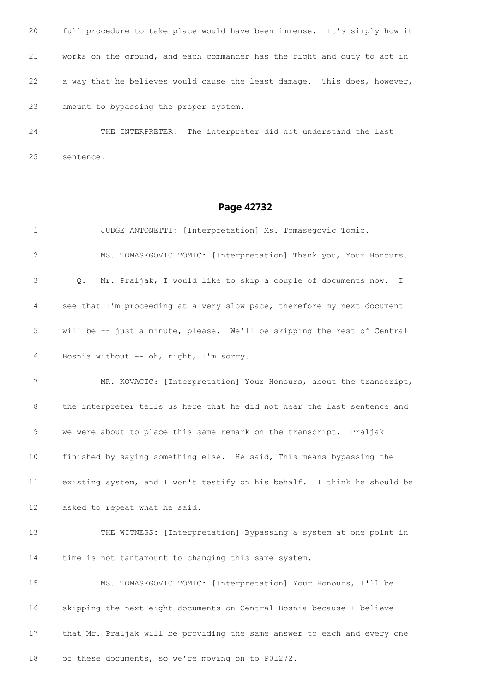full procedure to take place would have been immense. It's simply how it works on the ground, and each commander has the right and duty to act in a way that he believes would cause the least damage. This does, however, amount to bypassing the proper system.

 THE INTERPRETER: The interpreter did not understand the last sentence.

| 1  | JUDGE ANTONETTI: [Interpretation] Ms. Tomasegovic Tomic.                        |
|----|---------------------------------------------------------------------------------|
| 2  | MS. TOMASEGOVIC TOMIC: [Interpretation] Thank you, Your Honours.                |
| 3  | Mr. Praljak, I would like to skip a couple of documents now. I<br>$Q_{\bullet}$ |
| 4  | see that I'm proceeding at a very slow pace, therefore my next document         |
| 5  | will be -- just a minute, please. We'll be skipping the rest of Central         |
| 6  | Bosnia without -- oh, right, I'm sorry.                                         |
| 7  | MR. KOVACIC: [Interpretation] Your Honours, about the transcript,               |
| 8  | the interpreter tells us here that he did not hear the last sentence and        |
| 9  | we were about to place this same remark on the transcript. Praljak              |
| 10 | finished by saying something else. He said, This means bypassing the            |
| 11 | existing system, and I won't testify on his behalf. I think he should be        |
| 12 | asked to repeat what he said.                                                   |
| 13 | THE WITNESS: [Interpretation] Bypassing a system at one point in                |
| 14 | time is not tantamount to changing this same system.                            |
| 15 | MS. TOMASEGOVIC TOMIC: [Interpretation] Your Honours, I'll be                   |
| 16 | skipping the next eight documents on Central Bosnia because I believe           |
| 17 | that Mr. Praljak will be providing the same answer to each and every one        |
| 18 | of these documents, so we're moving on to P01272.                               |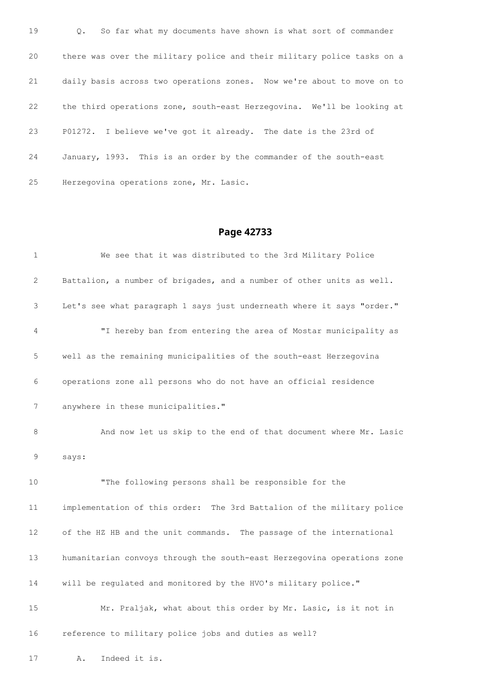Q. So far what my documents have shown is what sort of commander there was over the military police and their military police tasks on a daily basis across two operations zones. Now we're about to move on to the third operations zone, south-east Herzegovina. We'll be looking at P01272. I believe we've got it already. The date is the 23rd of January, 1993. This is an order by the commander of the south-east Herzegovina operations zone, Mr. Lasic.

| $\mathbf{1}$              | We see that it was distributed to the 3rd Military Police               |
|---------------------------|-------------------------------------------------------------------------|
| $\mathbf{2}^{\mathsf{I}}$ | Battalion, a number of brigades, and a number of other units as well.   |
| 3                         | Let's see what paragraph 1 says just underneath where it says "order."  |
| 4                         | "I hereby ban from entering the area of Mostar municipality as          |
| 5                         | well as the remaining municipalities of the south-east Herzegovina      |
| 6                         | operations zone all persons who do not have an official residence       |
| 7                         | anywhere in these municipalities."                                      |
| 8                         | And now let us skip to the end of that document where Mr. Lasic         |
| 9                         | says:                                                                   |
| 10                        | "The following persons shall be responsible for the                     |
| 11                        | implementation of this order: The 3rd Battalion of the military police  |
| 12                        | of the HZ HB and the unit commands. The passage of the international    |
| 13                        | humanitarian convoys through the south-east Herzegovina operations zone |
| 14                        | will be regulated and monitored by the HVO's military police."          |
| 15                        | Mr. Praljak, what about this order by Mr. Lasic, is it not in           |
| 16                        | reference to military police jobs and duties as well?                   |
| 17                        | Indeed it is.<br>Α.                                                     |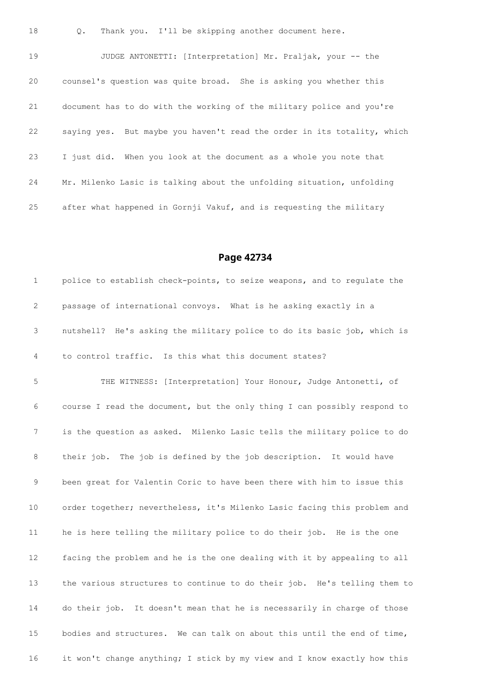Q. Thank you. I'll be skipping another document here.

 JUDGE ANTONETTI: [Interpretation] Mr. Praljak, your -- the counsel's question was quite broad. She is asking you whether this document has to do with the working of the military police and you're saying yes. But maybe you haven't read the order in its totality, which I just did. When you look at the document as a whole you note that Mr. Milenko Lasic is talking about the unfolding situation, unfolding after what happened in Gornji Vakuf, and is requesting the military

### **Page 42734**

1 police to establish check-points, to seize weapons, and to regulate the passage of international convoys. What is he asking exactly in a nutshell? He's asking the military police to do its basic job, which is to control traffic. Is this what this document states? THE WITNESS: [Interpretation] Your Honour, Judge Antonetti, of course I read the document, but the only thing I can possibly respond to is the question as asked. Milenko Lasic tells the military police to do their job. The job is defined by the job description. It would have been great for Valentin Coric to have been there with him to issue this order together; nevertheless, it's Milenko Lasic facing this problem and he is here telling the military police to do their job. He is the one facing the problem and he is the one dealing with it by appealing to all the various structures to continue to do their job. He's telling them to do their job. It doesn't mean that he is necessarily in charge of those bodies and structures. We can talk on about this until the end of time, it won't change anything; I stick by my view and I know exactly how this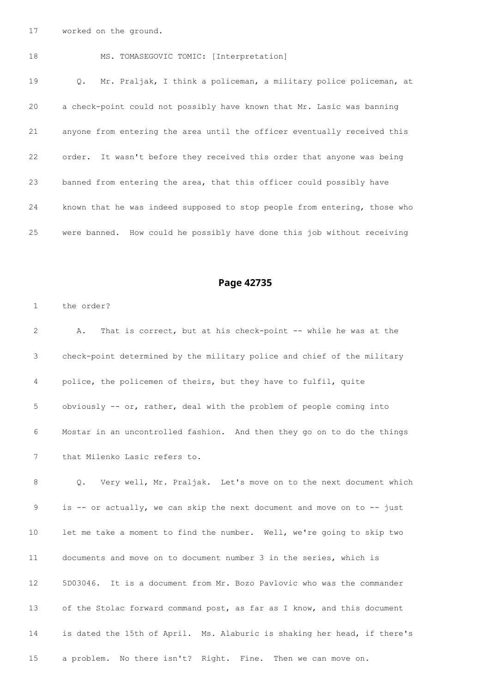worked on the ground.

 MS. TOMASEGOVIC TOMIC: [Interpretation] Q. Mr. Praljak, I think a policeman, a military police policeman, at a check-point could not possibly have known that Mr. Lasic was banning anyone from entering the area until the officer eventually received this order. It wasn't before they received this order that anyone was being banned from entering the area, that this officer could possibly have known that he was indeed supposed to stop people from entering, those who were banned. How could he possibly have done this job without receiving

## **Page 42735**

the order?

 A. That is correct, but at his check-point -- while he was at the check-point determined by the military police and chief of the military police, the policemen of theirs, but they have to fulfil, quite obviously -- or, rather, deal with the problem of people coming into Mostar in an uncontrolled fashion. And then they go on to do the things that Milenko Lasic refers to. Q. Very well, Mr. Praljak. Let's move on to the next document which is -- or actually, we can skip the next document and move on to -- just

 let me take a moment to find the number. Well, we're going to skip two documents and move on to document number 3 in the series, which is 5D03046. It is a document from Mr. Bozo Pavlovic who was the commander of the Stolac forward command post, as far as I know, and this document is dated the 15th of April. Ms. Alaburic is shaking her head, if there's a problem. No there isn't? Right. Fine. Then we can move on.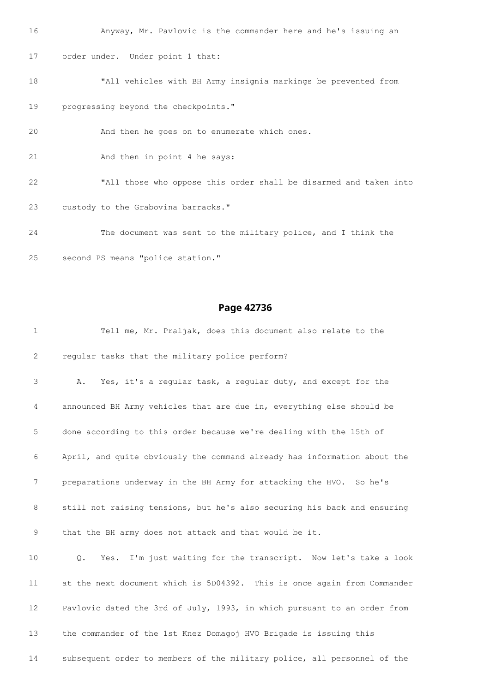Anyway, Mr. Pavlovic is the commander here and he's issuing an order under. Under point 1 that: "All vehicles with BH Army insignia markings be prevented from progressing beyond the checkpoints." And then he goes on to enumerate which ones. 21 And then in point 4 he says: "All those who oppose this order shall be disarmed and taken into custody to the Grabovina barracks." The document was sent to the military police, and I think the second PS means "police station."

| $\mathbf{1}$ | Tell me, Mr. Praljak, does this document also relate to the                  |
|--------------|------------------------------------------------------------------------------|
| 2            | regular tasks that the military police perform?                              |
| 3            | Yes, it's a regular task, a regular duty, and except for the<br>Α.           |
| 4            | announced BH Army vehicles that are due in, everything else should be        |
| 5            | done according to this order because we're dealing with the 15th of          |
| 6            | April, and quite obviously the command already has information about the     |
| 7            | preparations underway in the BH Army for attacking the HVO. So he's          |
| 8            | still not raising tensions, but he's also securing his back and ensuring     |
| 9            | that the BH army does not attack and that would be it.                       |
| 10           | Yes. I'm just waiting for the transcript. Now let's take a look<br>$\circ$ . |
| 11           | at the next document which is 5D04392. This is once again from Commander     |
| 12           | Pavlovic dated the 3rd of July, 1993, in which pursuant to an order from     |
| 13           | the commander of the 1st Knez Domagoj HVO Brigade is issuing this            |
| 14           | subsequent order to members of the military police, all personnel of the     |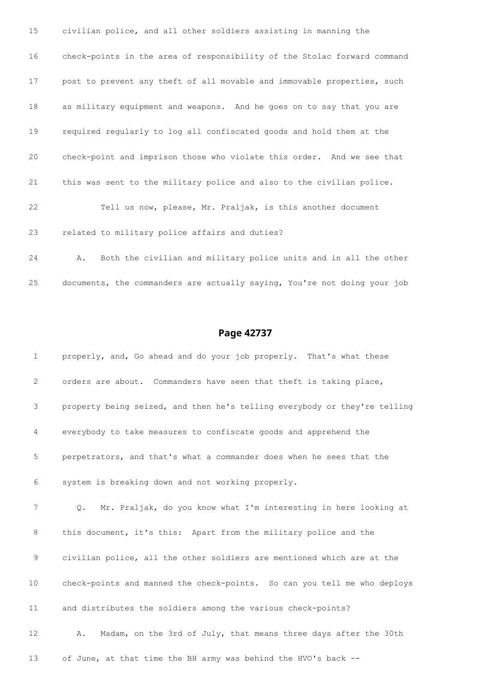| 15 | civilian police, and all other soldiers assisting in manning the         |
|----|--------------------------------------------------------------------------|
| 16 | check-points in the area of responsibility of the Stolac forward command |
| 17 | post to prevent any theft of all movable and immovable properties, such  |
| 18 | as military equipment and weapons. And he goes on to say that you are    |
| 19 | required reqularly to log all confiscated goods and hold them at the     |
| 20 | check-point and imprison those who violate this order. And we see that   |
| 21 | this was sent to the military police and also to the civilian police.    |
| 22 | Tell us now, please, Mr. Praljak, is this another document               |
| 23 | related to military police affairs and duties?                           |
| 24 | Both the civilian and military police units and in all the other<br>Α.   |

documents, the commanders are actually saying, You're not doing your job

| $\mathbf{1}$ | properly, and, Go ahead and do your job properly. That's what these       |
|--------------|---------------------------------------------------------------------------|
| 2            | orders are about. Commanders have seen that theft is taking place,        |
| 3            | property being seized, and then he's telling everybody or they're telling |
| 4            | everybody to take measures to confiscate goods and apprehend the          |
| 5            | perpetrators, and that's what a commander does when he sees that the      |
| 6            | system is breaking down and not working properly.                         |
| 7            | Mr. Praljak, do you know what I'm interesting in here looking at<br>$Q$ . |
| 8            | this document, it's this: Apart from the military police and the          |
| 9            | civilian police, all the other soldiers are mentioned which are at the    |
| 10           | check-points and manned the check-points. So can you tell me who deploys  |
| 11           | and distributes the soldiers among the various check-points?              |
| 12           | Madam, on the 3rd of July, that means three days after the 30th<br>Α.     |
| 13           | of June, at that time the BH army was behind the HVO's back --            |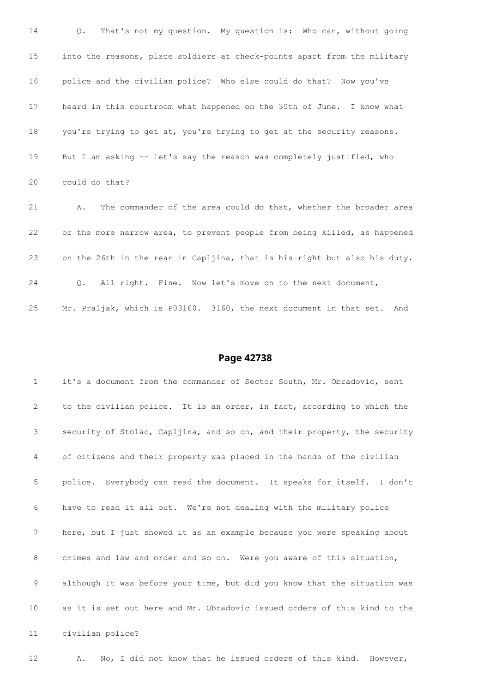Q. That's not my question. My question is: Who can, without going into the reasons, place soldiers at check-points apart from the military police and the civilian police? Who else could do that? Now you've heard in this courtroom what happened on the 30th of June. I know what you're trying to get at, you're trying to get at the security reasons. But I am asking -- let's say the reason was completely justified, who could do that? A. The commander of the area could do that, whether the broader area or the more narrow area, to prevent people from being killed, as happened

on the 26th in the rear in Capljina, that is his right but also his duty.

Q. All right. Fine. Now let's move on to the next document,

Mr. Praljak, which is P03160. 3160, the next document in that set. And

#### **Page 42738**

 it's a document from the commander of Sector South, Mr. Obradovic, sent to the civilian police. It is an order, in fact, according to which the security of Stolac, Capljina, and so on, and their property, the security of citizens and their property was placed in the hands of the civilian police. Everybody can read the document. It speaks for itself. I don't have to read it all out. We're not dealing with the military police here, but I just showed it as an example because you were speaking about crimes and law and order and so on. Were you aware of this situation, although it was before your time, but did you know that the situation was as it is set out here and Mr. Obradovic issued orders of this kind to the civilian police?

A. No, I did not know that he issued orders of this kind. However,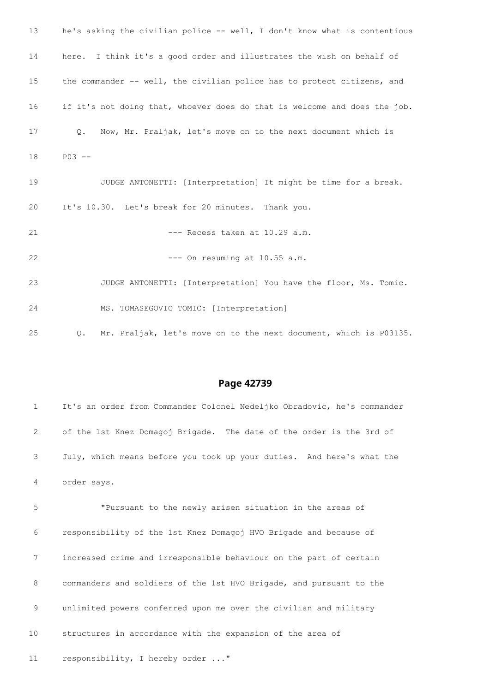| 13 | he's asking the civilian police -- well, I don't know what is contentious  |
|----|----------------------------------------------------------------------------|
| 14 | here. I think it's a good order and illustrates the wish on behalf of      |
| 15 | the commander -- well, the civilian police has to protect citizens, and    |
| 16 | if it's not doing that, whoever does do that is welcome and does the job.  |
| 17 | Now, Mr. Praljak, let's move on to the next document which is<br>$\circ$ . |
| 18 | $P03 - -$                                                                  |
| 19 | JUDGE ANTONETTI: [Interpretation] It might be time for a break.            |
| 20 | It's 10.30. Let's break for 20 minutes. Thank you.                         |
| 21 | --- Recess taken at 10.29 a.m.                                             |
| 22 | --- On resuming at 10.55 a.m.                                              |
| 23 | JUDGE ANTONETTI: [Interpretation] You have the floor, Ms. Tomic.           |
| 24 | MS. TOMASEGOVIC TOMIC: [Interpretation]                                    |
| 25 | Mr. Praljak, let's move on to the next document, which is P03135.<br>Q.    |

| $\mathbf{1}$ | It's an order from Commander Colonel Nedeljko Obradovic, he's commander |
|--------------|-------------------------------------------------------------------------|
| 2            | of the 1st Knez Domagoj Brigade. The date of the order is the 3rd of    |
| 3            | July, which means before you took up your duties. And here's what the   |
| 4            | order says.                                                             |
| 5            | "Pursuant to the newly arisen situation in the areas of                 |
| 6            | responsibility of the 1st Knez Domagoj HVO Brigade and because of       |
| 7            | increased crime and irresponsible behaviour on the part of certain      |
| 8            | commanders and soldiers of the 1st HVO Brigade, and pursuant to the     |
| 9            | unlimited powers conferred upon me over the civilian and military       |

structures in accordance with the expansion of the area of

11 responsibility, I hereby order ..."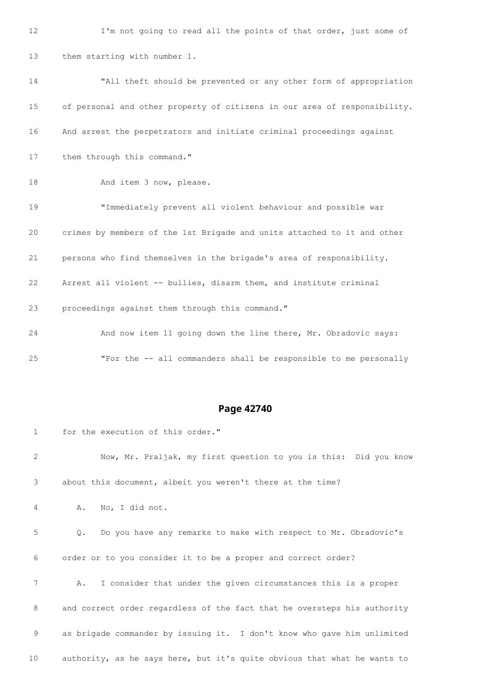12 I'm not going to read all the points of that order, just some of them starting with number 1. "All theft should be prevented or any other form of appropriation of personal and other property of citizens in our area of responsibility. And arrest the perpetrators and initiate criminal proceedings against 17 them through this command." 18 And item 3 now, please. "Immediately prevent all violent behaviour and possible war crimes by members of the 1st Brigade and units attached to it and other persons who find themselves in the brigade's area of responsibility. Arrest all violent -- bullies, disarm them, and institute criminal proceedings against them through this command." And now item 11 going down the line there, Mr. Obradovic says: "For the -- all commanders shall be responsible to me personally

| $\mathbf{1}$ | for the execution of this order."                                        |
|--------------|--------------------------------------------------------------------------|
| 2            | Now, Mr. Praljak, my first question to you is this: Did you know         |
| 3            | about this document, albeit you weren't there at the time?               |
| 4            | No, I did not.<br>Α.                                                     |
| 5            | Do you have any remarks to make with respect to Mr. Obradovic's<br>Q.    |
| 6            | order or to you consider it to be a proper and correct order?            |
| 7            | I consider that under the given circumstances this is a proper<br>Α.     |
| 8            | and correct order regardless of the fact that he oversteps his authority |
| 9            | as brigade commander by issuing it. I don't know who gave him unlimited  |
| 10           | authority, as he says here, but it's quite obvious that what he wants to |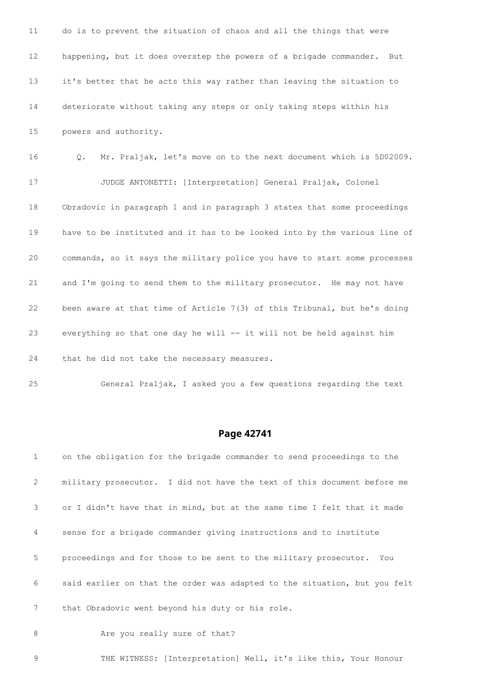do is to prevent the situation of chaos and all the things that were happening, but it does overstep the powers of a brigade commander. But it's better that he acts this way rather than leaving the situation to deteriorate without taking any steps or only taking steps within his powers and authority. Q. Mr. Praljak, let's move on to the next document which is 5D02009. JUDGE ANTONETTI: [Interpretation] General Praljak, Colonel Obradovic in paragraph 1 and in paragraph 3 states that some proceedings have to be instituted and it has to be looked into by the various line of commands, so it says the military police you have to start some processes and I'm going to send them to the military prosecutor. He may not have been aware at that time of Article 7(3) of this Tribunal, but he's doing 23 everything so that one day he will -- it will not be held against him that he did not take the necessary measures.

General Praljak, I asked you a few questions regarding the text

### **Page 42741**

| $\mathbf{1}$ | on the obligation for the brigade commander to send proceedings to the    |
|--------------|---------------------------------------------------------------------------|
| 2            | military prosecutor. I did not have the text of this document before me   |
| 3            | or I didn't have that in mind, but at the same time I felt that it made   |
| 4            | sense for a brigade commander giving instructions and to institute        |
| 5            | proceedings and for those to be sent to the military prosecutor.<br>You   |
| 6            | said earlier on that the order was adapted to the situation, but you felt |
| 7            | that Obradovic went beyond his duty or his role.                          |
| 8            | Are you really sure of that?                                              |

THE WITNESS: [Interpretation] Well, it's like this, Your Honour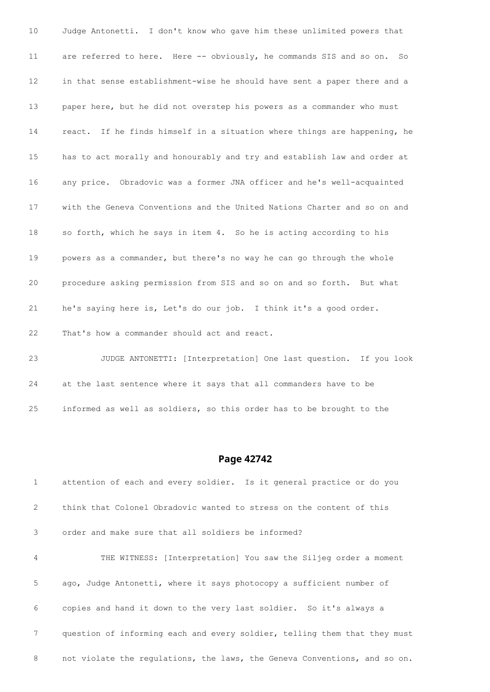Judge Antonetti. I don't know who gave him these unlimited powers that are referred to here. Here -- obviously, he commands SIS and so on. So in that sense establishment-wise he should have sent a paper there and a paper here, but he did not overstep his powers as a commander who must react. If he finds himself in a situation where things are happening, he has to act morally and honourably and try and establish law and order at any price. Obradovic was a former JNA officer and he's well-acquainted with the Geneva Conventions and the United Nations Charter and so on and so forth, which he says in item 4. So he is acting according to his powers as a commander, but there's no way he can go through the whole procedure asking permission from SIS and so on and so forth. But what he's saying here is, Let's do our job. I think it's a good order. That's how a commander should act and react.

 JUDGE ANTONETTI: [Interpretation] One last question. If you look at the last sentence where it says that all commanders have to be informed as well as soldiers, so this order has to be brought to the

### **Page 42742**

 attention of each and every soldier. Is it general practice or do you think that Colonel Obradovic wanted to stress on the content of this order and make sure that all soldiers be informed? THE WITNESS: [Interpretation] You saw the Siljeg order a moment ago, Judge Antonetti, where it says photocopy a sufficient number of copies and hand it down to the very last soldier. So it's always a question of informing each and every soldier, telling them that they must 8 not violate the regulations, the laws, the Geneva Conventions, and so on.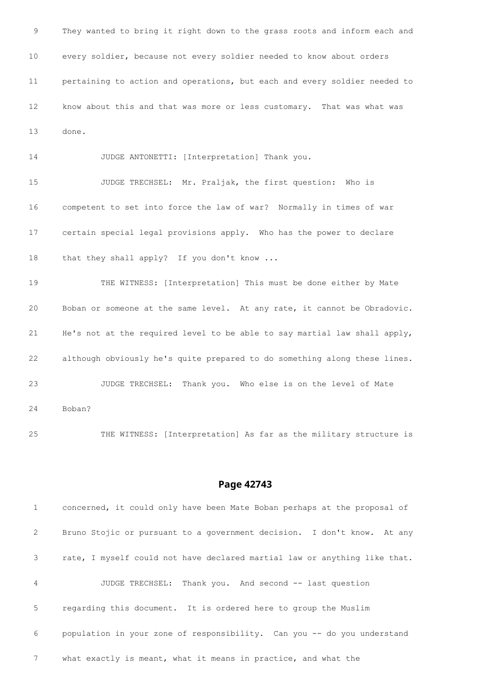They wanted to bring it right down to the grass roots and inform each and every soldier, because not every soldier needed to know about orders pertaining to action and operations, but each and every soldier needed to know about this and that was more or less customary. That was what was done.

JUDGE ANTONETTI: [Interpretation] Thank you.

 JUDGE TRECHSEL: Mr. Praljak, the first question: Who is competent to set into force the law of war? Normally in times of war certain special legal provisions apply. Who has the power to declare 18 that they shall apply? If you don't know ...

 THE WITNESS: [Interpretation] This must be done either by Mate Boban or someone at the same level. At any rate, it cannot be Obradovic. He's not at the required level to be able to say martial law shall apply, although obviously he's quite prepared to do something along these lines. JUDGE TRECHSEL: Thank you. Who else is on the level of Mate Boban?

THE WITNESS: [Interpretation] As far as the military structure is

#### **Page 42743**

 concerned, it could only have been Mate Boban perhaps at the proposal of Bruno Stojic or pursuant to a government decision. I don't know. At any rate, I myself could not have declared martial law or anything like that. JUDGE TRECHSEL: Thank you. And second -- last question regarding this document. It is ordered here to group the Muslim population in your zone of responsibility. Can you -- do you understand what exactly is meant, what it means in practice, and what the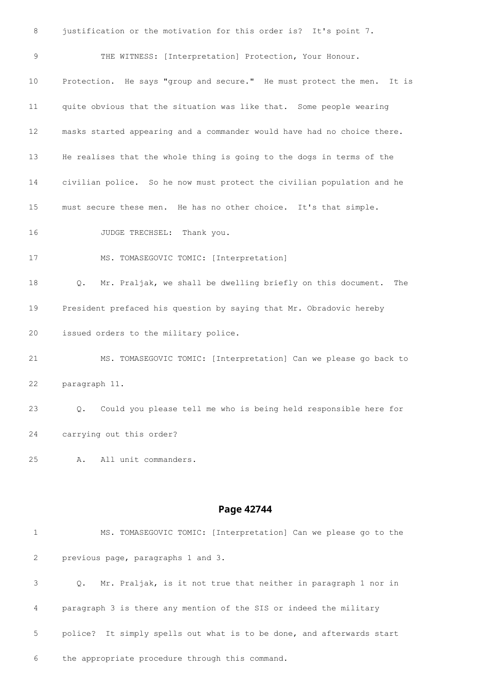justification or the motivation for this order is? It's point 7. THE WITNESS: [Interpretation] Protection, Your Honour. Protection. He says "group and secure." He must protect the men. It is quite obvious that the situation was like that. Some people wearing masks started appearing and a commander would have had no choice there. He realises that the whole thing is going to the dogs in terms of the civilian police. So he now must protect the civilian population and he must secure these men. He has no other choice. It's that simple. 16 JUDGE TRECHSEL: Thank you. MS. TOMASEGOVIC TOMIC: [Interpretation] Q. Mr. Praljak, we shall be dwelling briefly on this document. The President prefaced his question by saying that Mr. Obradovic hereby issued orders to the military police. MS. TOMASEGOVIC TOMIC: [Interpretation] Can we please go back to paragraph 11. Q. Could you please tell me who is being held responsible here for carrying out this order? A. All unit commanders. **Page 42744** MS. TOMASEGOVIC TOMIC: [Interpretation] Can we please go to the

 previous page, paragraphs 1 and 3. Q. Mr. Praljak, is it not true that neither in paragraph 1 nor in paragraph 3 is there any mention of the SIS or indeed the military police? It simply spells out what is to be done, and afterwards start the appropriate procedure through this command.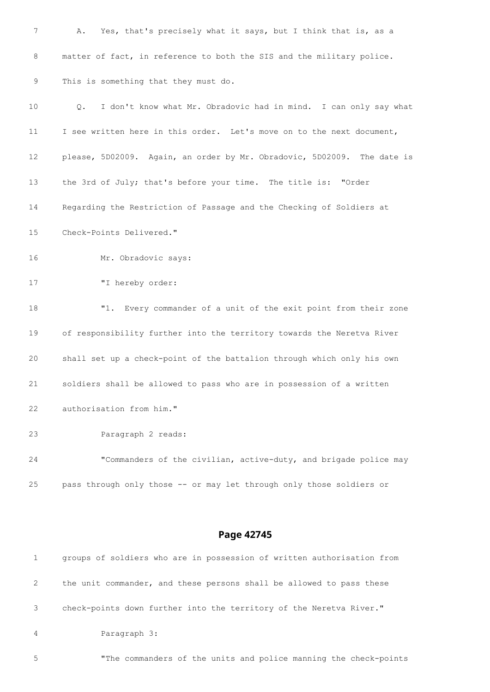| 7  | Yes, that's precisely what it says, but I think that is, as a<br>Α.     |
|----|-------------------------------------------------------------------------|
| 8  | matter of fact, in reference to both the SIS and the military police.   |
| 9  | This is something that they must do.                                    |
| 10 | I don't know what Mr. Obradovic had in mind. I can only say what<br>Q.  |
| 11 | I see written here in this order. Let's move on to the next document,   |
| 12 | please, 5D02009. Again, an order by Mr. Obradovic, 5D02009. The date is |
| 13 | the 3rd of July; that's before your time. The title is: "Order          |
| 14 | Regarding the Restriction of Passage and the Checking of Soldiers at    |
| 15 | Check-Points Delivered."                                                |
| 16 | Mr. Obradovic says:                                                     |
| 17 | "I hereby order:                                                        |
| 18 | "1. Every commander of a unit of the exit point from their zone         |
| 19 | of responsibility further into the territory towards the Neretva River  |
| 20 | shall set up a check-point of the battalion through which only his own  |
| 21 | soldiers shall be allowed to pass who are in possession of a written    |
| 22 | authorisation from him."                                                |
| 23 | Paragraph 2 reads:                                                      |
| 24 | "Commanders of the civilian, active-duty, and brigade police may        |
| 25 | pass through only those -- or may let through only those soldiers or    |
|    |                                                                         |

|                | groups of soldiers who are in possession of written authorisation from |
|----------------|------------------------------------------------------------------------|
| 2              | the unit commander, and these persons shall be allowed to pass these   |
| 3              | check-points down further into the territory of the Neretva River."    |
| $\overline{4}$ | Paragraph 3:                                                           |

"The commanders of the units and police manning the check-points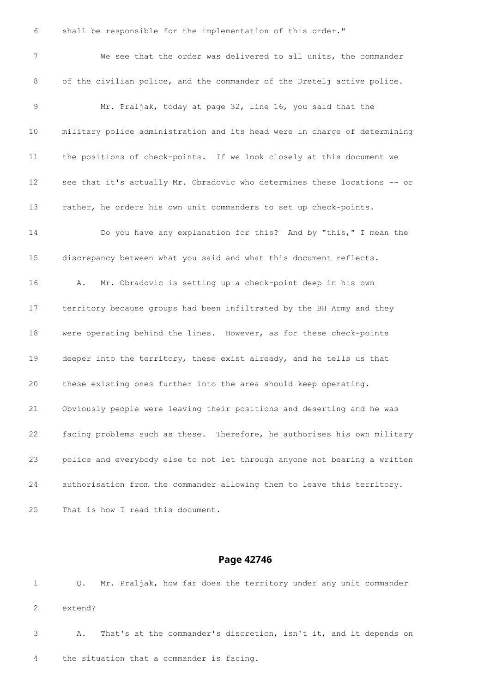shall be responsible for the implementation of this order." We see that the order was delivered to all units, the commander of the civilian police, and the commander of the Dretelj active police. Mr. Praljak, today at page 32, line 16, you said that the military police administration and its head were in charge of determining the positions of check-points. If we look closely at this document we see that it's actually Mr. Obradovic who determines these locations -- or rather, he orders his own unit commanders to set up check-points. Do you have any explanation for this? And by "this," I mean the discrepancy between what you said and what this document reflects. A. Mr. Obradovic is setting up a check-point deep in his own territory because groups had been infiltrated by the BH Army and they were operating behind the lines. However, as for these check-points deeper into the territory, these exist already, and he tells us that these existing ones further into the area should keep operating. Obviously people were leaving their positions and deserting and he was facing problems such as these. Therefore, he authorises his own military police and everybody else to not let through anyone not bearing a written authorisation from the commander allowing them to leave this territory. That is how I read this document.

### **Page 42746**

 Q. Mr. Praljak, how far does the territory under any unit commander extend? A. That's at the commander's discretion, isn't it, and it depends on

the situation that a commander is facing.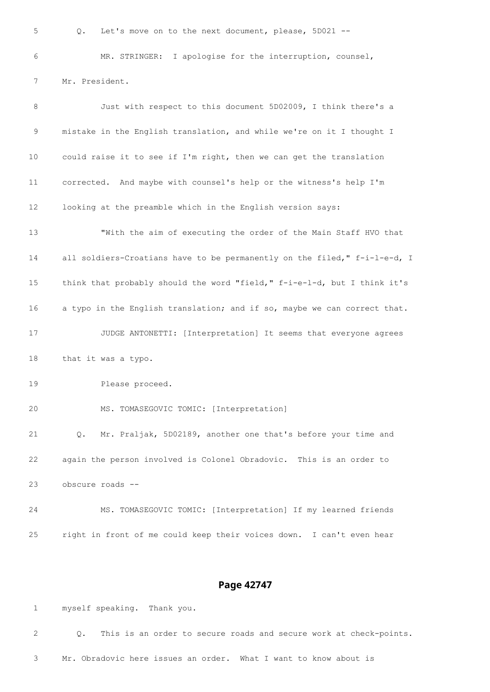Q. Let's move on to the next document, please, 5D021 -- MR. STRINGER: I apologise for the interruption, counsel, Mr. President. 8 Just with respect to this document 5D02009, I think there's a mistake in the English translation, and while we're on it I thought I could raise it to see if I'm right, then we can get the translation corrected. And maybe with counsel's help or the witness's help I'm looking at the preamble which in the English version says: "With the aim of executing the order of the Main Staff HVO that 14 all soldiers-Croatians have to be permanently on the filed," f-i-l-e-d, I 15 think that probably should the word "field," f-i-e-1-d, but I think it's a typo in the English translation; and if so, maybe we can correct that. JUDGE ANTONETTI: [Interpretation] It seems that everyone agrees that it was a typo. Please proceed. MS. TOMASEGOVIC TOMIC: [Interpretation] Q. Mr. Praljak, 5D02189, another one that's before your time and again the person involved is Colonel Obradovic. This is an order to obscure roads -- MS. TOMASEGOVIC TOMIC: [Interpretation] If my learned friends right in front of me could keep their voices down. I can't even hear

#### **Page 42747**

myself speaking. Thank you.

 Q. This is an order to secure roads and secure work at check-points. Mr. Obradovic here issues an order. What I want to know about is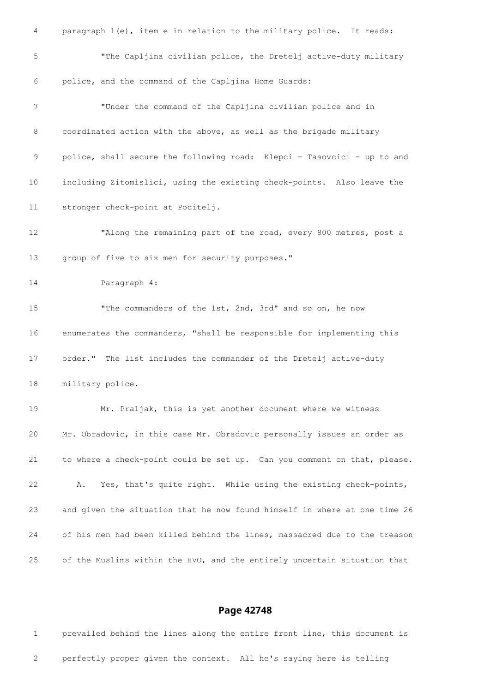| 4  | paragraph 1(e), item e in relation to the military police. It reads:      |
|----|---------------------------------------------------------------------------|
| 5  | "The Capljina civilian police, the Dretelj active-duty military           |
| 6  | police, and the command of the Capljina Home Guards:                      |
| 7  | "Under the command of the Capljina civilian police and in                 |
| 8  | coordinated action with the above, as well as the brigade military        |
| 9  | police, shall secure the following road: Klepci - Tasovcici - up to and   |
| 10 | including Zitomislici, using the existing check-points. Also leave the    |
| 11 | stronger check-point at Pocitelj.                                         |
| 12 | "Along the remaining part of the road, every 800 metres, post a           |
| 13 | group of five to six men for security purposes."                          |
| 14 | Paragraph 4:                                                              |
| 15 | "The commanders of the 1st, 2nd, 3rd" and so on, he now                   |
| 16 | enumerates the commanders, "shall be responsible for implementing this    |
| 17 | order." The list includes the commander of the Dretelj active-duty        |
| 18 | military police.                                                          |
| 19 | Mr. Praljak, this is yet another document where we witness                |
| 20 | Mr. Obradovic, in this case Mr. Obradovic personally issues an order as   |
| 21 | to where a check-point could be set up. Can you comment on that, please.  |
| 22 | Yes, that's quite right. While using the existing check-points,<br>Α.     |
| 23 | and given the situation that he now found himself in where at one time 26 |
| 24 | of his men had been killed behind the lines, massacred due to the treason |
| 25 | of the Muslims within the HVO, and the entirely uncertain situation that  |

 prevailed behind the lines along the entire front line, this document is perfectly proper given the context. All he's saying here is telling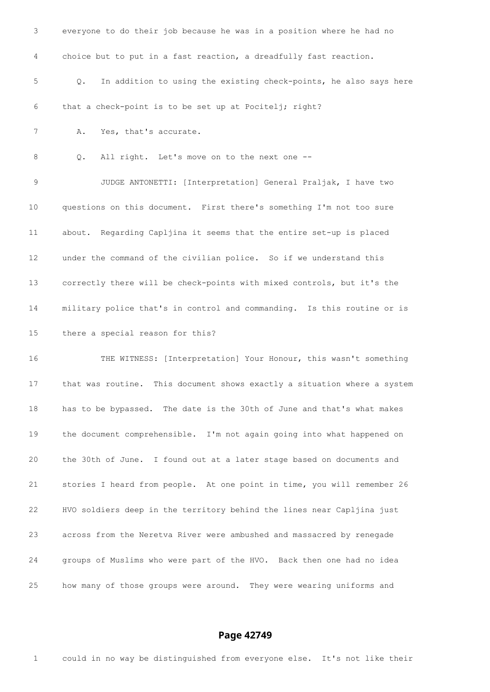| 3  | everyone to do their job because he was in a position where he had no    |
|----|--------------------------------------------------------------------------|
| 4  | choice but to put in a fast reaction, a dreadfully fast reaction.        |
| 5  | In addition to using the existing check-points, he also says here<br>Q.  |
| 6  | that a check-point is to be set up at Pocitelj; right?                   |
| 7  | Yes, that's accurate.<br>Α.                                              |
| 8  | All right. Let's move on to the next one --<br>Q.                        |
| 9  | JUDGE ANTONETTI: [Interpretation] General Praljak, I have two            |
| 10 | questions on this document. First there's something I'm not too sure     |
| 11 | about. Regarding Capljina it seems that the entire set-up is placed      |
| 12 | under the command of the civilian police. So if we understand this       |
| 13 | correctly there will be check-points with mixed controls, but it's the   |
| 14 | military police that's in control and commanding. Is this routine or is  |
| 15 | there a special reason for this?                                         |
| 16 | THE WITNESS: [Interpretation] Your Honour, this wasn't something         |
| 17 | that was routine. This document shows exactly a situation where a system |
| 18 | has to be bypassed. The date is the 30th of June and that's what makes   |
| 19 | the document comprehensible. I'm not again going into what happened on   |
| 20 | the 30th of June. I found out at a later stage based on documents and    |
| 21 | stories I heard from people. At one point in time, you will remember 26  |
| 22 | HVO soldiers deep in the territory behind the lines near Capljina just   |
| 23 | across from the Neretva River were ambushed and massacred by renegade    |
| 24 | groups of Muslims who were part of the HVO. Back then one had no idea    |
| 25 | how many of those groups were around. They were wearing uniforms and     |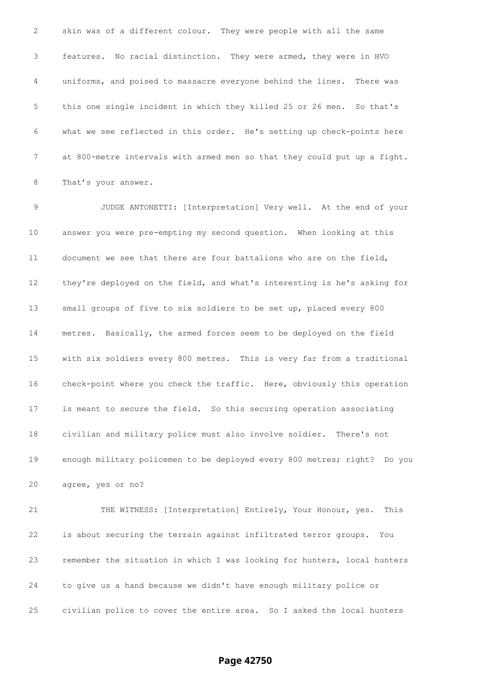skin was of a different colour. They were people with all the same features. No racial distinction. They were armed, they were in HVO uniforms, and poised to massacre everyone behind the lines. There was this one single incident in which they killed 25 or 26 men. So that's what we see reflected in this order. He's setting up check-points here at 800-metre intervals with armed men so that they could put up a fight. That's your answer.

 JUDGE ANTONETTI: [Interpretation] Very well. At the end of your answer you were pre-empting my second question. When looking at this document we see that there are four battalions who are on the field, they're deployed on the field, and what's interesting is he's asking for small groups of five to six soldiers to be set up, placed every 800 metres. Basically, the armed forces seem to be deployed on the field with six soldiers every 800 metres. This is very far from a traditional check-point where you check the traffic. Here, obviously this operation is meant to secure the field. So this securing operation associating civilian and military police must also involve soldier. There's not enough military policemen to be deployed every 800 metres; right? Do you agree, yes or no?

 THE WITNESS: [Interpretation] Entirely, Your Honour, yes. This is about securing the terrain against infiltrated terror groups. You remember the situation in which I was looking for hunters, local hunters to give us a hand because we didn't have enough military police or civilian police to cover the entire area. So I asked the local hunters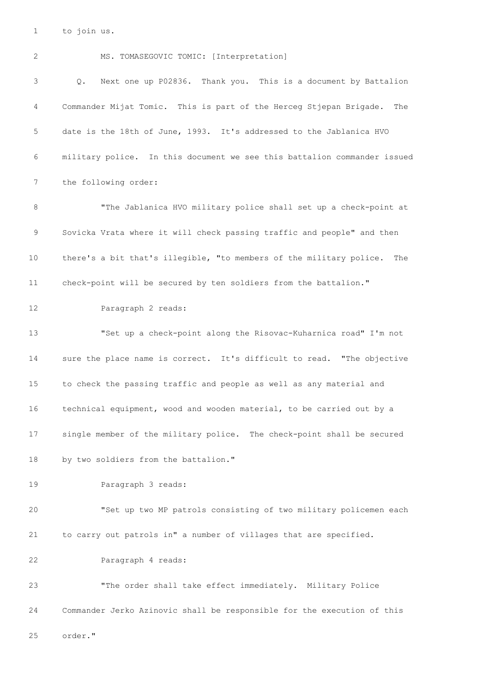to join us.

 MS. TOMASEGOVIC TOMIC: [Interpretation] Q. Next one up P02836. Thank you. This is a document by Battalion Commander Mijat Tomic. This is part of the Herceg Stjepan Brigade. The date is the 18th of June, 1993. It's addressed to the Jablanica HVO military police. In this document we see this battalion commander issued the following order: "The Jablanica HVO military police shall set up a check-point at Sovicka Vrata where it will check passing traffic and people" and then there's a bit that's illegible, "to members of the military police. The check-point will be secured by ten soldiers from the battalion." Paragraph 2 reads: "Set up a check-point along the Risovac-Kuharnica road" I'm not sure the place name is correct. It's difficult to read. "The objective to check the passing traffic and people as well as any material and technical equipment, wood and wooden material, to be carried out by a single member of the military police. The check-point shall be secured by two soldiers from the battalion." Paragraph 3 reads: "Set up two MP patrols consisting of two military policemen each to carry out patrols in" a number of villages that are specified. Paragraph 4 reads: "The order shall take effect immediately. Military Police Commander Jerko Azinovic shall be responsible for the execution of this order."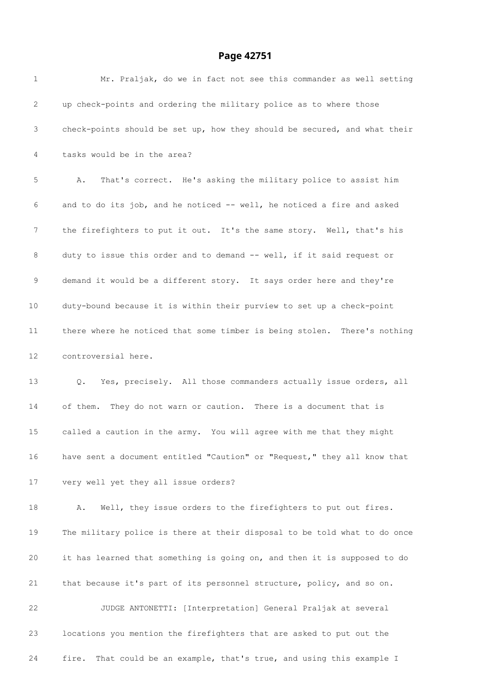| $\mathbf 1$ | Mr. Praljak, do we in fact not see this commander as well setting         |
|-------------|---------------------------------------------------------------------------|
| 2           | up check-points and ordering the military police as to where those        |
| 3           | check-points should be set up, how they should be secured, and what their |
| 4           | tasks would be in the area?                                               |
| 5           | That's correct. He's asking the military police to assist him<br>Α.       |
| 6           | and to do its job, and he noticed -- well, he noticed a fire and asked    |
| 7           | the firefighters to put it out. It's the same story. Well, that's his     |
| 8           | duty to issue this order and to demand -- well, if it said request or     |
| $\mathsf 9$ | demand it would be a different story. It says order here and they're      |
| 10          | duty-bound because it is within their purview to set up a check-point     |
| 11          | there where he noticed that some timber is being stolen. There's nothing  |
| 12          | controversial here.                                                       |
| 13          | Yes, precisely. All those commanders actually issue orders, all<br>Q.     |
| 14          | of them. They do not warn or caution. There is a document that is         |
| 15          | called a caution in the army. You will agree with me that they might      |
| 16          | have sent a document entitled "Caution" or "Request," they all know that  |
| 17          | very well yet they all issue orders?                                      |
| 18          | Well, they issue orders to the firefighters to put out fires.<br>Α.       |
| 19          | The military police is there at their disposal to be told what to do once |
| 20          | it has learned that something is going on, and then it is supposed to do  |
| 21          | that because it's part of its personnel structure, policy, and so on.     |
| 22          | JUDGE ANTONETTI: [Interpretation] General Praljak at several              |
| 23          | locations you mention the firefighters that are asked to put out the      |
| 24          | That could be an example, that's true, and using this example I<br>fire.  |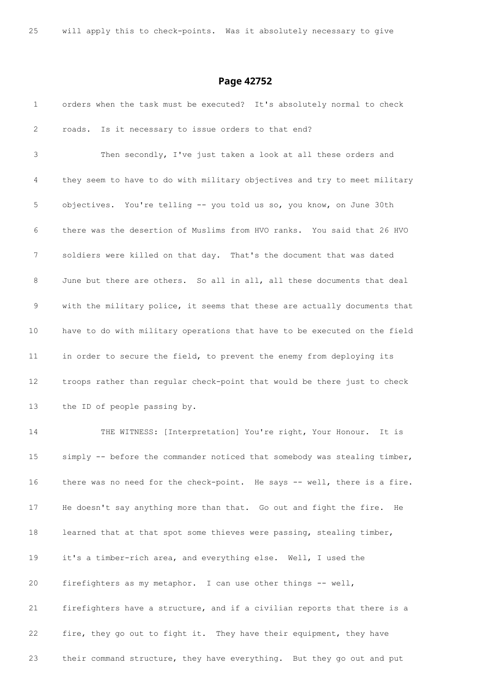| $\mathbf{1}$ | orders when the task must be executed? It's absolutely normal to check    |
|--------------|---------------------------------------------------------------------------|
| 2            | Is it necessary to issue orders to that end?<br>roads.                    |
| 3            | Then secondly, I've just taken a look at all these orders and             |
| 4            | they seem to have to do with military objectives and try to meet military |
| 5            | objectives. You're telling -- you told us so, you know, on June 30th      |
| 6            | there was the desertion of Muslims from HVO ranks. You said that 26 HVO   |
| 7            | soldiers were killed on that day. That's the document that was dated      |
| 8            | June but there are others. So all in all, all these documents that deal   |
| 9            | with the military police, it seems that these are actually documents that |
| 10           | have to do with military operations that have to be executed on the field |
| 11           | in order to secure the field, to prevent the enemy from deploying its     |
| 12           | troops rather than regular check-point that would be there just to check  |
| 13           | the ID of people passing by.                                              |
| 14           | THE WITNESS: [Interpretation] You're right, Your Honour.<br>It is         |
| 15           | simply -- before the commander noticed that somebody was stealing timber, |
| 16           | there was no need for the check-point. He says -- well, there is a fire.  |
| 17           | He doesn't say anything more than that. Go out and fight the fire.<br>He  |
| 18           | learned that at that spot some thieves were passing, stealing timber,     |
| 19           | it's a timber-rich area, and everything else. Well, I used the            |
| 20           | firefighters as my metaphor. I can use other things -- well,              |
| 21           | firefighters have a structure, and if a civilian reports that there is a  |
| 22           | fire, they go out to fight it. They have their equipment, they have       |
| 23           | their command structure, they have everything. But they go out and put    |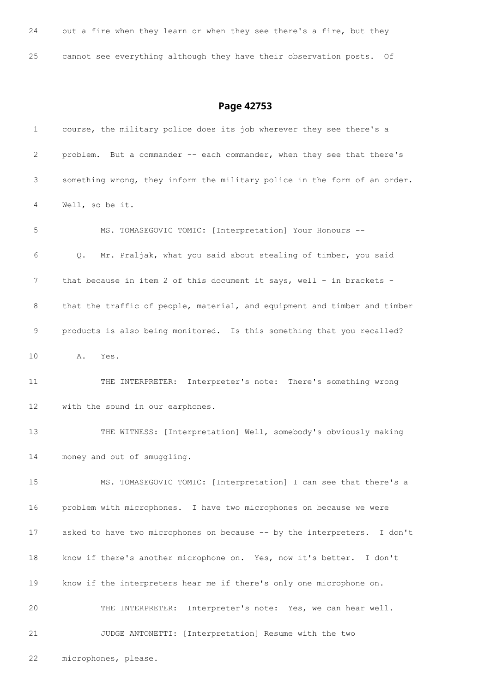out a fire when they learn or when they see there's a fire, but they cannot see everything although they have their observation posts. Of

| 1  | course, the military police does its job wherever they see there's a      |
|----|---------------------------------------------------------------------------|
| 2  | problem. But a commander -- each commander, when they see that there's    |
| 3  | something wrong, they inform the military police in the form of an order. |
| 4  | Well, so be it.                                                           |
| 5  | MS. TOMASEGOVIC TOMIC: [Interpretation] Your Honours --                   |
| 6  | Mr. Praljak, what you said about stealing of timber, you said<br>Q.       |
| 7  | that because in item 2 of this document it says, well - in brackets -     |
| 8  | that the traffic of people, material, and equipment and timber and timber |
| 9  | products is also being monitored. Is this something that you recalled?    |
| 10 | A. Yes.                                                                   |
| 11 | THE INTERPRETER: Interpreter's note: There's something wrong              |
| 12 | with the sound in our earphones.                                          |
| 13 | THE WITNESS: [Interpretation] Well, somebody's obviously making           |
| 14 | money and out of smuggling.                                               |
| 15 | MS. TOMASEGOVIC TOMIC: [Interpretation] I can see that there's a          |
| 16 | problem with microphones. I have two microphones on because we were       |
| 17 | asked to have two microphones on because -- by the interpreters. I don't  |
| 18 | know if there's another microphone on. Yes, now it's better. I don't      |
| 19 | know if the interpreters hear me if there's only one microphone on.       |
| 20 | THE INTERPRETER: Interpreter's note: Yes, we can hear well.               |
| 21 | JUDGE ANTONETTI: [Interpretation] Resume with the two                     |
| 22 | microphones, please.                                                      |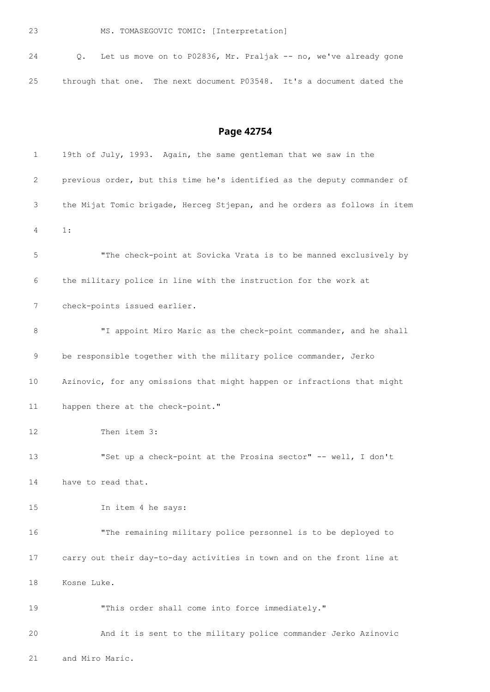MS. TOMASEGOVIC TOMIC: [Interpretation]

| 24 |  |  |  |  | 0. Let us move on to P02836, Mr. Praljak -- no, we've already gone    |  |  |  |
|----|--|--|--|--|-----------------------------------------------------------------------|--|--|--|
| 25 |  |  |  |  | through that one. The next document P03548. It's a document dated the |  |  |  |

**Page 42754**

| 1  | 19th of July, 1993. Again, the same gentleman that we saw in the          |
|----|---------------------------------------------------------------------------|
| 2  | previous order, but this time he's identified as the deputy commander of  |
| 3  | the Mijat Tomic brigade, Herceg Stjepan, and he orders as follows in item |
| 4  | 1:                                                                        |
| 5  | "The check-point at Sovicka Vrata is to be manned exclusively by          |
| 6  | the military police in line with the instruction for the work at          |
| 7  | check-points issued earlier.                                              |
| 8  | "I appoint Miro Maric as the check-point commander, and he shall          |
| 9  | be responsible together with the military police commander, Jerko         |
| 10 | Azinovic, for any omissions that might happen or infractions that might   |
| 11 | happen there at the check-point."                                         |
| 12 | Then item 3:                                                              |
| 13 | "Set up a check-point at the Prosina sector" -- well, I don't             |
| 14 | have to read that.                                                        |
| 15 | In item 4 he says:                                                        |
| 16 | "The remaining military police personnel is to be deployed to             |
| 17 | carry out their day-to-day activities in town and on the front line at    |
| 18 | Kosne Luke.                                                               |
| 19 | "This order shall come into force immediately."                           |
| 20 | And it is sent to the military police commander Jerko Azinovic            |

and Miro Maric.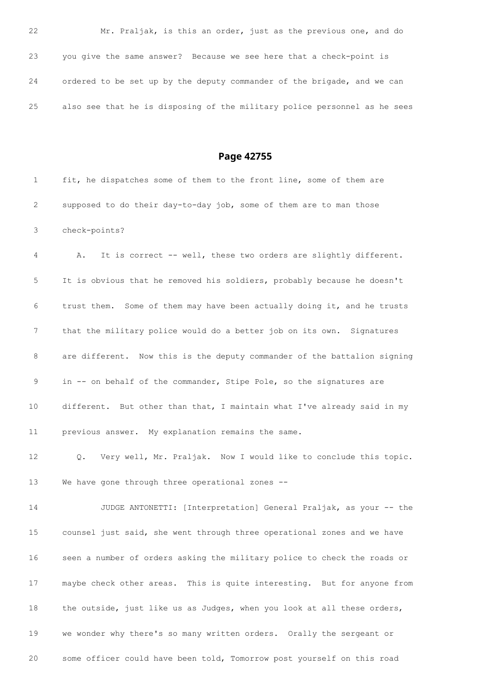Mr. Praljak, is this an order, just as the previous one, and do you give the same answer? Because we see here that a check-point is ordered to be set up by the deputy commander of the brigade, and we can also see that he is disposing of the military police personnel as he sees

**Page 42755**

|   | fit, he dispatches some of them to the front line, some of them are |
|---|---------------------------------------------------------------------|
| 2 | supposed to do their day-to-day job, some of them are to man those  |
|   | 3 check-points?                                                     |

 A. It is correct -- well, these two orders are slightly different. It is obvious that he removed his soldiers, probably because he doesn't trust them. Some of them may have been actually doing it, and he trusts that the military police would do a better job on its own. Signatures are different. Now this is the deputy commander of the battalion signing in -- on behalf of the commander, Stipe Pole, so the signatures are different. But other than that, I maintain what I've already said in my previous answer. My explanation remains the same.

 Q. Very well, Mr. Praljak. Now I would like to conclude this topic. We have gone through three operational zones --

 JUDGE ANTONETTI: [Interpretation] General Praljak, as your -- the counsel just said, she went through three operational zones and we have seen a number of orders asking the military police to check the roads or maybe check other areas. This is quite interesting. But for anyone from the outside, just like us as Judges, when you look at all these orders, we wonder why there's so many written orders. Orally the sergeant or some officer could have been told, Tomorrow post yourself on this road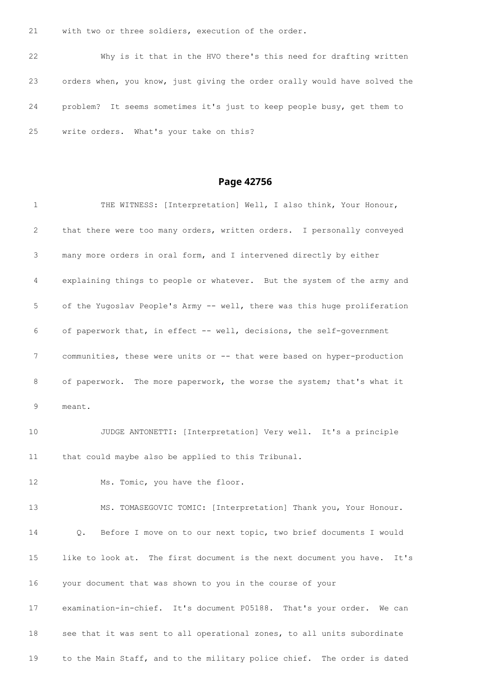with two or three soldiers, execution of the order.

 Why is it that in the HVO there's this need for drafting written orders when, you know, just giving the order orally would have solved the problem? It seems sometimes it's just to keep people busy, get them to write orders. What's your take on this?

| $\mathbf{1}$    | THE WITNESS: [Interpretation] Well, I also think, Your Honour,           |
|-----------------|--------------------------------------------------------------------------|
| 2               | that there were too many orders, written orders. I personally conveyed   |
| 3               | many more orders in oral form, and I intervened directly by either       |
| 4               | explaining things to people or whatever. But the system of the army and  |
| 5               | of the Yugoslav People's Army -- well, there was this huge proliferation |
| 6               | of paperwork that, in effect -- well, decisions, the self-government     |
| 7               | communities, these were units or -- that were based on hyper-production  |
| 8               | of paperwork. The more paperwork, the worse the system; that's what it   |
| 9               | meant.                                                                   |
| 10              | JUDGE ANTONETTI: [Interpretation] Very well. It's a principle            |
| 11              | that could maybe also be applied to this Tribunal.                       |
| 12 <sup>2</sup> | Ms. Tomic, you have the floor.                                           |
| 13              | MS. TOMASEGOVIC TOMIC: [Interpretation] Thank you, Your Honour.          |
| 14              | Before I move on to our next topic, two brief documents I would<br>Q.    |
| 15              | like to look at. The first document is the next document you have. It's  |
| 16              | your document that was shown to you in the course of your                |
| 17              | examination-in-chief. It's document P05188. That's your order.<br>We can |
| 18              | see that it was sent to all operational zones, to all units subordinate  |
| 19              | to the Main Staff, and to the military police chief. The order is dated  |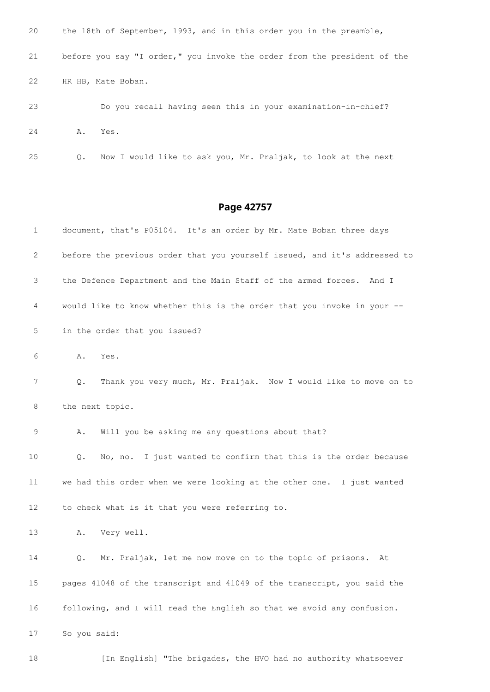| 20 |    | the 18th of September, 1993, and in this order you in the preamble,      |
|----|----|--------------------------------------------------------------------------|
| 21 |    | before you say "I order," you invoke the order from the president of the |
| 22 |    | HR HB, Mate Boban.                                                       |
| 23 |    | Do you recall having seen this in your examination-in-chief?             |
| 24 | Α. | Yes.                                                                     |
| 25 | О. | Now I would like to ask you, Mr. Praljak, to look at the next            |

| 1  | document, that's P05104. It's an order by Mr. Mate Boban three days       |
|----|---------------------------------------------------------------------------|
| 2  | before the previous order that you yourself issued, and it's addressed to |
| 3  | the Defence Department and the Main Staff of the armed forces.<br>And I   |
| 4  | would like to know whether this is the order that you invoke in your --   |
| 5  | in the order that you issued?                                             |
| 6  | Α.<br>Yes.                                                                |
| 7  | Thank you very much, Mr. Praljak. Now I would like to move on to<br>Q.    |
| 8  | the next topic.                                                           |
| 9  | Will you be asking me any questions about that?<br>Α.                     |
| 10 | No, no. I just wanted to confirm that this is the order because<br>Q.     |
| 11 | we had this order when we were looking at the other one. I just wanted    |
| 12 | to check what is it that you were referring to.                           |
| 13 | Very well.<br>Α.                                                          |
| 14 | Mr. Praljak, let me now move on to the topic of prisons.<br>Q.<br>At      |
| 15 | pages 41048 of the transcript and 41049 of the transcript, you said the   |
| 16 | following, and I will read the English so that we avoid any confusion.    |
| 17 | So you said:                                                              |
| 18 | [In English] "The brigades, the HVO had no authority whatsoever           |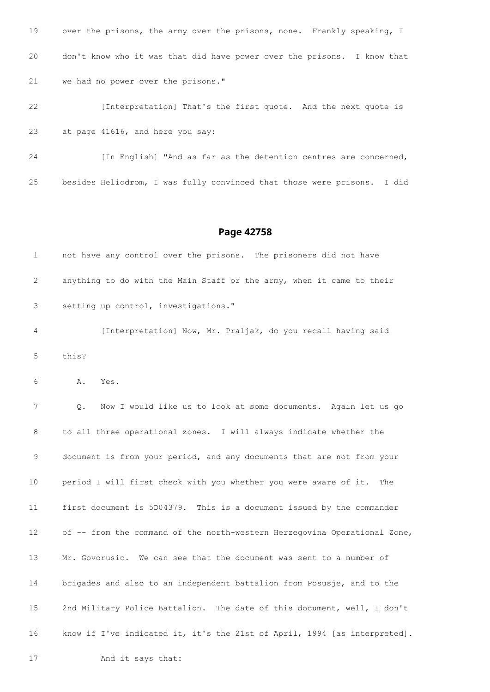| 19 | over the prisons, the army over the prisons, none. Frankly speaking, I  |
|----|-------------------------------------------------------------------------|
| 20 | don't know who it was that did have power over the prisons. I know that |
| 21 | we had no power over the prisons."                                      |
| 22 | [Interpretation] That's the first quote. And the next quote is          |
| 23 | at page 41616, and here you say:                                        |
| 24 | [In English] "And as far as the detention centres are concerned,        |

besides Heliodrom, I was fully convinced that those were prisons. I did

### **Page 42758**

| 1              |       | not have any control over the prisons. The prisoners did not have     |
|----------------|-------|-----------------------------------------------------------------------|
| 2              |       | anything to do with the Main Staff or the army, when it came to their |
| 3              |       | setting up control, investigations."                                  |
| $\overline{4}$ |       | [Interpretation] Now, Mr. Praljak, do you recall having said          |
| 5              | this? |                                                                       |
| 6              | Α.    | Yes.                                                                  |

 Q. Now I would like us to look at some documents. Again let us go to all three operational zones. I will always indicate whether the document is from your period, and any documents that are not from your period I will first check with you whether you were aware of it. The first document is 5D04379. This is a document issued by the commander of -- from the command of the north-western Herzegovina Operational Zone, Mr. Govorusic. We can see that the document was sent to a number of brigades and also to an independent battalion from Posusje, and to the 2nd Military Police Battalion. The date of this document, well, I don't know if I've indicated it, it's the 21st of April, 1994 [as interpreted].

And it says that: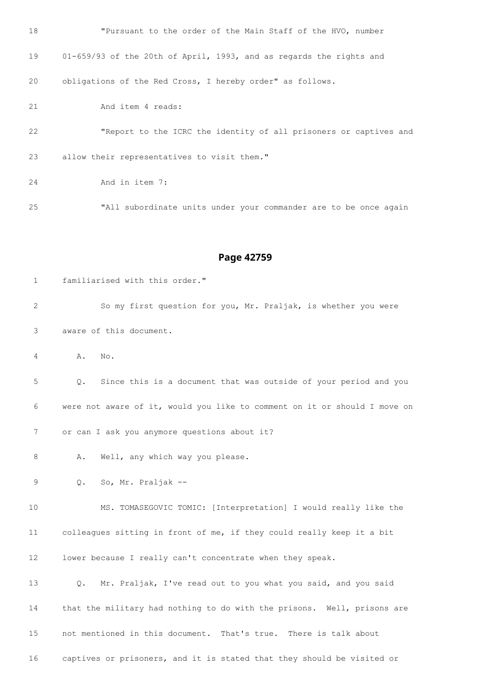| 18 | "Pursuant to the order of the Main Staff of the HVO, number         |
|----|---------------------------------------------------------------------|
| 19 | 01-659/93 of the 20th of April, 1993, and as regards the rights and |
| 20 | obligations of the Red Cross, I hereby order" as follows.           |
| 21 | And item 4 reads:                                                   |
| 22 | "Report to the ICRC the identity of all prisoners or captives and   |
| 23 | allow their representatives to visit them."                         |
| 24 | And in item 7:                                                      |
| 25 | "All subordinate units under your commander are to be once again    |
|    |                                                                     |

| $\mathbf{1}$ | familiarised with this order."                                            |
|--------------|---------------------------------------------------------------------------|
| 2            | So my first question for you, Mr. Praljak, is whether you were            |
| 3            | aware of this document.                                                   |
| 4            | No.<br>Α.                                                                 |
| 5            | Since this is a document that was outside of your period and you<br>Q.    |
| 6            | were not aware of it, would you like to comment on it or should I move on |
| 7            | or can I ask you anymore questions about it?                              |
| 8            | Α.<br>Well, any which way you please.                                     |
| 9            | So, Mr. Praljak --<br>$\circ$ .                                           |
| 10           | MS. TOMASEGOVIC TOMIC: [Interpretation] I would really like the           |
| 11           | colleagues sitting in front of me, if they could really keep it a bit     |
| 12           | lower because I really can't concentrate when they speak.                 |
| 13           | Mr. Praljak, I've read out to you what you said, and you said<br>Q.       |
| 14           | that the military had nothing to do with the prisons. Well, prisons are   |
| 15           | not mentioned in this document. That's true. There is talk about          |
| 16           | captives or prisoners, and it is stated that they should be visited or    |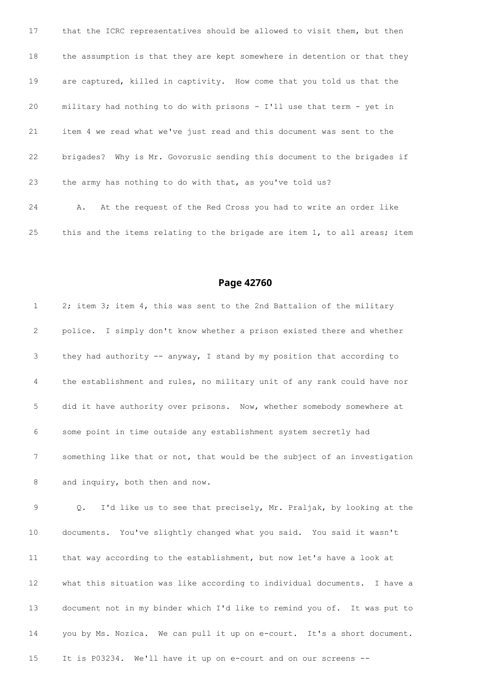that the ICRC representatives should be allowed to visit them, but then the assumption is that they are kept somewhere in detention or that they are captured, killed in captivity. How come that you told us that the military had nothing to do with prisons - I'll use that term - yet in item 4 we read what we've just read and this document was sent to the brigades? Why is Mr. Govorusic sending this document to the brigades if the army has nothing to do with that, as you've told us? A. At the request of the Red Cross you had to write an order like 25 this and the items relating to the brigade are item 1, to all areas; item

### **Page 42760**

 2; item 3; item 4, this was sent to the 2nd Battalion of the military police. I simply don't know whether a prison existed there and whether they had authority -- anyway, I stand by my position that according to the establishment and rules, no military unit of any rank could have nor did it have authority over prisons. Now, whether somebody somewhere at some point in time outside any establishment system secretly had something like that or not, that would be the subject of an investigation 8 and inquiry, both then and now.

 Q. I'd like us to see that precisely, Mr. Praljak, by looking at the documents. You've slightly changed what you said. You said it wasn't that way according to the establishment, but now let's have a look at what this situation was like according to individual documents. I have a document not in my binder which I'd like to remind you of. It was put to you by Ms. Nozica. We can pull it up on e-court. It's a short document. It is P03234. We'll have it up on e-court and on our screens --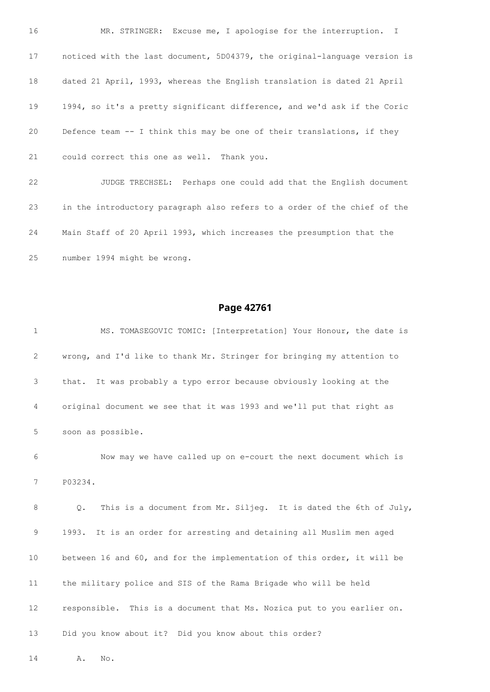16 MR. STRINGER: Excuse me, I apologise for the interruption. I noticed with the last document, 5D04379, the original-language version is dated 21 April, 1993, whereas the English translation is dated 21 April 1994, so it's a pretty significant difference, and we'd ask if the Coric Defence team -- I think this may be one of their translations, if they could correct this one as well. Thank you. JUDGE TRECHSEL: Perhaps one could add that the English document in the introductory paragraph also refers to a order of the chief of the

 Main Staff of 20 April 1993, which increases the presumption that the number 1994 might be wrong.

#### **Page 42761**

 MS. TOMASEGOVIC TOMIC: [Interpretation] Your Honour, the date is wrong, and I'd like to thank Mr. Stringer for bringing my attention to that. It was probably a typo error because obviously looking at the original document we see that it was 1993 and we'll put that right as soon as possible.

 Now may we have called up on e-court the next document which is P03234.

 Q. This is a document from Mr. Siljeg. It is dated the 6th of July, 1993. It is an order for arresting and detaining all Muslim men aged between 16 and 60, and for the implementation of this order, it will be the military police and SIS of the Rama Brigade who will be held responsible. This is a document that Ms. Nozica put to you earlier on. Did you know about it? Did you know about this order?

A. No.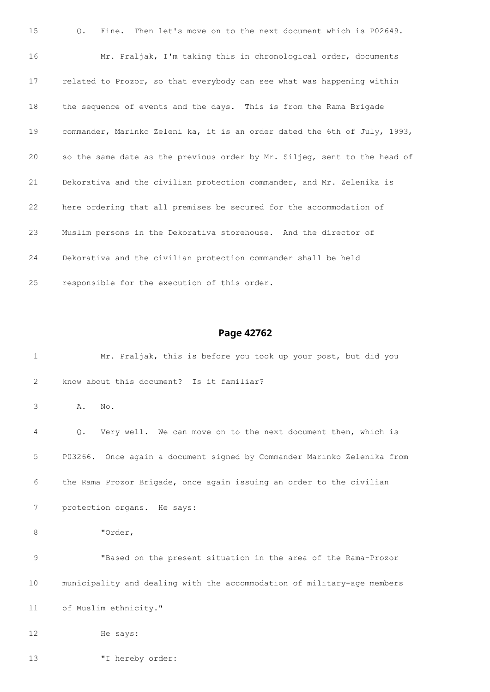| 15 | Q.<br>Fine. Then let's move on to the next document which is P02649.      |
|----|---------------------------------------------------------------------------|
| 16 | Mr. Praljak, I'm taking this in chronological order, documents            |
| 17 | related to Prozor, so that everybody can see what was happening within    |
| 18 | the sequence of events and the days. This is from the Rama Brigade        |
| 19 | commander, Marinko Zeleni ka, it is an order dated the 6th of July, 1993, |
| 20 | so the same date as the previous order by Mr. Siljeg, sent to the head of |
| 21 | Dekorativa and the civilian protection commander, and Mr. Zelenika is     |
| 22 | here ordering that all premises be secured for the accommodation of       |
| 23 | Muslim persons in the Dekorativa storehouse. And the director of          |
| 24 | Dekorativa and the civilian protection commander shall be held            |
| 25 | responsible for the execution of this order.                              |

```
1 Mr. Praljak, this is before you took up your post, but did you
2 know about this document? Is it familiar?
3 A. No.
4 Q. Very well. We can move on to the next document then, which is
5 P03266. Once again a document signed by Commander Marinko Zelenika from
6 the Rama Prozor Brigade, once again issuing an order to the civilian
7 protection organs. He says:
8 "Order,
9 "Based on the present situation in the area of the Rama-Prozor
10 municipality and dealing with the accommodation of military-age members
11 of Muslim ethnicity."
12 He says:
13 "I hereby order:
```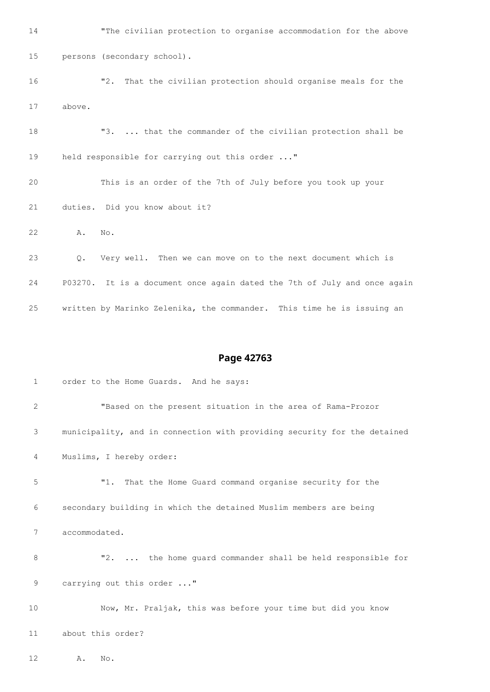"The civilian protection to organise accommodation for the above persons (secondary school). "2. That the civilian protection should organise meals for the above. 18 "3. ... that the commander of the civilian protection shall be held responsible for carrying out this order ..." This is an order of the 7th of July before you took up your duties. Did you know about it? A. No. Q. Very well. Then we can move on to the next document which is P03270. It is a document once again dated the 7th of July and once again written by Marinko Zelenika, the commander. This time he is issuing an

#### **Page 42763**

 order to the Home Guards. And he says: "Based on the present situation in the area of Rama-Prozor municipality, and in connection with providing security for the detained Muslims, I hereby order: "1. That the Home Guard command organise security for the secondary building in which the detained Muslim members are being accommodated. "2. ... the home guard commander shall be held responsible for 9 carrying out this order ..." Now, Mr. Praljak, this was before your time but did you know about this order?

A. No.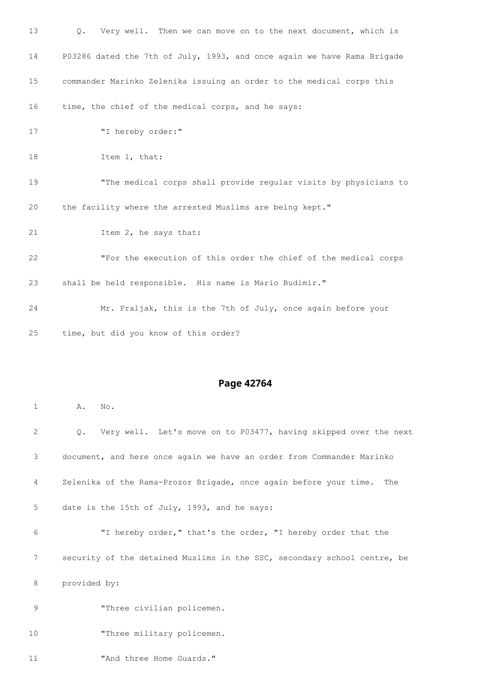| 13 | Q. Very well. Then we can move on to the next document, which is        |
|----|-------------------------------------------------------------------------|
| 14 | P03286 dated the 7th of July, 1993, and once again we have Rama Brigade |
| 15 | commander Marinko Zelenika issuing an order to the medical corps this   |
| 16 | time, the chief of the medical corps, and he says:                      |
| 17 | "I hereby order:"                                                       |
| 18 | Item 1, that:                                                           |
| 19 | "The medical corps shall provide regular visits by physicians to        |
| 20 | the facility where the arrested Muslims are being kept."                |
| 21 | Item 2, he says that:                                                   |
| 22 | "For the execution of this order the chief of the medical corps         |
| 23 | shall be held responsible. His name is Mario Budimir."                  |
| 24 | Mr. Praljak, this is the 7th of July, once again before your            |
| 25 | time, but did you know of this order?                                   |

**A.** No.

| $\overline{2}$ | Very well. Let's move on to P03477, having skipped over the next<br>$\circ$ . |
|----------------|-------------------------------------------------------------------------------|
| 3              | document, and here once again we have an order from Commander Marinko         |
| 4              | Zelenika of the Rama-Prozor Brigade, once again before your time. The         |
| 5              | date is the 15th of July, 1993, and he says:                                  |
| 6              | "I hereby order," that's the order, "I hereby order that the                  |
| 7              | security of the detained Muslims in the SSC, secondary school centre, be      |
| 8              | provided by:                                                                  |
| 9              | "Three civilian policemen.                                                    |
| 10             | "Three military policemen.                                                    |
| 11             | "And three Home Guards."                                                      |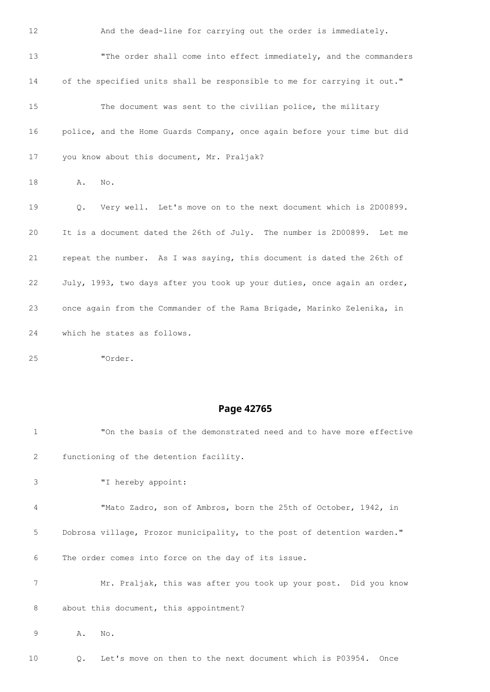| 12 | And the dead-line for carrying out the order is immediately.             |
|----|--------------------------------------------------------------------------|
| 13 | "The order shall come into effect immediately, and the commanders        |
| 14 | of the specified units shall be responsible to me for carrying it out."  |
| 15 | The document was sent to the civilian police, the military               |
| 16 | police, and the Home Guards Company, once again before your time but did |
| 17 | you know about this document, Mr. Praljak?                               |
| 18 | Α.<br>No.                                                                |
| 19 | Very well. Let's move on to the next document which is 2D00899.<br>Q.    |
| 20 | It is a document dated the 26th of July. The number is 2D00899. Let me   |
| 21 | repeat the number. As I was saying, this document is dated the 26th of   |
| 22 | July, 1993, two days after you took up your duties, once again an order, |
| 23 | once again from the Commander of the Rama Brigade, Marinko Zelenika, in  |
| 24 | which he states as follows.                                              |

"Order.

## **Page 42765**

| $\mathbf{1}$ | "On the basis of the demonstrated need and to have more effective       |
|--------------|-------------------------------------------------------------------------|
| 2            | functioning of the detention facility.                                  |
| 3            | "I hereby appoint:                                                      |
| 4            | "Mato Zadro, son of Ambros, born the 25th of October, 1942, in          |
| 5            | Dobrosa village, Prozor municipality, to the post of detention warden." |
| 6            | The order comes into force on the day of its issue.                     |
| 7            | Mr. Praljak, this was after you took up your post. Did you know         |
| 8            | about this document, this appointment?                                  |
| 9            | Α.<br>No.                                                               |

Q. Let's move on then to the next document which is P03954. Once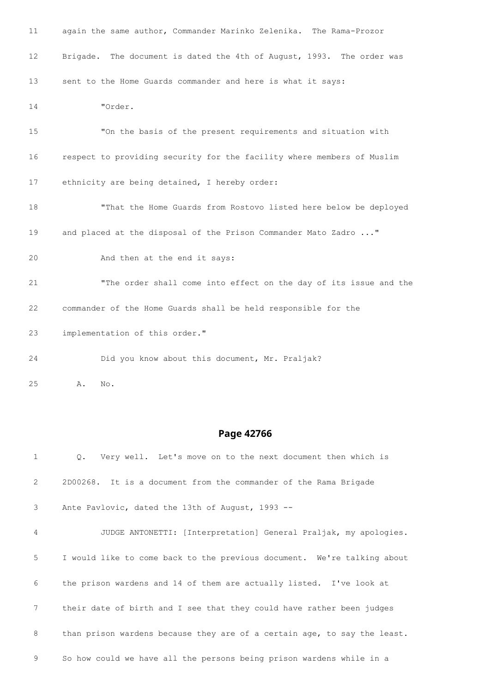| 11              | again the same author, Commander Marinko Zelenika. The Rama-Prozor     |
|-----------------|------------------------------------------------------------------------|
| 12 <sup>°</sup> | Brigade. The document is dated the 4th of August, 1993. The order was  |
| 13              | sent to the Home Guards commander and here is what it says:            |
| 14              | "Order.                                                                |
| 15              | "On the basis of the present requirements and situation with           |
| 16              | respect to providing security for the facility where members of Muslim |
| 17              | ethnicity are being detained, I hereby order:                          |
| 18              | "That the Home Guards from Rostovo listed here below be deployed       |
| 19              | and placed at the disposal of the Prison Commander Mato Zadro "        |
| 20              | And then at the end it says:                                           |
| 21              | "The order shall come into effect on the day of its issue and the      |
| 22              | commander of the Home Guards shall be held responsible for the         |
| 23              | implementation of this order."                                         |
| 24              | Did you know about this document, Mr. Praljak?                         |
|                 |                                                                        |

A. No.

| $\mathbf{1}$   | Q. Very well. Let's move on to the next document then which is           |
|----------------|--------------------------------------------------------------------------|
| $\overline{2}$ | 2D00268. It is a document from the commander of the Rama Brigade         |
| $\mathcal{S}$  | Ante Pavlovic, dated the 13th of August, 1993 --                         |
| 4              | JUDGE ANTONETTI: [Interpretation] General Praljak, my apologies.         |
| 5              | I would like to come back to the previous document. We're talking about  |
| 6              | the prison wardens and 14 of them are actually listed. I've look at      |
| 7              | their date of birth and I see that they could have rather been judges    |
| 8              | than prison wardens because they are of a certain age, to say the least. |
| 9              | So how could we have all the persons being prison wardens while in a     |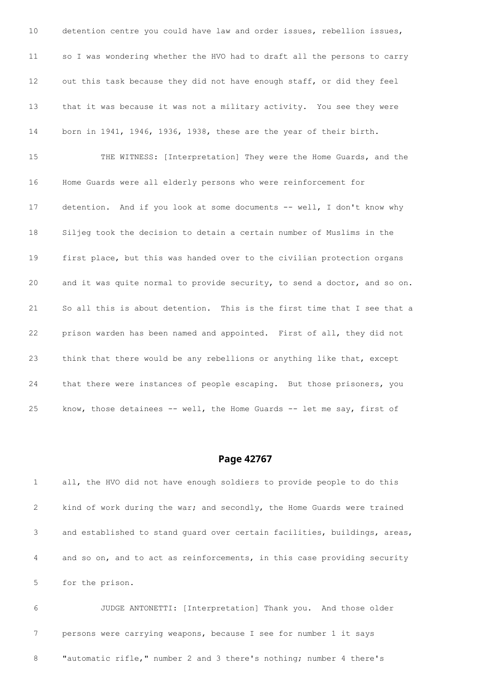detention centre you could have law and order issues, rebellion issues, so I was wondering whether the HVO had to draft all the persons to carry out this task because they did not have enough staff, or did they feel that it was because it was not a military activity. You see they were born in 1941, 1946, 1936, 1938, these are the year of their birth. THE WITNESS: [Interpretation] They were the Home Guards, and the Home Guards were all elderly persons who were reinforcement for 17 detention. And if you look at some documents -- well, I don't know why Siljeg took the decision to detain a certain number of Muslims in the first place, but this was handed over to the civilian protection organs and it was quite normal to provide security, to send a doctor, and so on. So all this is about detention. This is the first time that I see that a prison warden has been named and appointed. First of all, they did not think that there would be any rebellions or anything like that, except that there were instances of people escaping. But those prisoners, you know, those detainees -- well, the Home Guards -- let me say, first of

### **Page 42767**

 all, the HVO did not have enough soldiers to provide people to do this kind of work during the war; and secondly, the Home Guards were trained and established to stand guard over certain facilities, buildings, areas, and so on, and to act as reinforcements, in this case providing security for the prison.

 JUDGE ANTONETTI: [Interpretation] Thank you. And those older persons were carrying weapons, because I see for number 1 it says "automatic rifle," number 2 and 3 there's nothing; number 4 there's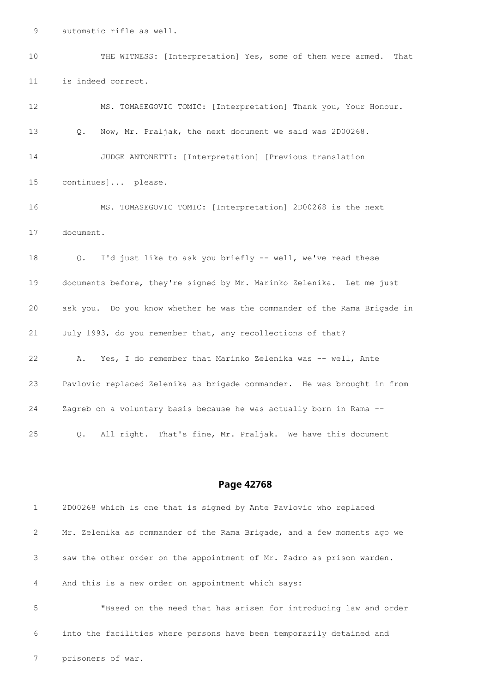automatic rifle as well.

 THE WITNESS: [Interpretation] Yes, some of them were armed. That is indeed correct. MS. TOMASEGOVIC TOMIC: [Interpretation] Thank you, Your Honour. Q. Now, Mr. Praljak, the next document we said was 2D00268.

 JUDGE ANTONETTI: [Interpretation] [Previous translation continues]... please.

 MS. TOMASEGOVIC TOMIC: [Interpretation] 2D00268 is the next document.

 Q. I'd just like to ask you briefly -- well, we've read these documents before, they're signed by Mr. Marinko Zelenika. Let me just ask you. Do you know whether he was the commander of the Rama Brigade in July 1993, do you remember that, any recollections of that? A. Yes, I do remember that Marinko Zelenika was -- well, Ante Pavlovic replaced Zelenika as brigade commander. He was brought in from Zagreb on a voluntary basis because he was actually born in Rama -- Q. All right. That's fine, Mr. Praljak. We have this document

#### **Page 42768**

 2D00268 which is one that is signed by Ante Pavlovic who replaced Mr. Zelenika as commander of the Rama Brigade, and a few moments ago we saw the other order on the appointment of Mr. Zadro as prison warden. And this is a new order on appointment which says: "Based on the need that has arisen for introducing law and order into the facilities where persons have been temporarily detained and

prisoners of war.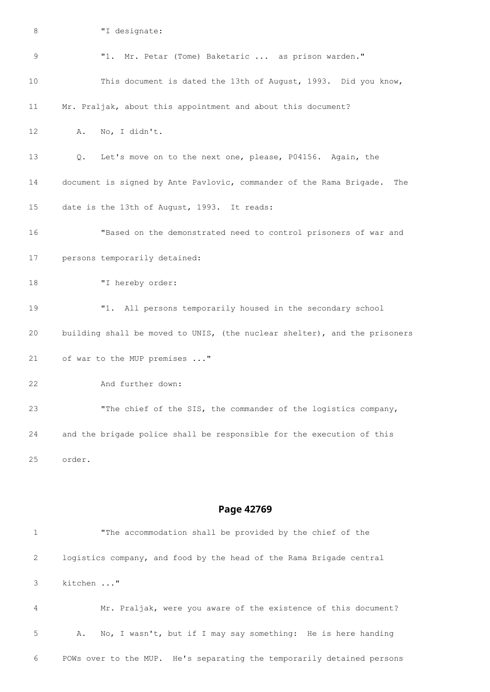| 8  | "I designate:                                                              |
|----|----------------------------------------------------------------------------|
| 9  | "1. Mr. Petar (Tome) Baketaric  as prison warden."                         |
| 10 | This document is dated the 13th of August, 1993. Did you know,             |
| 11 | Mr. Praljak, about this appointment and about this document?               |
| 12 | A. No, I didn't.                                                           |
| 13 | Q. Let's move on to the next one, please, P04156. Again, the               |
| 14 | document is signed by Ante Pavlovic, commander of the Rama Brigade.<br>The |
| 15 | date is the 13th of August, 1993. It reads:                                |
| 16 | "Based on the demonstrated need to control prisoners of war and            |
| 17 | persons temporarily detained:                                              |
| 18 | "I hereby order:                                                           |
| 19 | "1. All persons temporarily housed in the secondary school                 |
| 20 | building shall be moved to UNIS, (the nuclear shelter), and the prisoners  |
| 21 | of war to the MUP premises "                                               |
| 22 | And further down:                                                          |
| 23 | "The chief of the SIS, the commander of the logistics company,             |
| 24 | and the brigade police shall be responsible for the execution of this      |
| 25 | order.                                                                     |
|    |                                                                            |

| 1              | "The accommodation shall be provided by the chief of the               |
|----------------|------------------------------------------------------------------------|
| 2              | logistics company, and food by the head of the Rama Brigade central    |
| 3              | kitchen "                                                              |
| $\overline{4}$ | Mr. Praljak, were you aware of the existence of this document?         |
| -5             | No, I wasn't, but if I may say something: He is here handing<br>Α.     |
| 6              | POWs over to the MUP. He's separating the temporarily detained persons |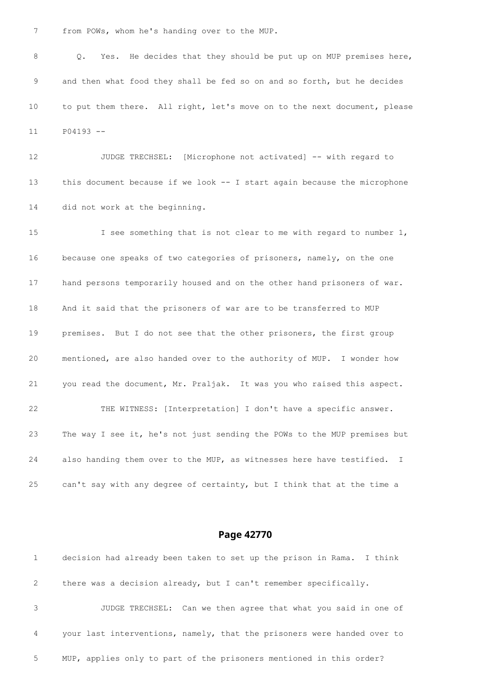from POWs, whom he's handing over to the MUP.

 Q. Yes. He decides that they should be put up on MUP premises here, and then what food they shall be fed so on and so forth, but he decides to put them there. All right, let's move on to the next document, please P04193 --

 JUDGE TRECHSEL: [Microphone not activated] -- with regard to this document because if we look -- I start again because the microphone did not work at the beginning.

 I see something that is not clear to me with regard to number 1, because one speaks of two categories of prisoners, namely, on the one hand persons temporarily housed and on the other hand prisoners of war. And it said that the prisoners of war are to be transferred to MUP premises. But I do not see that the other prisoners, the first group mentioned, are also handed over to the authority of MUP. I wonder how you read the document, Mr. Praljak. It was you who raised this aspect. THE WITNESS: [Interpretation] I don't have a specific answer. The way I see it, he's not just sending the POWs to the MUP premises but also handing them over to the MUP, as witnesses here have testified. I can't say with any degree of certainty, but I think that at the time a

### **Page 42770**

 decision had already been taken to set up the prison in Rama. I think there was a decision already, but I can't remember specifically. JUDGE TRECHSEL: Can we then agree that what you said in one of your last interventions, namely, that the prisoners were handed over to MUP, applies only to part of the prisoners mentioned in this order?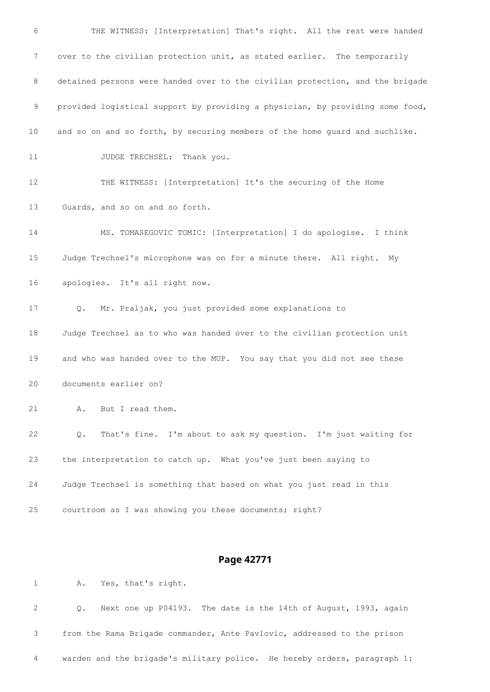THE WITNESS: [Interpretation] That's right. All the rest were handed over to the civilian protection unit, as stated earlier. The temporarily detained persons were handed over to the civilian protection, and the brigade provided logistical support by providing a physician, by providing some food, and so on and so forth, by securing members of the home guard and suchlike. 11 JUDGE TRECHSEL: Thank you. THE WITNESS: [Interpretation] It's the securing of the Home Guards, and so on and so forth. MS. TOMASEGOVIC TOMIC: [Interpretation] I do apologise. I think Judge Trechsel's microphone was on for a minute there. All right. My apologies. It's all right now. Q. Mr. Praljak, you just provided some explanations to Judge Trechsel as to who was handed over to the civilian protection unit and who was handed over to the MUP. You say that you did not see these documents earlier on? A. But I read them. Q. That's fine. I'm about to ask my question. I'm just waiting for the interpretation to catch up. What you've just been saying to Judge Trechsel is something that based on what you just read in this courtroom as I was showing you these documents; right?

### **Page 42771**

 Q. Next one up P04193. The date is the 14th of August, 1993, again from the Rama Brigade commander, Ante Pavlovic, addressed to the prison warden and the brigade's military police. He hereby orders, paragraph 1:

A. Yes, that's right.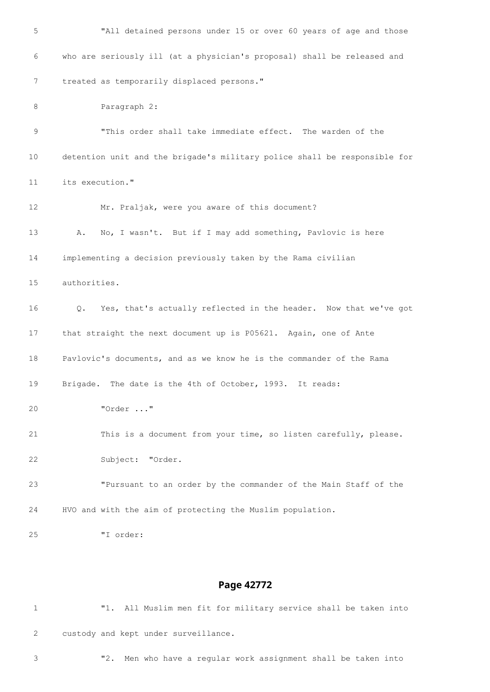| 5  | "All detained persons under 15 or over 60 years of age and those          |
|----|---------------------------------------------------------------------------|
| 6  | who are seriously ill (at a physician's proposal) shall be released and   |
| 7  | treated as temporarily displaced persons."                                |
| 8  | Paragraph 2:                                                              |
| 9  | "This order shall take immediate effect. The warden of the                |
| 10 | detention unit and the brigade's military police shall be responsible for |
| 11 | its execution."                                                           |
| 12 | Mr. Praljak, were you aware of this document?                             |
| 13 | No, I wasn't. But if I may add something, Pavlovic is here<br>Α.          |
| 14 | implementing a decision previously taken by the Rama civilian             |
| 15 | authorities.                                                              |
| 16 | Yes, that's actually reflected in the header. Now that we've got<br>Q.    |
| 17 | that straight the next document up is P05621. Again, one of Ante          |
| 18 | Pavlovic's documents, and as we know he is the commander of the Rama      |
| 19 | Brigade. The date is the 4th of October, 1993. It reads:                  |
| 20 | "Order "                                                                  |
| 21 | This is a document from your time, so listen carefully, please.           |
| 22 | Subject: "Order.                                                          |
| 23 | "Pursuant to an order by the commander of the Main Staff of the           |
| 24 | HVO and with the aim of protecting the Muslim population.                 |
| 25 | "I order:                                                                 |

| $\overline{1}$ |                                      |  |  |  | "1. All Muslim men fit for military service shall be taken into |  |  |  |
|----------------|--------------------------------------|--|--|--|-----------------------------------------------------------------|--|--|--|
| $\mathbf{2}$   | custody and kept under surveillance. |  |  |  |                                                                 |  |  |  |

"2. Men who have a regular work assignment shall be taken into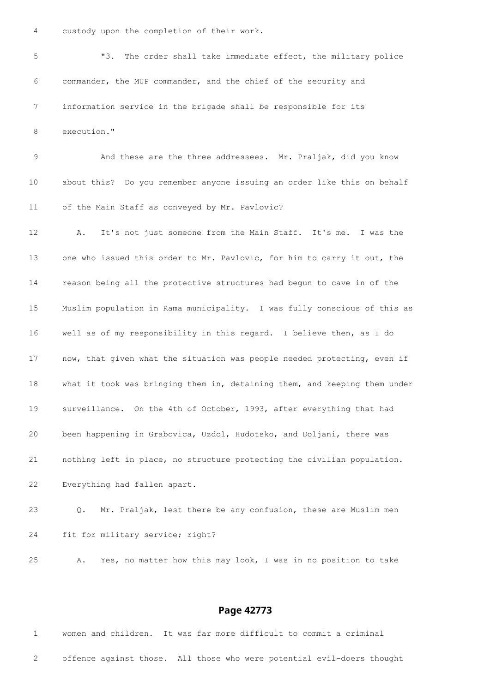custody upon the completion of their work.

 "3. The order shall take immediate effect, the military police commander, the MUP commander, and the chief of the security and information service in the brigade shall be responsible for its execution." 9 And these are the three addressees. Mr. Praljak, did you know

 about this? Do you remember anyone issuing an order like this on behalf of the Main Staff as conveyed by Mr. Pavlovic?

 A. It's not just someone from the Main Staff. It's me. I was the one who issued this order to Mr. Pavlovic, for him to carry it out, the reason being all the protective structures had begun to cave in of the Muslim population in Rama municipality. I was fully conscious of this as well as of my responsibility in this regard. I believe then, as I do 17 now, that given what the situation was people needed protecting, even if what it took was bringing them in, detaining them, and keeping them under surveillance. On the 4th of October, 1993, after everything that had been happening in Grabovica, Uzdol, Hudotsko, and Doljani, there was nothing left in place, no structure protecting the civilian population. Everything had fallen apart.

 Q. Mr. Praljak, lest there be any confusion, these are Muslim men fit for military service; right?

A. Yes, no matter how this may look, I was in no position to take

#### **Page 42773**

 women and children. It was far more difficult to commit a criminal offence against those. All those who were potential evil-doers thought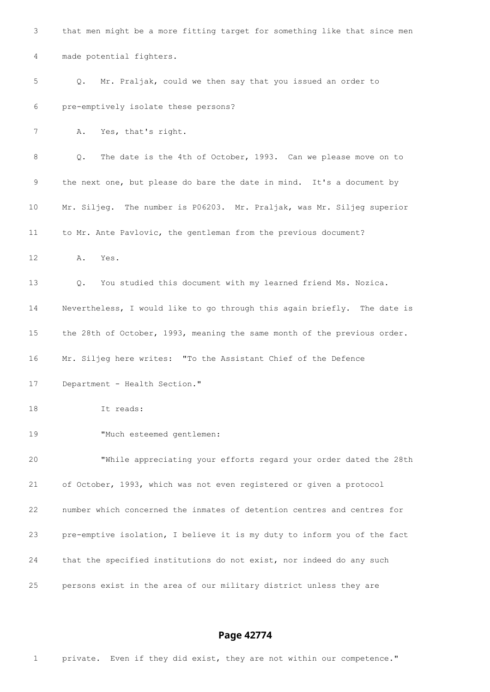| 3               | that men might be a more fitting target for something like that since men |
|-----------------|---------------------------------------------------------------------------|
| 4               | made potential fighters.                                                  |
| 5               | Mr. Praljak, could we then say that you issued an order to<br>Q.          |
| 6               | pre-emptively isolate these persons?                                      |
| 7               | Yes, that's right.<br>Α.                                                  |
| 8               | The date is the 4th of October, 1993. Can we please move on to<br>Q.      |
| $\mathsf 9$     | the next one, but please do bare the date in mind. It's a document by     |
| 10              | Mr. Siljeg. The number is P06203. Mr. Praljak, was Mr. Siljeg superior    |
| 11              | to Mr. Ante Pavlovic, the gentleman from the previous document?           |
| 12 <sup>°</sup> | Α.<br>Yes.                                                                |
| 13              | You studied this document with my learned friend Ms. Nozica.<br>Q.        |
| 14              | Nevertheless, I would like to go through this again briefly. The date is  |
| 15              | the 28th of October, 1993, meaning the same month of the previous order.  |
| 16              | Mr. Siljeg here writes: "To the Assistant Chief of the Defence            |
| 17              | Department - Health Section."                                             |
| 18              | It reads:                                                                 |
| 19              | "Much esteemed gentlemen:                                                 |
| 20              | "While appreciating your efforts regard your order dated the 28th         |
| 21              | of October, 1993, which was not even registered or given a protocol       |
| 22              | number which concerned the inmates of detention centres and centres for   |
| 23              | pre-emptive isolation, I believe it is my duty to inform you of the fact  |
| 24              | that the specified institutions do not exist, nor indeed do any such      |
| 25              | persons exist in the area of our military district unless they are        |
|                 |                                                                           |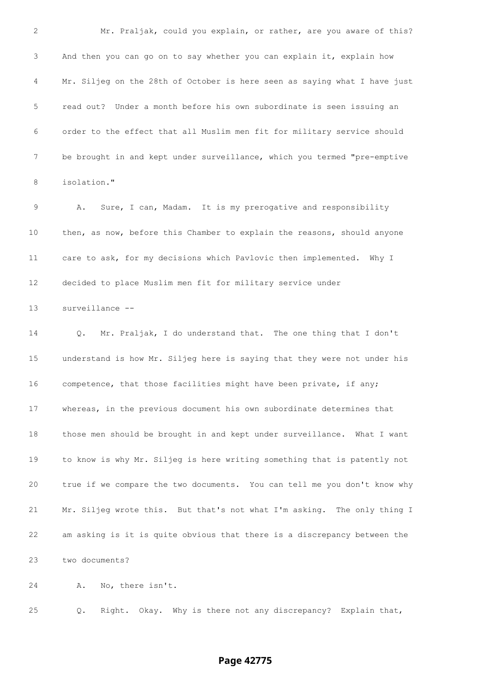Mr. Praljak, could you explain, or rather, are you aware of this? And then you can go on to say whether you can explain it, explain how Mr. Siljeg on the 28th of October is here seen as saying what I have just read out? Under a month before his own subordinate is seen issuing an order to the effect that all Muslim men fit for military service should be brought in and kept under surveillance, which you termed "pre-emptive isolation." A. Sure, I can, Madam. It is my prerogative and responsibility then, as now, before this Chamber to explain the reasons, should anyone care to ask, for my decisions which Pavlovic then implemented. Why I decided to place Muslim men fit for military service under surveillance -- Q. Mr. Praljak, I do understand that. The one thing that I don't understand is how Mr. Siljeg here is saying that they were not under his competence, that those facilities might have been private, if any; whereas, in the previous document his own subordinate determines that those men should be brought in and kept under surveillance. What I want to know is why Mr. Siljeg is here writing something that is patently not true if we compare the two documents. You can tell me you don't know why Mr. Siljeg wrote this. But that's not what I'm asking. The only thing I am asking is it is quite obvious that there is a discrepancy between the two documents? A. No, there isn't.

Q. Right. Okay. Why is there not any discrepancy? Explain that,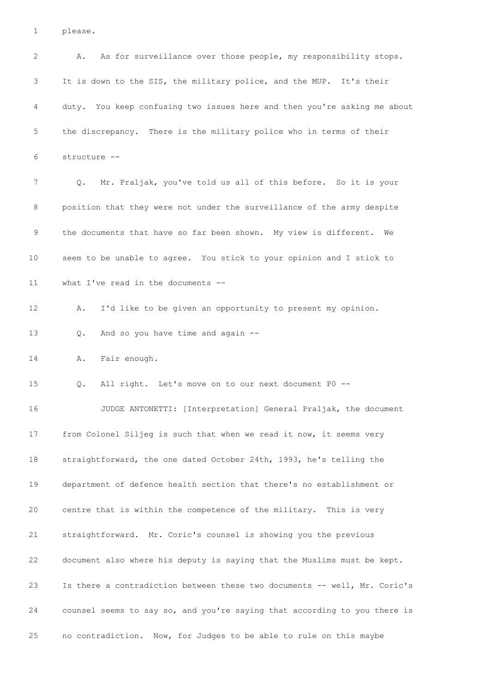please.

 A. As for surveillance over those people, my responsibility stops. It is down to the SIS, the military police, and the MUP. It's their duty. You keep confusing two issues here and then you're asking me about the discrepancy. There is the military police who in terms of their structure -- Q. Mr. Praljak, you've told us all of this before. So it is your position that they were not under the surveillance of the army despite the documents that have so far been shown. My view is different. We seem to be unable to agree. You stick to your opinion and I stick to what I've read in the documents -- A. I'd like to be given an opportunity to present my opinion. Q. And so you have time and again -- A. Fair enough. Q. All right. Let's move on to our next document P0 -- JUDGE ANTONETTI: [Interpretation] General Praljak, the document from Colonel Siljeg is such that when we read it now, it seems very straightforward, the one dated October 24th, 1993, he's telling the department of defence health section that there's no establishment or centre that is within the competence of the military. This is very straightforward. Mr. Coric's counsel is showing you the previous document also where his deputy is saying that the Muslims must be kept. Is there a contradiction between these two documents -- well, Mr. Coric's counsel seems to say so, and you're saying that according to you there is no contradiction. Now, for Judges to be able to rule on this maybe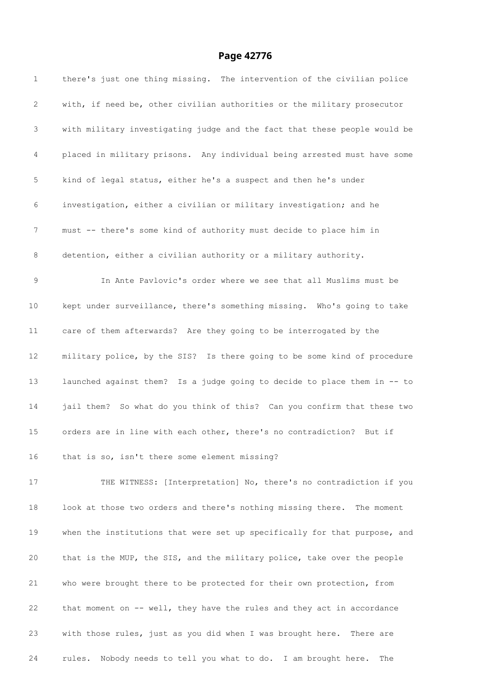| $\mathbf{1}$ | there's just one thing missing. The intervention of the civilian police   |
|--------------|---------------------------------------------------------------------------|
| 2            | with, if need be, other civilian authorities or the military prosecutor   |
| 3            | with military investigating judge and the fact that these people would be |
| 4            | placed in military prisons. Any individual being arrested must have some  |
| 5            | kind of legal status, either he's a suspect and then he's under           |
| 6            | investigation, either a civilian or military investigation; and he        |
| 7            | must -- there's some kind of authority must decide to place him in        |
| 8            | detention, either a civilian authority or a military authority.           |
| 9            | In Ante Pavlovic's order where we see that all Muslims must be            |
| 10           | kept under surveillance, there's something missing. Who's going to take   |
| 11           | care of them afterwards? Are they going to be interrogated by the         |
| 12           | military police, by the SIS? Is there going to be some kind of procedure  |
| 13           | launched against them? Is a judge going to decide to place them in -- to  |
| 14           | jail them? So what do you think of this? Can you confirm that these two   |
| 15           | orders are in line with each other, there's no contradiction? But if      |
| 16           | that is so, isn't there some element missing?                             |
| 17           | THE WITNESS: [Interpretation] No, there's no contradiction if you         |
| 18           | look at those two orders and there's nothing missing there. The moment    |
| 19           | when the institutions that were set up specifically for that purpose, and |
| 20           | that is the MUP, the SIS, and the military police, take over the people   |
| 21           | who were brought there to be protected for their own protection, from     |
| 22           | that moment on -- well, they have the rules and they act in accordance    |
| 23           | with those rules, just as you did when I was brought here. There are      |
| 24           | rules.<br>Nobody needs to tell you what to do. I am brought here.<br>The  |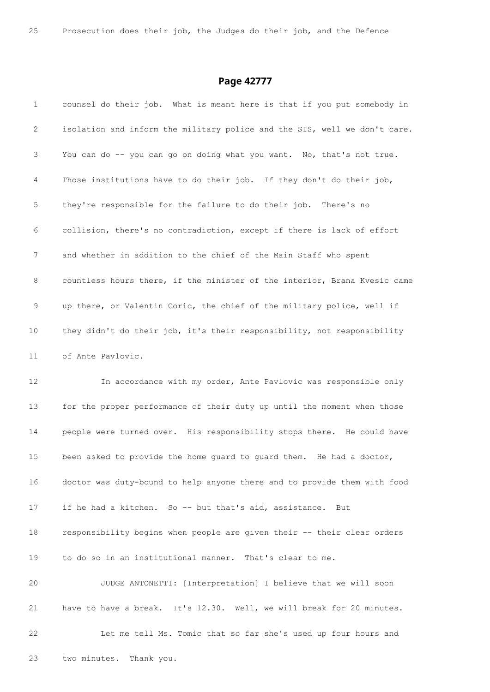| $\mathbf{1}$    | counsel do their job. What is meant here is that if you put somebody in   |
|-----------------|---------------------------------------------------------------------------|
| 2               | isolation and inform the military police and the SIS, well we don't care. |
| 3               | You can do -- you can go on doing what you want. No, that's not true.     |
| 4               | Those institutions have to do their job. If they don't do their job,      |
| 5               | they're responsible for the failure to do their job. There's no           |
| 6               | collision, there's no contradiction, except if there is lack of effort    |
| 7               | and whether in addition to the chief of the Main Staff who spent          |
| 8               | countless hours there, if the minister of the interior, Brana Kvesic came |
| 9               | up there, or Valentin Coric, the chief of the military police, well if    |
| 10              | they didn't do their job, it's their responsibility, not responsibility   |
| 11              | of Ante Pavlovic.                                                         |
| 12 <sup>°</sup> | In accordance with my order, Ante Pavlovic was responsible only           |
| 13              | for the proper performance of their duty up until the moment when those   |
| 14              | people were turned over. His responsibility stops there. He could have    |
| 15              | been asked to provide the home guard to guard them. He had a doctor,      |
| 16              | doctor was duty-bound to help anyone there and to provide them with food  |
| 17              | if he had a kitchen. So -- but that's aid, assistance.<br>But             |
| 18              | responsibility begins when people are given their -- their clear orders   |
| 19              | to do so in an institutional manner. That's clear to me.                  |
| 20              | JUDGE ANTONETTI: [Interpretation] I believe that we will soon             |
| 21              | have to have a break. It's 12.30. Well, we will break for 20 minutes.     |
| 22              | Let me tell Ms. Tomic that so far she's used up four hours and            |
| 23              | two minutes.<br>Thank you.                                                |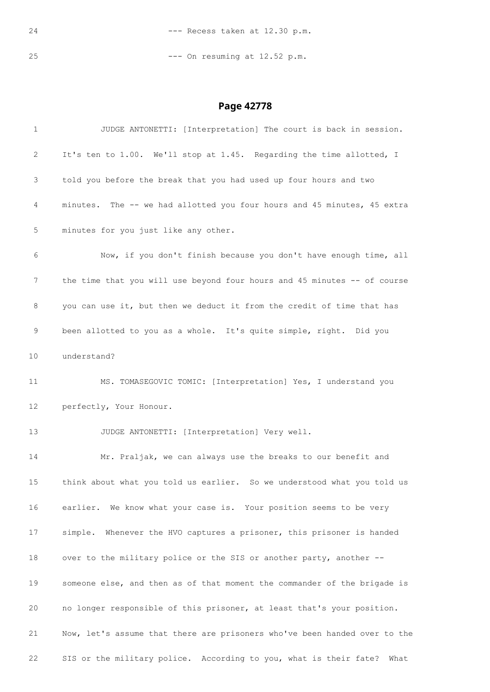--- Recess taken at 12.30 p.m.

--- On resuming at 12.52 p.m.

| $\mathbf{1}$    | JUDGE ANTONETTI: [Interpretation] The court is back in session.           |
|-----------------|---------------------------------------------------------------------------|
| 2               | It's ten to 1.00. We'll stop at 1.45. Regarding the time allotted, I      |
| 3               | told you before the break that you had used up four hours and two         |
| 4               | minutes. The -- we had allotted you four hours and 45 minutes, 45 extra   |
| 5               | minutes for you just like any other.                                      |
| 6               | Now, if you don't finish because you don't have enough time, all          |
| 7               | the time that you will use beyond four hours and 45 minutes -- of course  |
| 8               | you can use it, but then we deduct it from the credit of time that has    |
| 9               | been allotted to you as a whole. It's quite simple, right. Did you        |
| 10              | understand?                                                               |
| 11              | MS. TOMASEGOVIC TOMIC: [Interpretation] Yes, I understand you             |
| 12 <sup>2</sup> | perfectly, Your Honour.                                                   |
| 13              | JUDGE ANTONETTI: [Interpretation] Very well.                              |
| 14              | Mr. Praljak, we can always use the breaks to our benefit and              |
| 15              | think about what you told us earlier. So we understood what you told us   |
| 16              | earlier. We know what your case is. Your position seems to be very        |
| 17              | simple. Whenever the HVO captures a prisoner, this prisoner is handed     |
| 18              | over to the military police or the SIS or another party, another --       |
| 19              | someone else, and then as of that moment the commander of the brigade is  |
|                 |                                                                           |
| 20              | no longer responsible of this prisoner, at least that's your position.    |
| 21              | Now, let's assume that there are prisoners who've been handed over to the |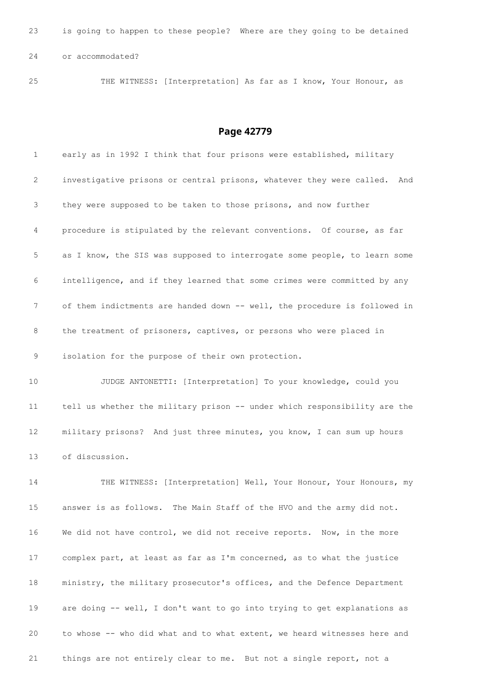is going to happen to these people? Where are they going to be detained or accommodated?

THE WITNESS: [Interpretation] As far as I know, Your Honour, as

| $\mathbf{1}$ | early as in 1992 I think that four prisons were established, military       |
|--------------|-----------------------------------------------------------------------------|
| 2            | investigative prisons or central prisons, whatever they were called.<br>And |
| 3            | they were supposed to be taken to those prisons, and now further            |
| 4            | procedure is stipulated by the relevant conventions. Of course, as far      |
| 5            | as I know, the SIS was supposed to interrogate some people, to learn some   |
| 6            | intelligence, and if they learned that some crimes were committed by any    |
| 7            | of them indictments are handed down -- well, the procedure is followed in   |
| 8            | the treatment of prisoners, captives, or persons who were placed in         |
| 9            | isolation for the purpose of their own protection.                          |
| 10           | JUDGE ANTONETTI: [Interpretation] To your knowledge, could you              |
| 11           | tell us whether the military prison -- under which responsibility are the   |
| 12           | military prisons? And just three minutes, you know, I can sum up hours      |
| 13           | of discussion.                                                              |
| 14           | THE WITNESS: [Interpretation] Well, Your Honour, Your Honours, my           |
| 15           | answer is as follows. The Main Staff of the HVO and the army did not.       |
| 16           | We did not have control, we did not receive reports. Now, in the more       |
| 17           | complex part, at least as far as I'm concerned, as to what the justice      |
| 18           | ministry, the military prosecutor's offices, and the Defence Department     |
| 19           | are doing -- well, I don't want to go into trying to get explanations as    |
| 20           | to whose -- who did what and to what extent, we heard witnesses here and    |
| 21           | things are not entirely clear to me. But not a single report, not a         |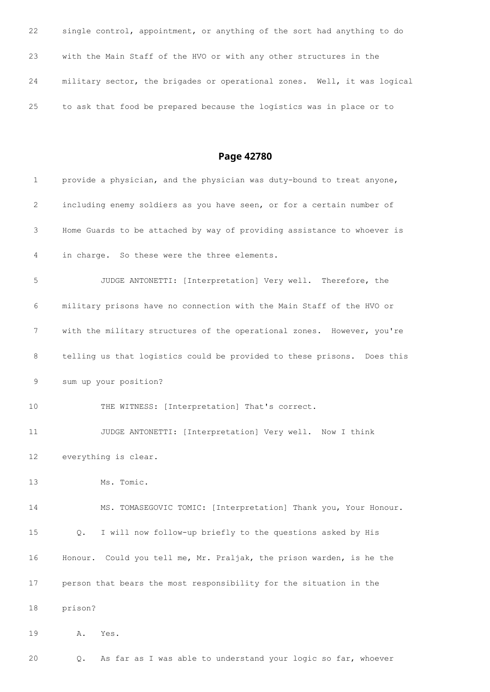| 22 | single control, appointment, or anything of the sort had anything to do  |
|----|--------------------------------------------------------------------------|
| 23 | with the Main Staff of the HVO or with any other structures in the       |
| 24 | military sector, the brigades or operational zones. Well, it was logical |
| 25 | to ask that food be prepared because the logistics was in place or to    |

## **Page 42780**

| $\mathbf{1}$ | provide a physician, and the physician was duty-bound to treat anyone,  |
|--------------|-------------------------------------------------------------------------|
| 2            | including enemy soldiers as you have seen, or for a certain number of   |
| 3            | Home Guards to be attached by way of providing assistance to whoever is |
| 4            | in charge. So these were the three elements.                            |
| 5            | JUDGE ANTONETTI: [Interpretation] Very well. Therefore, the             |
| 6            | military prisons have no connection with the Main Staff of the HVO or   |
| 7            | with the military structures of the operational zones. However, you're  |
| 8            | telling us that logistics could be provided to these prisons. Does this |
| 9            | sum up your position?                                                   |
| 10           | THE WITNESS: [Interpretation] That's correct.                           |
| 11           | JUDGE ANTONETTI: [Interpretation] Very well. Now I think                |
| 12           | everything is clear.                                                    |
| 13           | Ms. Tomic.                                                              |
| 14           | MS. TOMASEGOVIC TOMIC: [Interpretation] Thank you, Your Honour.         |
| 15           | I will now follow-up briefly to the questions asked by His<br>Q.        |
| 16           | Honour. Could you tell me, Mr. Praljak, the prison warden, is he the    |
| 17           | person that bears the most responsibility for the situation in the      |
| 18           | prison?                                                                 |
| 19           | Yes.<br>Α.                                                              |
|              |                                                                         |

Q. As far as I was able to understand your logic so far, whoever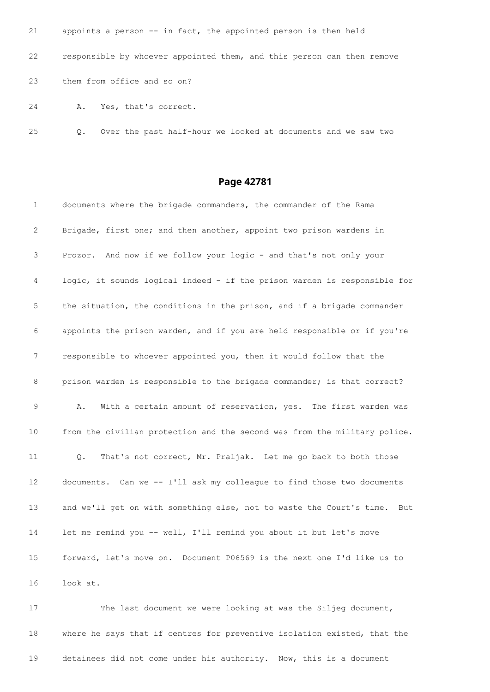| 21 | appoints a person -- in fact, the appointed person is then held        |
|----|------------------------------------------------------------------------|
| 22 | responsible by whoever appointed them, and this person can then remove |
| 23 | them from office and so on?                                            |
|    |                                                                        |

A. Yes, that's correct.

Q. Over the past half-hour we looked at documents and we saw two

## **Page 42781**

| $\mathbf{1}$ | documents where the brigade commanders, the commander of the Rama           |
|--------------|-----------------------------------------------------------------------------|
| 2            | Brigade, first one; and then another, appoint two prison wardens in         |
| 3            | Prozor. And now if we follow your logic - and that's not only your          |
| 4            | logic, it sounds logical indeed - if the prison warden is responsible for   |
| 5            | the situation, the conditions in the prison, and if a brigade commander     |
| 6            | appoints the prison warden, and if you are held responsible or if you're    |
| 7            | responsible to whoever appointed you, then it would follow that the         |
| 8            | prison warden is responsible to the brigade commander; is that correct?     |
| 9            | With a certain amount of reservation, yes. The first warden was<br>Α.       |
| 10           | from the civilian protection and the second was from the military police.   |
| 11           | That's not correct, Mr. Praljak. Let me go back to both those<br>Q.         |
| 12           | documents. Can we -- I'll ask my colleague to find those two documents      |
| 13           | and we'll get on with something else, not to waste the Court's time.<br>But |
| 14           | let me remind you -- well, I'll remind you about it but let's move          |
| 15           | forward, let's move on. Document P06569 is the next one I'd like us to      |
| 16           | look at.                                                                    |

 The last document we were looking at was the Siljeg document, where he says that if centres for preventive isolation existed, that the detainees did not come under his authority. Now, this is a document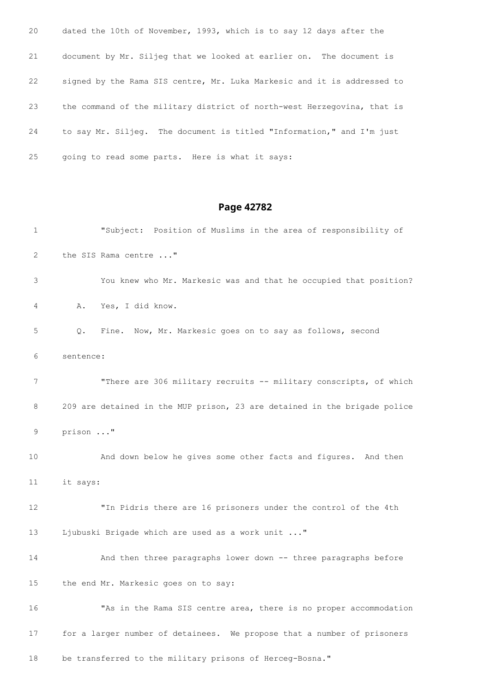| 20 | dated the 10th of November, 1993, which is to say 12 days after the     |
|----|-------------------------------------------------------------------------|
| 21 | document by Mr. Siljeg that we looked at earlier on. The document is    |
| 22 | signed by the Rama SIS centre, Mr. Luka Markesic and it is addressed to |
| 23 | the command of the military district of north-west Herzegovina, that is |
| 24 | to say Mr. Siljeg. The document is titled "Information," and I'm just   |
| 25 | going to read some parts. Here is what it says:                         |

## **Page 42782**

| $\mathbf{1}$    |           | "Subject: Position of Muslims in the area of responsibility of            |
|-----------------|-----------|---------------------------------------------------------------------------|
| $\mathbf{2}$    |           | the SIS Rama centre "                                                     |
| 3               |           | You knew who Mr. Markesic was and that he occupied that position?         |
| 4               | A.        | Yes, I did know.                                                          |
| 5               | Q.        | Fine. Now, Mr. Markesic goes on to say as follows, second                 |
| 6               | sentence: |                                                                           |
| 7               |           | "There are 306 military recruits -- military conscripts, of which         |
| 8               |           | 209 are detained in the MUP prison, 23 are detained in the brigade police |
| 9               | prison "  |                                                                           |
| 10              |           | And down below he gives some other facts and figures. And then            |
| 11              | it says:  |                                                                           |
| 12              |           | "In Pidris there are 16 prisoners under the control of the 4th            |
| 13              |           | Ljubuski Brigade which are used as a work unit "                          |
| 14              |           | And then three paragraphs lower down -- three paragraphs before           |
| 15 <sub>2</sub> |           | the end Mr. Markesic goes on to say:                                      |
| 16              |           | "As in the Rama SIS centre area, there is no proper accommodation         |
| 17              |           | for a larger number of detainees. We propose that a number of prisoners   |

be transferred to the military prisons of Herceg-Bosna."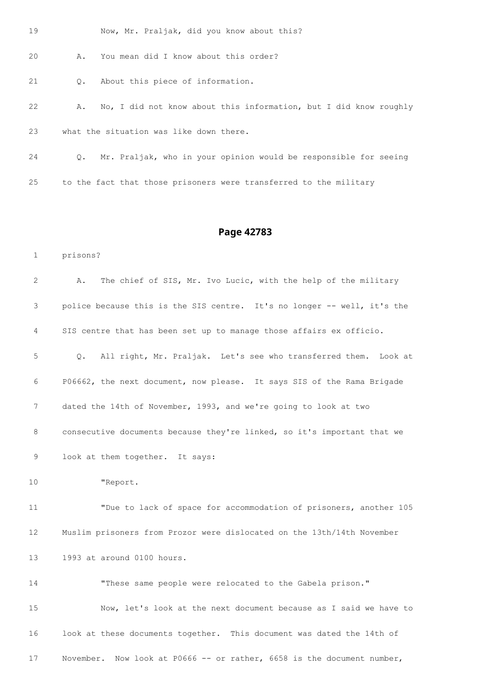Now, Mr. Praljak, did you know about this?

A. You mean did I know about this order?

Q. About this piece of information.

 A. No, I did not know about this information, but I did know roughly what the situation was like down there.

 Q. Mr. Praljak, who in your opinion would be responsible for seeing to the fact that those prisoners were transferred to the military

### **Page 42783**

prisons?

| 2               | The chief of SIS, Mr. Ivo Lucic, with the help of the military<br>Α.    |
|-----------------|-------------------------------------------------------------------------|
| 3               | police because this is the SIS centre. It's no longer -- well, it's the |
| 4               | SIS centre that has been set up to manage those affairs ex officio.     |
| 5               | All right, Mr. Praljak. Let's see who transferred them. Look at<br>Q.   |
| 6               | P06662, the next document, now please. It says SIS of the Rama Brigade  |
| $7\phantom{.0}$ | dated the 14th of November, 1993, and we're going to look at two        |
| 8               | consecutive documents because they're linked, so it's important that we |
| 9               | look at them together. It says:                                         |
| 10              | "Report.                                                                |
| 11              | "Due to lack of space for accommodation of prisoners, another 105       |
| 12              | Muslim prisoners from Prozor were dislocated on the 13th/14th November  |
| 13              | 1993 at around 0100 hours.                                              |
| 14              | "These same people were relocated to the Gabela prison."                |
| 15              | Now, let's look at the next document because as I said we have to       |
| 16              | look at these documents together. This document was dated the 14th of   |
| 17              | November. Now look at P0666 -- or rather, 6658 is the document number,  |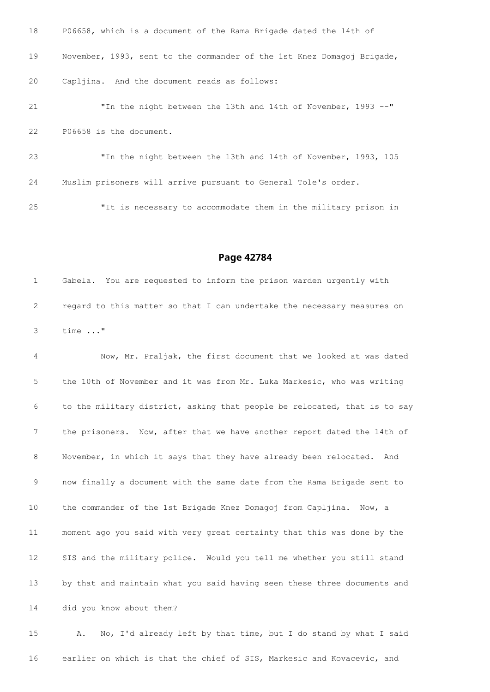| 18 | P06658, which is a document of the Rama Brigade dated the 14th of      |
|----|------------------------------------------------------------------------|
| 19 | November, 1993, sent to the commander of the 1st Knez Domagoj Brigade, |
| 20 | Capljina. And the document reads as follows:                           |
| 21 | "In the night between the 13th and 14th of November, 1993 --"          |
| 22 | P06658 is the document.                                                |
| 23 | "In the night between the 13th and 14th of November, 1993, 105         |
| 24 | Muslim prisoners will arrive pursuant to General Tole's order.         |

"It is necessary to accommodate them in the military prison in

#### **Page 42784**

 Gabela. You are requested to inform the prison warden urgently with regard to this matter so that I can undertake the necessary measures on time ..."

 Now, Mr. Praljak, the first document that we looked at was dated the 10th of November and it was from Mr. Luka Markesic, who was writing to the military district, asking that people be relocated, that is to say the prisoners. Now, after that we have another report dated the 14th of November, in which it says that they have already been relocated. And now finally a document with the same date from the Rama Brigade sent to the commander of the 1st Brigade Knez Domagoj from Capljina. Now, a moment ago you said with very great certainty that this was done by the SIS and the military police. Would you tell me whether you still stand by that and maintain what you said having seen these three documents and did you know about them? A. No, I'd already left by that time, but I do stand by what I said

earlier on which is that the chief of SIS, Markesic and Kovacevic, and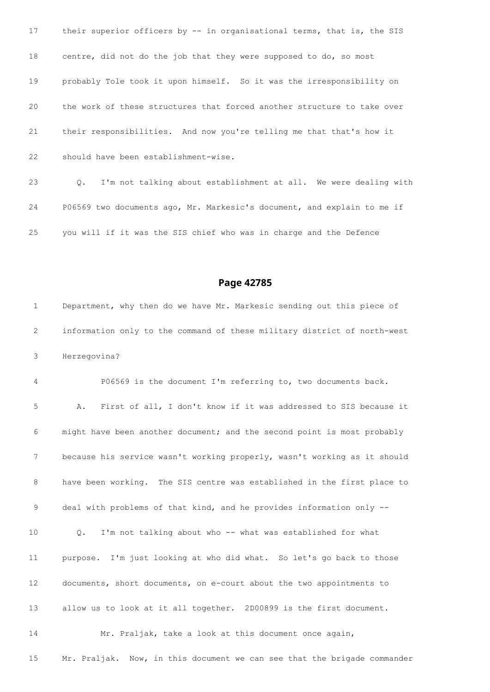17 their superior officers by -- in organisational terms, that is, the SIS centre, did not do the job that they were supposed to do, so most probably Tole took it upon himself. So it was the irresponsibility on the work of these structures that forced another structure to take over their responsibilities. And now you're telling me that that's how it should have been establishment-wise. Q. I'm not talking about establishment at all. We were dealing with

 P06569 two documents ago, Mr. Markesic's document, and explain to me if you will if it was the SIS chief who was in charge and the Defence

#### **Page 42785**

 Department, why then do we have Mr. Markesic sending out this piece of information only to the command of these military district of north-west Herzegovina?

 P06569 is the document I'm referring to, two documents back. A. First of all, I don't know if it was addressed to SIS because it might have been another document; and the second point is most probably because his service wasn't working properly, wasn't working as it should have been working. The SIS centre was established in the first place to deal with problems of that kind, and he provides information only -- Q. I'm not talking about who -- what was established for what purpose. I'm just looking at who did what. So let's go back to those documents, short documents, on e-court about the two appointments to allow us to look at it all together. 2D00899 is the first document. Mr. Praljak, take a look at this document once again,

15 Mr. Praljak. Now, in this document we can see that the brigade commander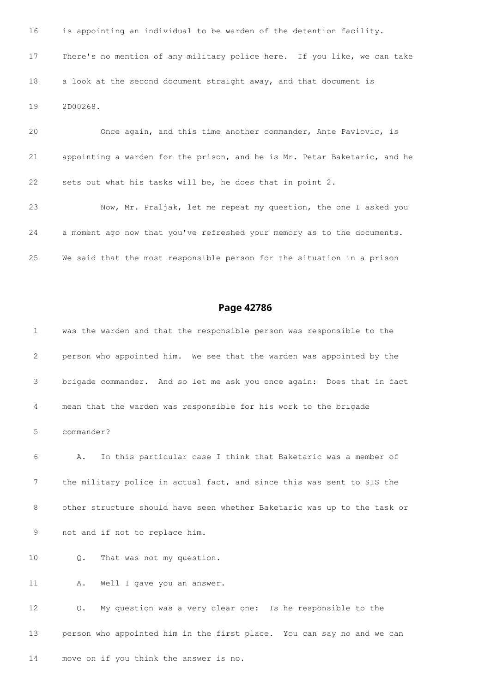is appointing an individual to be warden of the detention facility. There's no mention of any military police here. If you like, we can take a look at the second document straight away, and that document is 2D00268.

 Once again, and this time another commander, Ante Pavlovic, is appointing a warden for the prison, and he is Mr. Petar Baketaric, and he sets out what his tasks will be, he does that in point 2.

 Now, Mr. Praljak, let me repeat my question, the one I asked you a moment ago now that you've refreshed your memory as to the documents. We said that the most responsible person for the situation in a prison

#### **Page 42786**

 was the warden and that the responsible person was responsible to the person who appointed him. We see that the warden was appointed by the brigade commander. And so let me ask you once again: Does that in fact mean that the warden was responsible for his work to the brigade commander? A. In this particular case I think that Baketaric was a member of the military police in actual fact, and since this was sent to SIS the other structure should have seen whether Baketaric was up to the task or not and if not to replace him. Q. That was not my question. 11 A. Well I gave you an answer. Q. My question was a very clear one: Is he responsible to the

 person who appointed him in the first place. You can say no and we can move on if you think the answer is no.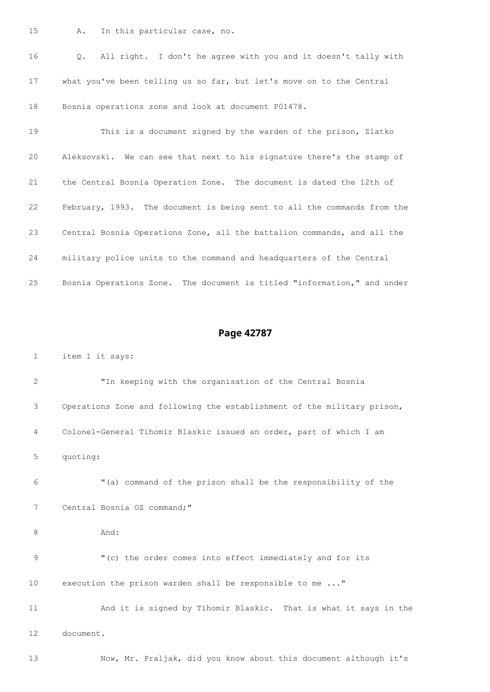A. In this particular case, no.

 Q. All right. I don't he agree with you and it doesn't tally with what you've been telling us so far, but let's move on to the Central Bosnia operations zone and look at document P01478.

 This is a document signed by the warden of the prison, Zlatko Aleksovski. We can see that next to his signature there's the stamp of the Central Bosnia Operation Zone. The document is dated the 12th of February, 1993. The document is being sent to all the commands from the Central Bosnia Operations Zone, all the battalion commands, and all the military police units to the command and headquarters of the Central Bosnia Operations Zone. The document is titled "information," and under

#### **Page 42787**

item 1 it says:

 "In keeping with the organisation of the Central Bosnia Operations Zone and following the establishment of the military prison, Colonel-General Tihomir Blaskic issued an order, part of which I am quoting:

 "(a) command of the prison shall be the responsibility of the Central Bosnia OZ command;"

And:

 "(c) the order comes into effect immediately and for its execution the prison warden shall be responsible to me ..."

 And it is signed by Tihomir Blaskic. That is what it says in the document.

Now, Mr. Praljak, did you know about this document although it's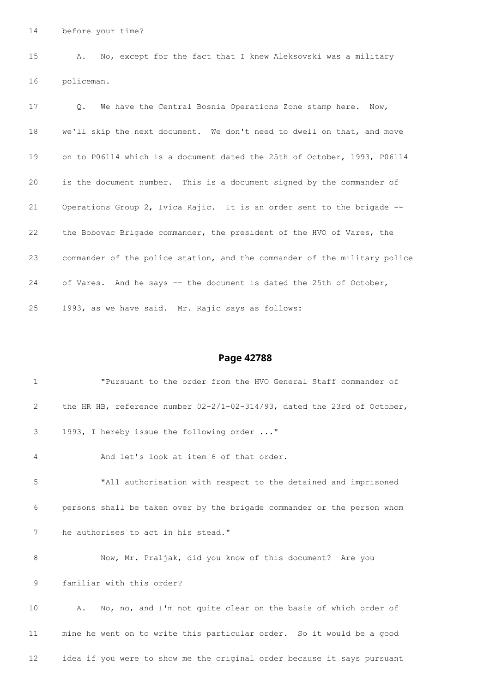before your time?

 A. No, except for the fact that I knew Aleksovski was a military policeman.

 Q. We have the Central Bosnia Operations Zone stamp here. Now, we'll skip the next document. We don't need to dwell on that, and move on to P06114 which is a document dated the 25th of October, 1993, P06114 is the document number. This is a document signed by the commander of Operations Group 2, Ivica Rajic. It is an order sent to the brigade -- the Bobovac Brigade commander, the president of the HVO of Vares, the commander of the police station, and the commander of the military police of Vares. And he says -- the document is dated the 25th of October, 1993, as we have said. Mr. Rajic says as follows:

#### **Page 42788**

| $\mathbf{1}$ | "Pursuant to the order from the HVO General Staff commander of              |
|--------------|-----------------------------------------------------------------------------|
| 2            | the HR HB, reference number $02-2/1-02-314/93$ , dated the 23rd of October, |
| 3            | 1993, I hereby issue the following order "                                  |
| 4            | And let's look at item 6 of that order.                                     |
| 5            | "All authorisation with respect to the detained and imprisoned              |
| 6            | persons shall be taken over by the brigade commander or the person whom     |
| 7            | he authorises to act in his stead."                                         |
| 8            | Now, Mr. Praljak, did you know of this document? Are you                    |
| 9            | familiar with this order?                                                   |
| 10           | No, no, and I'm not quite clear on the basis of which order of<br>Α.        |
| 11           | mine he went on to write this particular order. So it would be a good       |

idea if you were to show me the original order because it says pursuant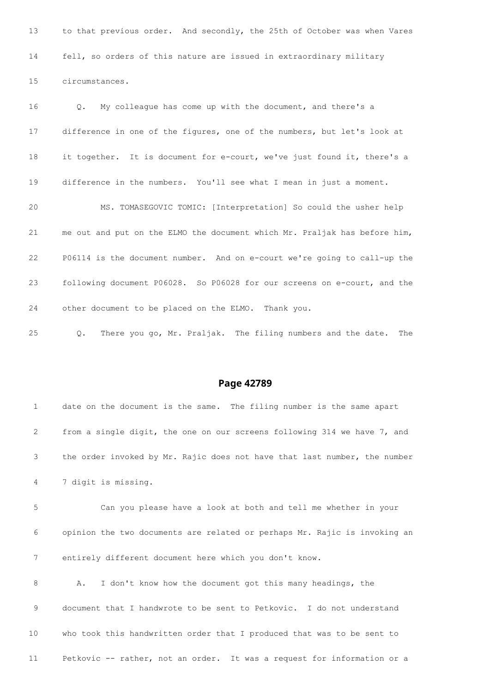13 to that previous order. And secondly, the 25th of October was when Vares fell, so orders of this nature are issued in extraordinary military circumstances. Q. My colleague has come up with the document, and there's a difference in one of the figures, one of the numbers, but let's look at it together. It is document for e-court, we've just found it, there's a difference in the numbers. You'll see what I mean in just a moment. MS. TOMASEGOVIC TOMIC: [Interpretation] So could the usher help me out and put on the ELMO the document which Mr. Praljak has before him, P06114 is the document number. And on e-court we're going to call-up the following document P06028. So P06028 for our screens on e-court, and the

other document to be placed on the ELMO. Thank you.

Q. There you go, Mr. Praljak. The filing numbers and the date. The

| $\mathbf{1}$ | date on the document is the same. The filing number is the same apart     |
|--------------|---------------------------------------------------------------------------|
| 2            | from a single digit, the one on our screens following 314 we have 7, and  |
| 3            | the order invoked by Mr. Rajic does not have that last number, the number |
| 4            | 7 digit is missing.                                                       |
| 5            | Can you please have a look at both and tell me whether in your            |
| 6            | opinion the two documents are related or perhaps Mr. Rajic is invoking an |
| 7            | entirely different document here which you don't know.                    |
| 8            | I don't know how the document got this many headings, the<br>Α.           |
| 9            | document that I handwrote to be sent to Petkovic. I do not understand     |
| 10           | who took this handwritten order that I produced that was to be sent to    |
| 11           | Petkovic -- rather, not an order. It was a request for information or a   |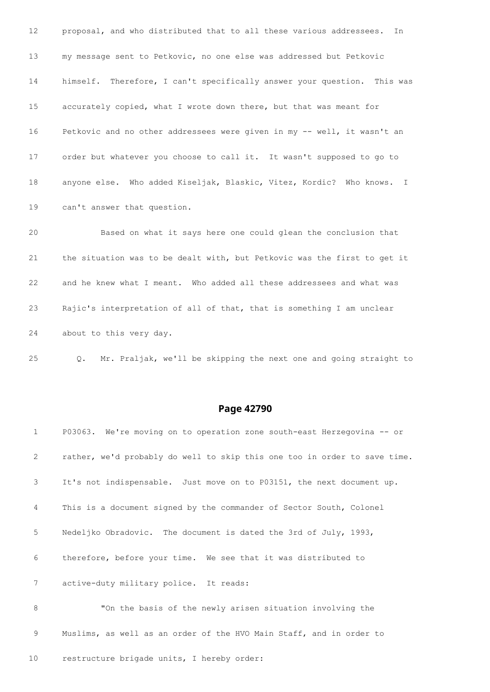proposal, and who distributed that to all these various addressees. In my message sent to Petkovic, no one else was addressed but Petkovic himself. Therefore, I can't specifically answer your question. This was accurately copied, what I wrote down there, but that was meant for Petkovic and no other addressees were given in my -- well, it wasn't an order but whatever you choose to call it. It wasn't supposed to go to anyone else. Who added Kiseljak, Blaskic, Vitez, Kordic? Who knows. I can't answer that question. Based on what it says here one could glean the conclusion that

 and he knew what I meant. Who added all these addressees and what was Rajic's interpretation of all of that, that is something I am unclear about to this very day.

the situation was to be dealt with, but Petkovic was the first to get it

Q. Mr. Praljak, we'll be skipping the next one and going straight to

| $\mathbf{1}$   | P03063. We're moving on to operation zone south-east Herzegovina -- or    |
|----------------|---------------------------------------------------------------------------|
| 2              | rather, we'd probably do well to skip this one too in order to save time. |
| 3              | It's not indispensable. Just move on to P03151, the next document up.     |
| $\overline{4}$ | This is a document signed by the commander of Sector South, Colonel       |
| 5              | Nedeljko Obradovic. The document is dated the 3rd of July, 1993,          |
| 6              | therefore, before your time. We see that it was distributed to            |
| 7              | active-duty military police. It reads:                                    |
| 8              | "On the basis of the newly arisen situation involving the                 |
| 9              | Muslims, as well as an order of the HVO Main Staff, and in order to       |
| 10             | restructure brigade units, I hereby order:                                |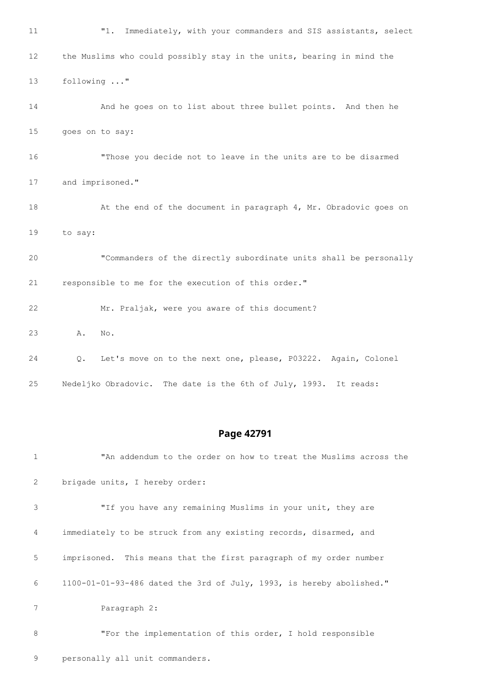"1. Immediately, with your commanders and SIS assistants, select the Muslims who could possibly stay in the units, bearing in mind the following ..." And he goes on to list about three bullet points. And then he goes on to say: "Those you decide not to leave in the units are to be disarmed and imprisoned." 18 At the end of the document in paragraph 4, Mr. Obradovic goes on to say: "Commanders of the directly subordinate units shall be personally responsible to me for the execution of this order." Mr. Praljak, were you aware of this document? A. No. Q. Let's move on to the next one, please, P03222. Again, Colonel Nedeljko Obradovic. The date is the 6th of July, 1993. It reads:

#### **Page 42791**

 "An addendum to the order on how to treat the Muslims across the brigade units, I hereby order: "If you have any remaining Muslims in your unit, they are immediately to be struck from any existing records, disarmed, and imprisoned. This means that the first paragraph of my order number 1100-01-01-93-486 dated the 3rd of July, 1993, is hereby abolished." Paragraph 2: "For the implementation of this order, I hold responsible

```
9 personally all unit commanders.
```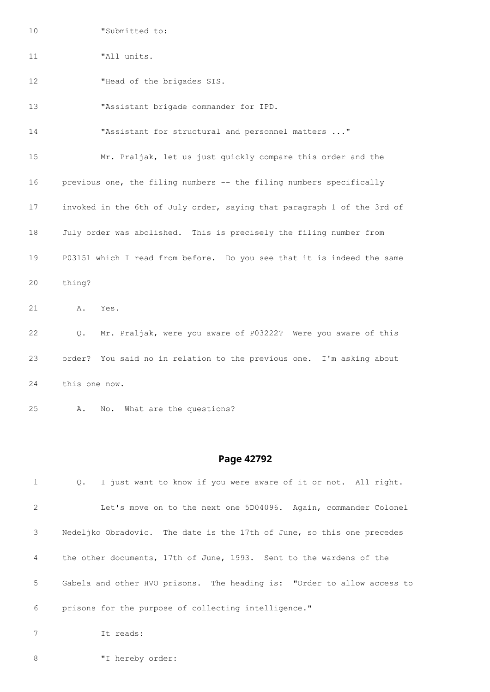"Submitted to:

"All units.

**"Head of the brigades SIS.** 

"Assistant brigade commander for IPD.

"Assistant for structural and personnel matters ..."

 Mr. Praljak, let us just quickly compare this order and the previous one, the filing numbers -- the filing numbers specifically invoked in the 6th of July order, saying that paragraph 1 of the 3rd of July order was abolished. This is precisely the filing number from P03151 which I read from before. Do you see that it is indeed the same thing?

A. Yes.

 Q. Mr. Praljak, were you aware of P03222? Were you aware of this order? You said no in relation to the previous one. I'm asking about this one now.

A. No. What are the questions?

#### **Page 42792**

 Q. I just want to know if you were aware of it or not. All right. Let's move on to the next one 5D04096. Again, commander Colonel Nedeljko Obradovic. The date is the 17th of June, so this one precedes the other documents, 17th of June, 1993. Sent to the wardens of the Gabela and other HVO prisons. The heading is: "Order to allow access to prisons for the purpose of collecting intelligence." It reads:

8 "I hereby order: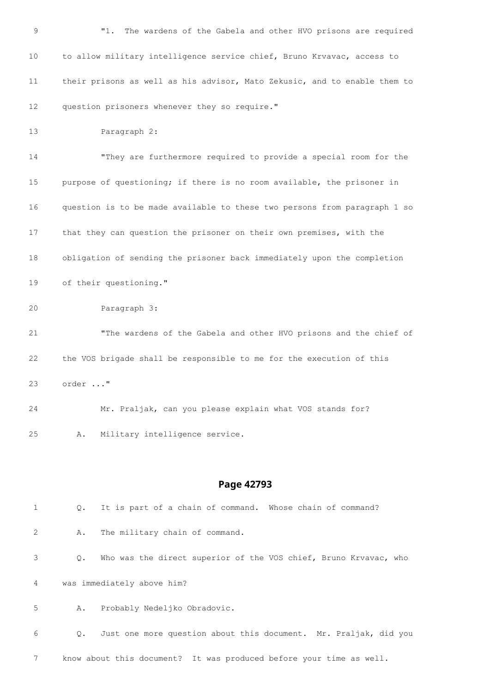| 9               |         | The wardens of the Gabela and other HVO prisons are required<br>"1.       |
|-----------------|---------|---------------------------------------------------------------------------|
| 10              |         | to allow military intelligence service chief, Bruno Krvavac, access to    |
| 11              |         | their prisons as well as his advisor, Mato Zekusic, and to enable them to |
| 12 <sup>2</sup> |         | question prisoners whenever they so require."                             |
| 13              |         | Paragraph 2:                                                              |
| 14              |         | "They are furthermore required to provide a special room for the          |
| 15              |         | purpose of questioning; if there is no room available, the prisoner in    |
| 16              |         | question is to be made available to these two persons from paragraph 1 so |
| 17              |         | that they can question the prisoner on their own premises, with the       |
| 18              |         | obligation of sending the prisoner back immediately upon the completion   |
| 19              |         | of their questioning."                                                    |
| 20              |         | Paragraph 3:                                                              |
| 21              |         | "The wardens of the Gabela and other HVO prisons and the chief of         |
| 22              |         | the VOS brigade shall be responsible to me for the execution of this      |
| 23              | order " |                                                                           |
| 24              |         | Mr. Praljak, can you please explain what VOS stands for?                  |
| 25              | Α.      | Military intelligence service.                                            |
|                 |         |                                                                           |
|                 |         | Page 42793                                                                |
| $\mathbf{1}$    | Q.      | It is part of a chain of command. Whose chain of command?                 |
| 2               | Α.      | The military chain of command.                                            |

 Q. Who was the direct superior of the VOS chief, Bruno Krvavac, who was immediately above him?

A. Probably Nedeljko Obradovic.

 Q. Just one more question about this document. Mr. Praljak, did you know about this document? It was produced before your time as well.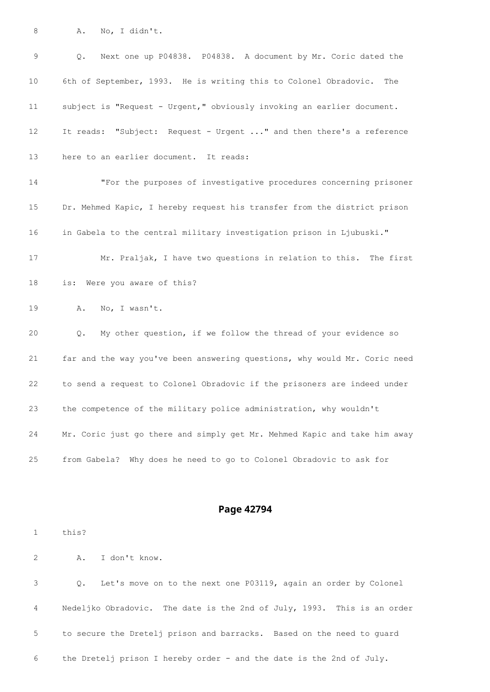A. No, I didn't.

 Q. Next one up P04838. P04838. A document by Mr. Coric dated the 6th of September, 1993. He is writing this to Colonel Obradovic. The subject is "Request - Urgent," obviously invoking an earlier document. It reads: "Subject: Request - Urgent ..." and then there's a reference here to an earlier document. It reads:

 "For the purposes of investigative procedures concerning prisoner Dr. Mehmed Kapic, I hereby request his transfer from the district prison in Gabela to the central military investigation prison in Ljubuski."

 Mr. Praljak, I have two questions in relation to this. The first is: Were you aware of this?

A. No, I wasn't.

 Q. My other question, if we follow the thread of your evidence so far and the way you've been answering questions, why would Mr. Coric need to send a request to Colonel Obradovic if the prisoners are indeed under the competence of the military police administration, why wouldn't Mr. Coric just go there and simply get Mr. Mehmed Kapic and take him away from Gabela? Why does he need to go to Colonel Obradovic to ask for

#### **Page 42794**

this?

A. I don't know.

 Q. Let's move on to the next one P03119, again an order by Colonel Nedeljko Obradovic. The date is the 2nd of July, 1993. This is an order to secure the Dretelj prison and barracks. Based on the need to guard the Dretelj prison I hereby order - and the date is the 2nd of July.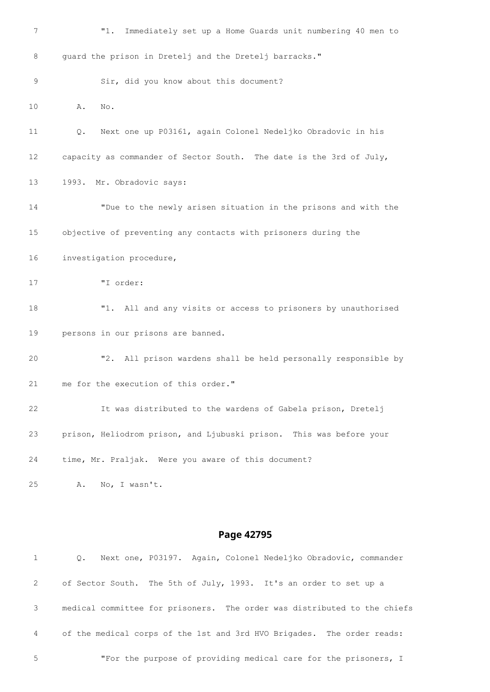|    | Page 42795                                                          |
|----|---------------------------------------------------------------------|
|    |                                                                     |
| 25 | No, I wasn't.<br>Α.                                                 |
| 24 | time, Mr. Praljak. Were you aware of this document?                 |
| 23 | prison, Heliodrom prison, and Ljubuski prison. This was before your |
| 22 | It was distributed to the wardens of Gabela prison, Dretelj         |
| 21 | me for the execution of this order."                                |
| 20 | All prison wardens shall be held personally responsible by<br>"2.   |
| 19 | persons in our prisons are banned.                                  |
| 18 | "1. All and any visits or access to prisoners by unauthorised       |
| 17 | "I order:                                                           |
| 16 | investigation procedure,                                            |
| 15 | objective of preventing any contacts with prisoners during the      |
| 14 | "Due to the newly arisen situation in the prisons and with the      |
| 13 | 1993. Mr. Obradovic says:                                           |
| 12 | capacity as commander of Sector South. The date is the 3rd of July, |
| 11 | Next one up P03161, again Colonel Nedeljko Obradovic in his<br>Q.   |
| 10 | Α.<br>No.                                                           |
| 9  | Sir, did you know about this document?                              |
| 8  | guard the prison in Dretelj and the Dretelj barracks."              |
| 7  | Immediately set up a Home Guards unit numbering 40 men to<br>"1.    |

 Q. Next one, P03197. Again, Colonel Nedeljko Obradovic, commander of Sector South. The 5th of July, 1993. It's an order to set up a medical committee for prisoners. The order was distributed to the chiefs of the medical corps of the 1st and 3rd HVO Brigades. The order reads: "For the purpose of providing medical care for the prisoners, I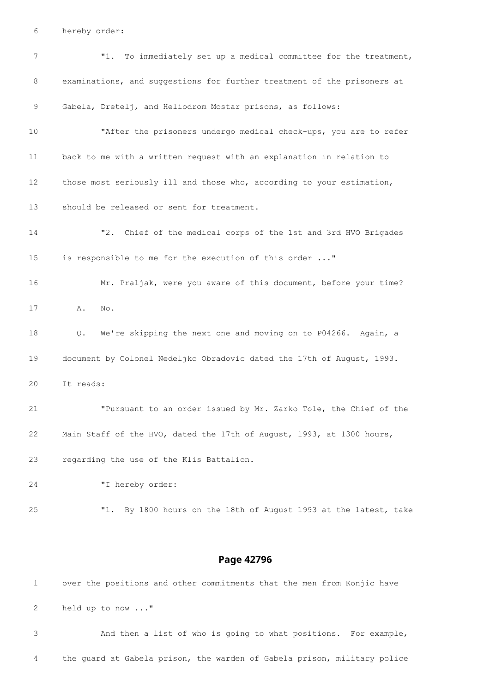hereby order:

| 7  | "1.<br>To immediately set up a medical committee for the treatment,     |
|----|-------------------------------------------------------------------------|
| 8  | examinations, and suggestions for further treatment of the prisoners at |
| 9  | Gabela, Dretelj, and Heliodrom Mostar prisons, as follows:              |
| 10 | "After the prisoners undergo medical check-ups, you are to refer        |
| 11 | back to me with a written request with an explanation in relation to    |
| 12 | those most seriously ill and those who, according to your estimation,   |
| 13 | should be released or sent for treatment.                               |
| 14 | "2. Chief of the medical corps of the 1st and 3rd HVO Brigades          |
| 15 | is responsible to me for the execution of this order "                  |
| 16 | Mr. Praljak, were you aware of this document, before your time?         |
| 17 | Α.<br>No.                                                               |
| 18 | We're skipping the next one and moving on to P04266. Again, a<br>Q.     |
|    |                                                                         |
| 19 | document by Colonel Nedeljko Obradovic dated the 17th of August, 1993.  |
| 20 | It reads:                                                               |
| 21 | "Pursuant to an order issued by Mr. Zarko Tole, the Chief of the        |
| 22 | Main Staff of the HVO, dated the 17th of August, 1993, at 1300 hours,   |
| 23 | regarding the use of the Klis Battalion.                                |
| 24 | "I hereby order:                                                        |
| 25 | By 1800 hours on the 18th of August 1993 at the latest, take<br>"1.     |

### **Page 42796**

 over the positions and other commitments that the men from Konjic have held up to now ..." And then a list of who is going to what positions. For example,

the guard at Gabela prison, the warden of Gabela prison, military police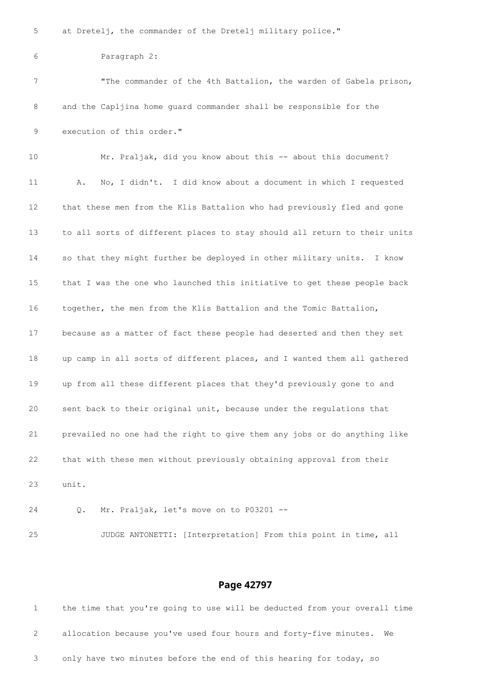at Dretelj, the commander of the Dretelj military police."

```
6 Paragraph 2:
```
 "The commander of the 4th Battalion, the warden of Gabela prison, and the Capljina home guard commander shall be responsible for the execution of this order."

 Mr. Praljak, did you know about this -- about this document? A. No, I didn't. I did know about a document in which I requested that these men from the Klis Battalion who had previously fled and gone to all sorts of different places to stay should all return to their units so that they might further be deployed in other military units. I know that I was the one who launched this initiative to get these people back together, the men from the Klis Battalion and the Tomic Battalion, because as a matter of fact these people had deserted and then they set up camp in all sorts of different places, and I wanted them all gathered up from all these different places that they'd previously gone to and sent back to their original unit, because under the regulations that prevailed no one had the right to give them any jobs or do anything like that with these men without previously obtaining approval from their unit.

Q. Mr. Praljak, let's move on to P03201 --

JUDGE ANTONETTI: [Interpretation] From this point in time, all

#### **Page 42797**

 the time that you're going to use will be deducted from your overall time allocation because you've used four hours and forty-five minutes. We only have two minutes before the end of this hearing for today, so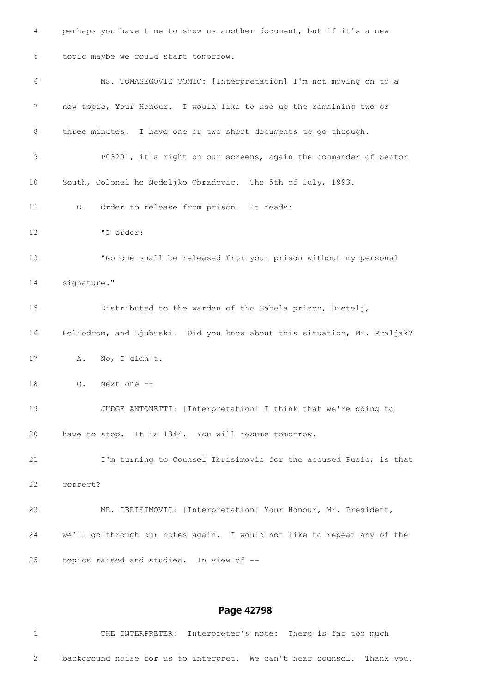perhaps you have time to show us another document, but if it's a new topic maybe we could start tomorrow. MS. TOMASEGOVIC TOMIC: [Interpretation] I'm not moving on to a new topic, Your Honour. I would like to use up the remaining two or three minutes. I have one or two short documents to go through. P03201, it's right on our screens, again the commander of Sector South, Colonel he Nedeljko Obradovic. The 5th of July, 1993. Q. Order to release from prison. It reads: "I order: "No one shall be released from your prison without my personal signature." Distributed to the warden of the Gabela prison, Dretelj, Heliodrom, and Ljubuski. Did you know about this situation, Mr. Praljak? A. No, I didn't. Q. Next one -- JUDGE ANTONETTI: [Interpretation] I think that we're going to have to stop. It is 1344. You will resume tomorrow. I'm turning to Counsel Ibrisimovic for the accused Pusic; is that correct? MR. IBRISIMOVIC: [Interpretation] Your Honour, Mr. President, we'll go through our notes again. I would not like to repeat any of the topics raised and studied. In view of --

#### **Page 42798**

 THE INTERPRETER: Interpreter's note: There is far too much background noise for us to interpret. We can't hear counsel. Thank you.